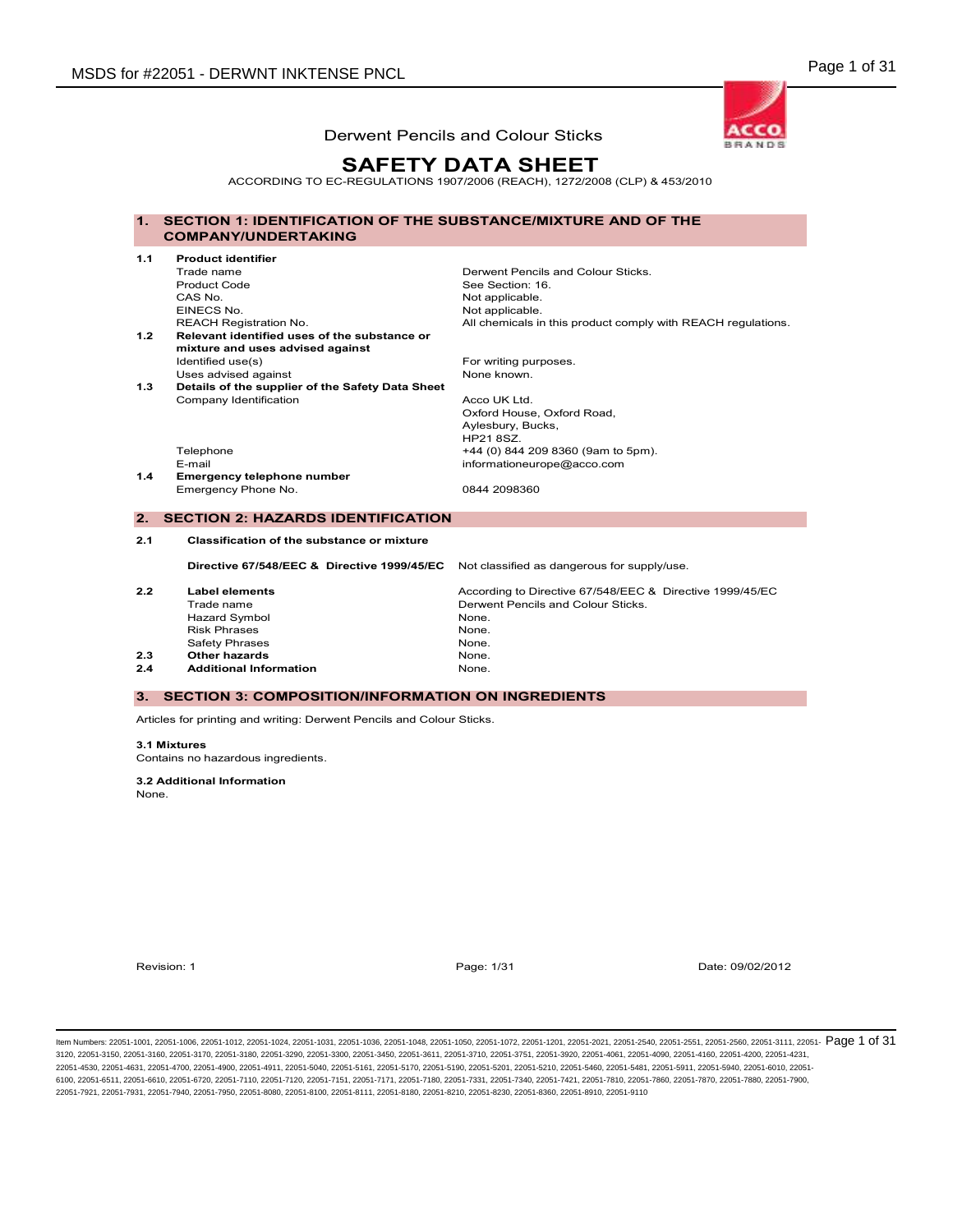

# SAFETY DATA SHEET

ACCORDING TO EC-REGULATIONS 1907/2006 (REACH), 1272/2008 (CLP) & 453/2010

#### 1. SECTION 1: IDENTIFICATION OF THE SUBSTANCE/MIXTURE AND OF THE COMPANY/UNDERTAKING

| 1.1 | <b>Product identifier</b>                        |                                                              |
|-----|--------------------------------------------------|--------------------------------------------------------------|
|     | Trade name                                       | Derwent Pencils and Colour Sticks.                           |
|     | <b>Product Code</b>                              | See Section: 16.                                             |
|     | CAS No.                                          | Not applicable.                                              |
|     | EINECS No.                                       | Not applicable.                                              |
|     | <b>REACH Registration No.</b>                    | All chemicals in this product comply with REACH regulations. |
| 1.2 | Relevant identified uses of the substance or     |                                                              |
|     | mixture and uses advised against                 |                                                              |
|     | Identified use(s)                                | For writing purposes.                                        |
|     | Uses advised against                             | None known.                                                  |
| 1.3 | Details of the supplier of the Safety Data Sheet |                                                              |
|     | Company Identification                           | Acco UK Ltd.                                                 |
|     |                                                  | Oxford House, Oxford Road,                                   |
|     |                                                  | Aylesbury, Bucks,                                            |
|     |                                                  | <b>HP21 8SZ.</b>                                             |
|     | Telephone                                        | +44 (0) 844 209 8360 (9am to 5pm).                           |
|     | E-mail                                           | informationeurope@acco.com                                   |
| 1.4 | <b>Emergency telephone number</b>                |                                                              |
|     | Emergency Phone No.                              | 0844 2098360                                                 |
|     |                                                  |                                                              |
| 2.  | <b>SECTION 2: HAZARDS IDENTIFICATION</b>         |                                                              |
| 2.1 | Classification of the substance or mixture       |                                                              |
|     | Directive 67/548/EEC & Directive 1999/45/EC      | Not classified as dangerous for supply/use.                  |
|     |                                                  |                                                              |
| 2.2 | <b>Label elements</b>                            | According to Directive 67/548/EEC & Directive 1999/45/EC     |
|     | Trade name                                       | Derwent Pencils and Colour Sticks.                           |
|     | <b>Hazard Symbol</b>                             | None.                                                        |
|     | <b>Risk Phrases</b>                              | None.                                                        |
|     | <b>Safety Phrases</b>                            | None.                                                        |
| 2.3 | Other hazards                                    | None.                                                        |
| 2.4 | <b>Additional Information</b>                    | None.                                                        |

#### 3. SECTION 3: COMPOSITION/INFORMATION ON INGREDIENTS

Articles for printing and writing: Derwent Pencils and Colour Sticks.

#### 3.1 Mixtures

Contains no hazardous ingredients.

# 3.2 Additional Information

None.

Revision: 1 Page: 1/31 Date: 09/02/2012

ltem Numbers: 22051-1001, 22051-1006, 22051-1012, 22051-1024, 22051-1031, 22051-1036, 22051-1048, 22051-1050, 22051-1050, 22051-1201, 22051-1201, 22051-2051, 22051-2551, 22051-2560, 22051-3111, 22051-3111, 22051-8580, 2205 3120, 22051-3150, 22051-3160, 22051-3170, 22051-3180, 22051-3290, 22051-3300, 22051-3450, 22051-3611, 22051-3710, 22051-3751, 22051-3920, 22051-4061, 22051-4090, 22051-4160, 22051-4200, 22051-4231, 22051-4530, 22051-4631, 22051-4700, 22051-4900, 22051-4911, 22051-5040, 22051-5161, 22051-5170, 22051-5190, 22051-5201, 22051-5210, 22051-5460, 22051-5481, 22051-5911, 22051-5940, 22051-6010, 22051- 6100, 22051-6511, 22051-6610, 22051-6720, 22051-7110, 22051-7100, 22051-7151, 22051-711, 22051-7180, 22051-7331, 22051-7340, 22051-741, 22051-7421, 22051-7810, 22051-7880, 22051-7880, 22051-7880, 22051-7880, 22051-7880, 220 22051-7921, 22051-7931, 22051-7940, 22051-7950, 22051-8080, 22051-8100, 22051-8111, 22051-8180, 22051-8210, 22051-8230, 22051-8360, 22051-8910, 22051-9110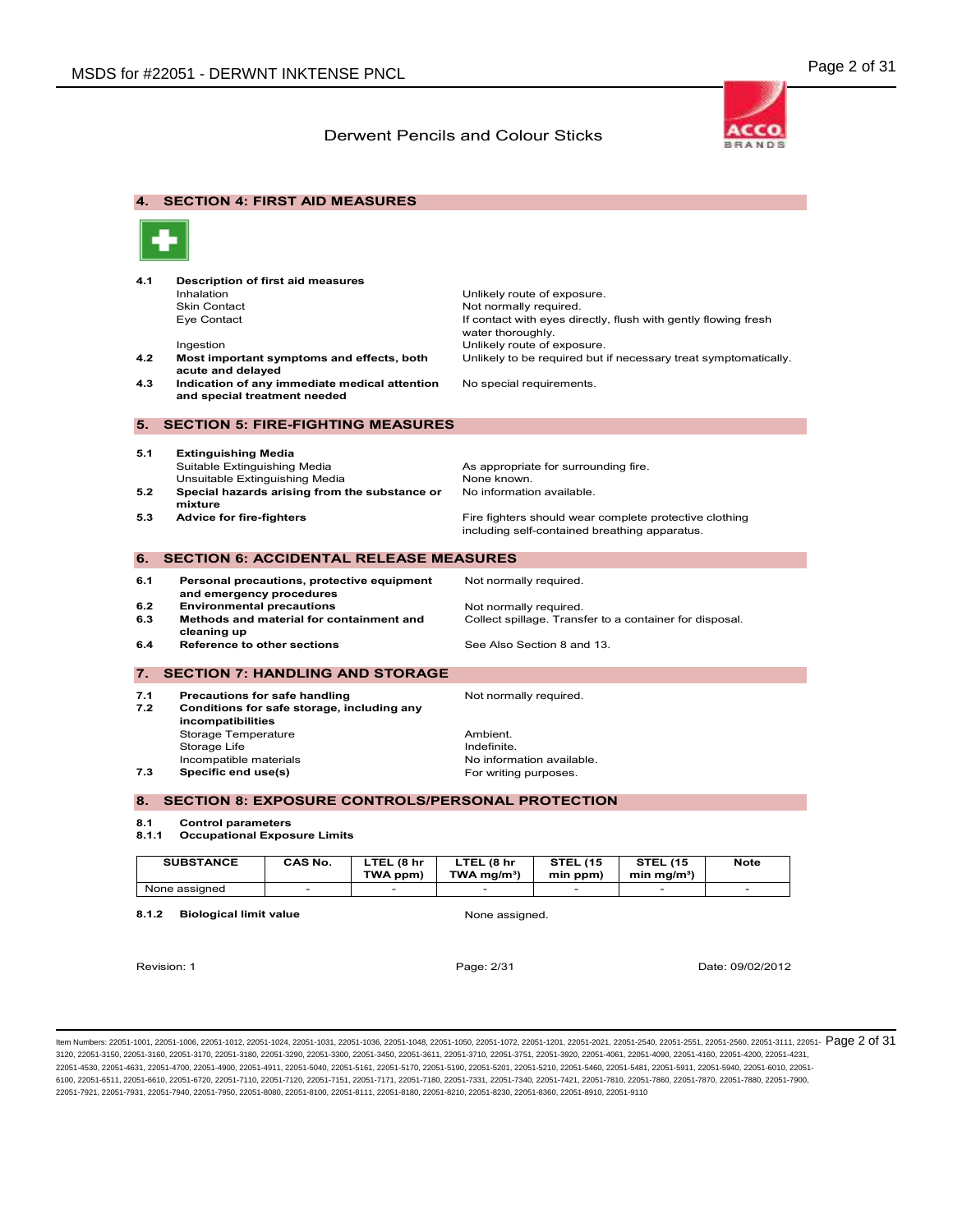

4. SECTION 4: FIRST AID MEASURES 4.1 Description of first aid measures Inhalation **Inhalation** Unlikely route of exposure.<br>
Skin Contact **Notifying the Skin Contact** Not normally required Skin Contact Not normally required. If contact with eyes directly, flush with gently flowing fresh water thoroughly. Ingestion **Intervention** Unlikely route of exposure. 4.2 Most important symptoms and effects, both acute and delayed Unlikely to be required but if necessary treat symptomatically. 4.3 Indication of any immediate medical attention and special treatment needed No special requirements. 5. SECTION 5: FIRE-FIGHTING MEASURES 5.1 Extinguishing Media Suitable Extinguishing Media **As appropriate for surrounding fire.**<br>
Unsuitable Extinguishing Media **As a Suite As As As An**one known. Unsuitable Extinguishing Media 5.2 Special hazards arising from the substance or mixture No information available. 5.3 Advice for fire-fighters **Fighters** Fire fighters should wear complete protective clothing including self-contained breathing apparatus. 6. SECTION 6: ACCIDENTAL RELEASE MEASURES 6.1 Personal precautions, protective equipment and emergency procedures Not normally required. 6.2 Environmental precautions many networks Not normally required. 6.3 Methods and material for containment and cleaning up Collect spillage. Transfer to a container for disposal. 6.4 Reference to other sections See Also Section 8 and 13. 7. SECTION 7: HANDLING AND STORAGE 7.1 Precautions for safe handling The Mot normally required. 7.2 Conditions for safe storage, including any incompatibilities Storage Temperature **Ambient.**<br>Storage Life **Ambient** Controller and Ambient. Storage Life<br>Incompatible materials Incompatible materials and the materials of the No information available.<br> **T.3** Specific end use(s) To example and the Specific end use(s) and the Specific end and the Specific end of the Specific end of the Specific end For writing purposes. 8. SECTION 8: EXPOSURE CONTROLS/PERSONAL PROTECTION 8.1 Control parameters 8.1.1 Occupational Exposure Limits

| <b>SUBSTANCE</b> | CAS No. | LTEL (8 hr<br>TWA ppm) | LTEL (8 hr<br>$TWA$ ma/m <sup>3</sup> ) | <b>STEL (15</b><br>min ppm) | <b>STEL (15</b><br>min ma/m <sup>3</sup> ) | <b>Note</b> |
|------------------|---------|------------------------|-----------------------------------------|-----------------------------|--------------------------------------------|-------------|
| None assigned    |         |                        |                                         |                             |                                            |             |

8.1.2 Biological limit value None assigned.

Revision: 1 Page: 2/31 Date: 09/02/2012

ltem Numbers: 22051-1001, 22051-1006, 22051-1012, 22051-1024, 22051-1031, 22051-1036, 22051-1048, 22051-1050, 22051-1050, 22051-1020, 22051-1201, 22051-2020, 22051-2540, 22051-2551, 22051-2560, 22051-3111, 22051-  $\overline{\text{Page$ 3120, 22051-3150, 22051-3160, 22051-3170, 22051-3180, 22051-3290, 22051-3300, 22051-3450, 22051-3611, 22051-3710, 22051-3751, 22051-3920, 22051-4061, 22051-4090, 22051-4160, 22051-4200, 22051-4231, 22051-4530, 22051-4631, 22051-4700, 22051-4900, 22051-4911, 22051-5040, 22051-5161, 22051-5170, 22051-5190, 22051-5201, 22051-5210, 22051-5460, 22051-5481, 22051-5911, 22051-5940, 22051-6010, 22051- 6100, 22051-6511, 22051-6610, 22051-6720, 22051-7110, 22051-7100, 22051-7151, 22051-7111, 22051-780, 22051-7331, 22051-7400, 22051-7421, 22051-7810, 22051-7800, 22051-7830, 22051-7810, 22051-7810, 22051-7880, 22051-7880, 22 22051-7921, 22051-7931, 22051-7940, 22051-7950, 22051-8080, 22051-8100, 22051-8111, 22051-8180, 22051-8210, 22051-8230, 22051-8360, 22051-8910, 22051-9110



| <b>SUBSTANCE</b> | CAS No. | LTEL (8 hr<br>TWA ppm)   | LTEL (8 hr<br>$TWA$ ma/m <sup>3</sup> ) | <b>STEL (15</b><br>min ppm) | <b>STEL (15</b><br>min ma/m <sup>3</sup> ) | Note |
|------------------|---------|--------------------------|-----------------------------------------|-----------------------------|--------------------------------------------|------|
| None assigned    | $-$     | $\overline{\phantom{0}}$ |                                         |                             | $-$                                        |      |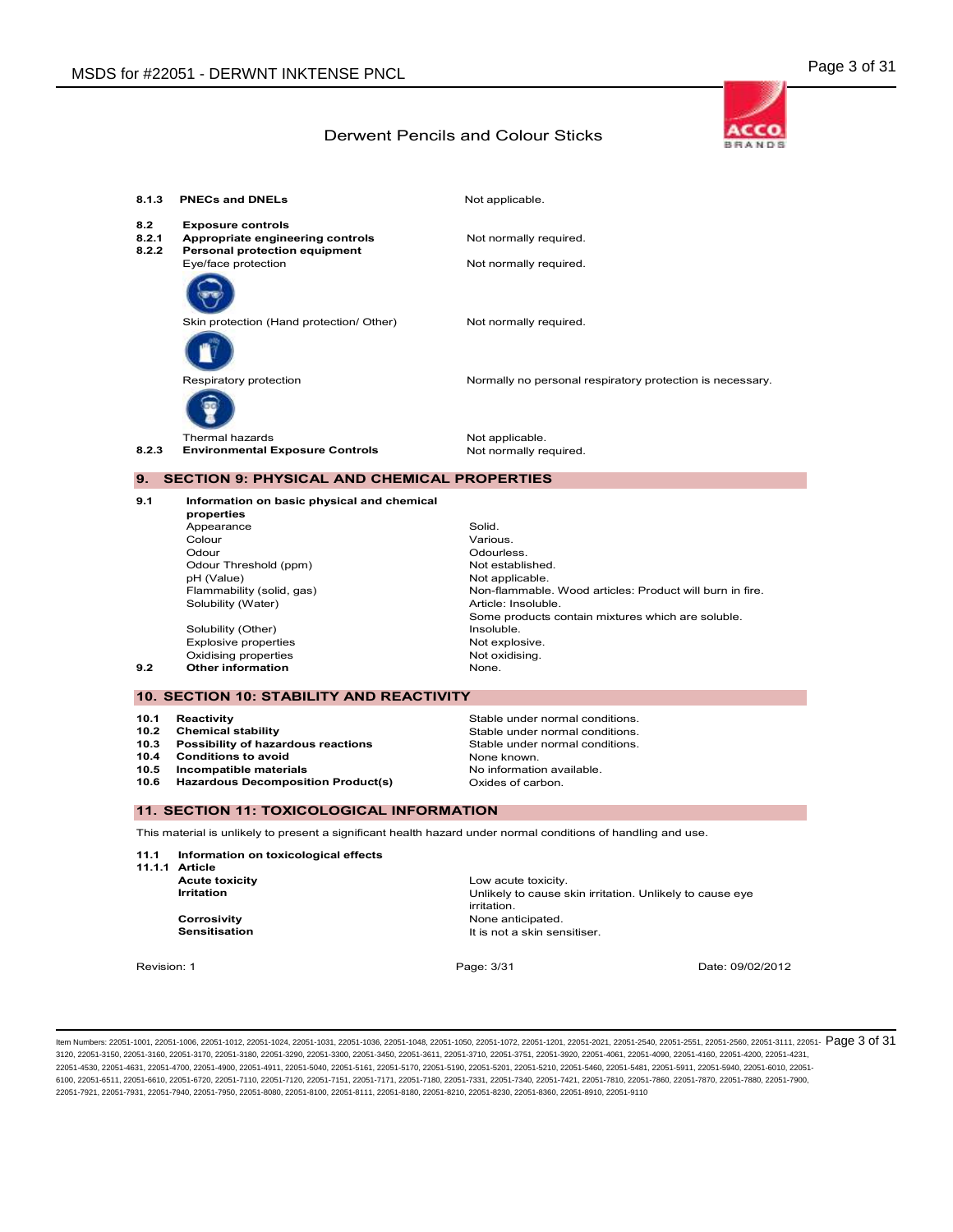

| 8.1.3                 | <b>PNECs and DNELs</b>                                                                        | Not applicable.                                           |
|-----------------------|-----------------------------------------------------------------------------------------------|-----------------------------------------------------------|
| 8.2<br>8.2.1<br>8.2.2 | <b>Exposure controls</b><br>Appropriate engineering controls<br>Personal protection equipment | Not normally required.                                    |
|                       | Eye/face protection                                                                           | Not normally required.                                    |
|                       | Skin protection (Hand protection/ Other)                                                      | Not normally required.                                    |
|                       | Respiratory protection                                                                        | Normally no personal respiratory protection is necessary. |
| 8.2.3                 | <b>Thermal hazards</b><br><b>Environmental Exposure Controls</b>                              | Not applicable.<br>Not normally required.                 |

#### 9. SECTION 9: PHYSICAL AND CHEMICAL PROPERTIES

9.1 Information on basic physical and chemical properties Appearance Solid.<br>Colour Solid.<br>Colour Various Colour **Colour Various.** Odour<br>Odour Threshold (ppm) (Controller of the Stabished Motestablished. Odour Threshold (ppm)<br>pH (Value) pH (Value) Not applicable. Non-flammable. Wood articles: Product will burn in fire. Solubility (Water) **Article:** Insoluble. Some products contain mixtures which are soluble.<br>Insoluble. Solubility (Other) Explosive properties and the explosive oxidising properties not explosive.<br>Not explosive oxidising. Oxidising properties **Not oxidising properties** Not oxidising. Not oxidising. Not oxidising. Not oxidising. Not oxidising. Not oxidising the **Not oxidising**  $\blacksquare$ 9.2 Other information

#### 10. SECTION 10: STABILITY AND REACTIVITY

- Possibility of hazardous reactions
- 10.4 Conditions to avoid **No.4** Conditions to avoid
- 
- 10.6 Hazardous Decomposition Product(s) Oxides of carbon.
- 10.1 Reactivity **Stable under normal conditions.**<br>10.2 Chemical stability **Stable under normal conditions.** 10.2 Chemical stability **Stable under normal conditions.**<br>10.3 Possibility of hazardous reactions Stable under normal conditions. 10.5 Incompatible materials **No information available**

#### 11. SECTION 11: TOXICOLOGICAL INFORMATION

This material is unlikely to present a significant health hazard under normal conditions of handling and use.

11.1 Information on toxicological effects

11.1.1 Article

Low acute toxicity. **Irritation Intervellet Controllet Controllet Controllet Controllet Controllet Controllet Controllet Controllet Controllet Controllet Controllet Controllet Controllet Controllet Controllet Controllet Controllet Controlle** irritation. **Corrosivity Corrosivity None anticipated.**<br> **Sensitisation None anticipated.**<br> **Sensitisation** It is not a skin sensitiser.

Revision: 1 **Page: 3/31** Page: 3/31 Date: 09/02/2012 Date: 09/02/2012

ltem Numbers: 22051-1001, 22051-1006, 22051-1012, 22051-1024, 22051-1031, 22051-1036, 22051-1048, 22051-1050, 22051-1050, 22051-1020, 22051-1201, 22051-2020, 22051-2540, 22051-2551, 22051-2560, 22051-3111, 22051-  $\overline{\text{Page$ 3120, 22051-3150, 22051-3160, 22051-3170, 22051-3180, 22051-3290, 22051-3300, 22051-3450, 22051-3611, 22051-3710, 22051-3751, 22051-3920, 22051-4061, 22051-4090, 22051-4160, 22051-4200, 22051-4231, 22051-4530, 22051-4631, 22051-4700, 22051-4900, 22051-4911, 22051-5040, 22051-5161, 22051-5170, 22051-5190, 22051-5201, 22051-5210, 22051-5460, 22051-5481, 22051-5911, 22051-5940, 22051-6010, 22051- 6100, 22051-6511, 22051-6610, 22051-6720, 22051-7110, 22051-7100, 22051-7151, 22051-7111, 22051-780, 22051-7331, 22051-7400, 22051-7421, 22051-7810, 22051-7800, 22051-7830, 22051-7810, 22051-7810, 22051-7880, 22051-7880, 22 22051-7921, 22051-7931, 22051-7940, 22051-7950, 22051-8080, 22051-8100, 22051-8111, 22051-8180, 22051-8210, 22051-8230, 22051-8360, 22051-8910, 22051-9110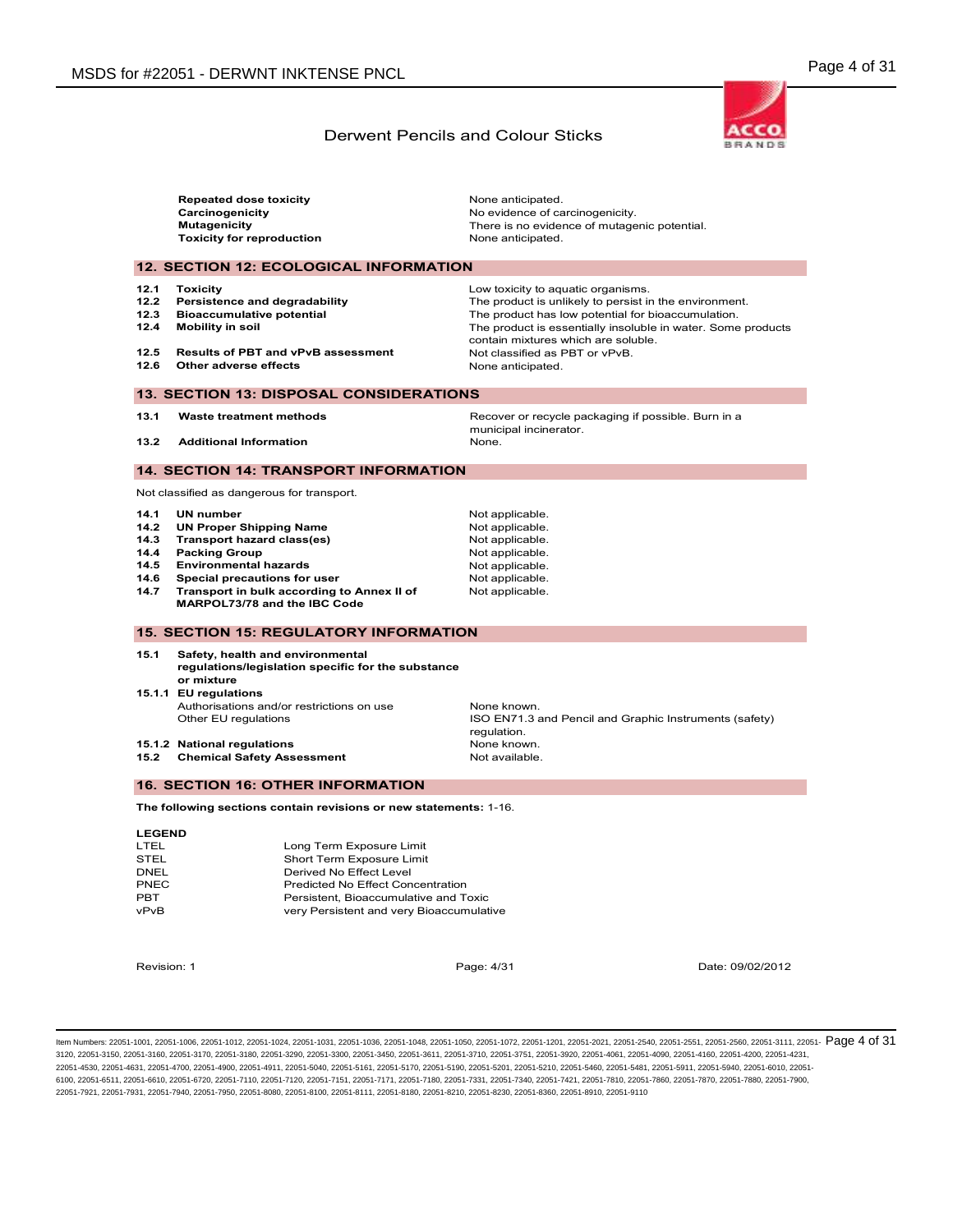**ACCO BRANDS** 

#### Derwent Pencils and Colour Sticks

|                                                                                   | <b>Repeated dose toxicity</b><br>Carcinogenicity<br><b>Mutagenicity</b><br><b>Toxicity for reproduction</b>                                                                                                                                                                                                                                                                                                                                                                                                                                                                                                                            | None anticipated.<br>No evidence of carcinogenicity.<br>There is no evidence of mutagenic potential.<br>None anticipated.                                                                                                                                                                                        |
|-----------------------------------------------------------------------------------|----------------------------------------------------------------------------------------------------------------------------------------------------------------------------------------------------------------------------------------------------------------------------------------------------------------------------------------------------------------------------------------------------------------------------------------------------------------------------------------------------------------------------------------------------------------------------------------------------------------------------------------|------------------------------------------------------------------------------------------------------------------------------------------------------------------------------------------------------------------------------------------------------------------------------------------------------------------|
|                                                                                   | <b>12. SECTION 12: ECOLOGICAL INFORMATION</b>                                                                                                                                                                                                                                                                                                                                                                                                                                                                                                                                                                                          |                                                                                                                                                                                                                                                                                                                  |
| 12.1<br>12.2<br>12.3<br>12.4<br>12.5<br>12.6                                      | <b>Toxicity</b><br>Persistence and degradability<br><b>Bioaccumulative potential</b><br><b>Mobility in soil</b><br><b>Results of PBT and vPvB assessment</b><br>Other adverse effects                                                                                                                                                                                                                                                                                                                                                                                                                                                  | Low toxicity to aquatic organisms.<br>The product is unlikely to persist in the environment.<br>The product has low potential for bioaccumulation.<br>The product is essentially insoluble in water. Some products<br>contain mixtures which are soluble.<br>Not classified as PBT or vPvB.<br>None anticipated. |
|                                                                                   | <b>13. SECTION 13: DISPOSAL CONSIDERATIONS</b>                                                                                                                                                                                                                                                                                                                                                                                                                                                                                                                                                                                         |                                                                                                                                                                                                                                                                                                                  |
| 13.1<br>13.2                                                                      | Waste treatment methods<br><b>Additional Information</b>                                                                                                                                                                                                                                                                                                                                                                                                                                                                                                                                                                               | Recover or recycle packaging if possible. Burn in a<br>municipal incinerator.<br>None.                                                                                                                                                                                                                           |
|                                                                                   |                                                                                                                                                                                                                                                                                                                                                                                                                                                                                                                                                                                                                                        |                                                                                                                                                                                                                                                                                                                  |
|                                                                                   | <b>14. SECTION 14: TRANSPORT INFORMATION</b>                                                                                                                                                                                                                                                                                                                                                                                                                                                                                                                                                                                           |                                                                                                                                                                                                                                                                                                                  |
| 14.1<br>14.2<br>14.3<br>14.4<br>14.5<br>14.6<br>14.7<br>15.1<br>15.2              | Not classified as dangerous for transport.<br><b>UN number</b><br><b>UN Proper Shipping Name</b><br><b>Transport hazard class(es)</b><br><b>Packing Group</b><br><b>Environmental hazards</b><br>Special precautions for user<br>Transport in bulk according to Annex II of<br>MARPOL73/78 and the IBC Code<br><b>15. SECTION 15: REGULATORY INFORMATION</b><br>Safety, health and environmental<br>regulations/legislation specific for the substance<br>or mixture<br>15.1.1 EU regulations<br>Authorisations and/or restrictions on use<br>Other EU regulations<br>15.1.2 National regulations<br><b>Chemical Safety Assessment</b> | Not applicable.<br>Not applicable.<br>Not applicable.<br>Not applicable.<br>Not applicable.<br>Not applicable.<br>Not applicable.<br>None known.<br>ISO EN71.3 and Pencil and Graphic Instruments (safety)<br>regulation.<br>None known.<br>Not available.                                                       |
|                                                                                   | <b>16. SECTION 16: OTHER INFORMATION</b>                                                                                                                                                                                                                                                                                                                                                                                                                                                                                                                                                                                               |                                                                                                                                                                                                                                                                                                                  |
|                                                                                   | The following sections contain revisions or new statements: 1-16.                                                                                                                                                                                                                                                                                                                                                                                                                                                                                                                                                                      |                                                                                                                                                                                                                                                                                                                  |
| <b>LEGEND</b><br>LTEL<br><b>STEL</b><br><b>DNEL</b><br>PNEC<br><b>PBT</b><br>vPvB | Long Term Exposure Limit<br>Short Term Exposure Limit<br>Derived No Effect Level<br>Predicted No Effect Concentration<br>Persistent, Bioaccumulative and Toxic<br>very Persistent and very Bioaccumulative                                                                                                                                                                                                                                                                                                                                                                                                                             |                                                                                                                                                                                                                                                                                                                  |

Revision: 1 Page: 4/31 Date: 09/02/2012

ltem Numbers: 22051-1001, 22051-1006, 22051-1012, 22051-1024, 22051-1031, 22051-1036, 22051-1048, 22051-1050, 22051-1050, 22051-1020, 22051-1201, 22051-2020, 22051-2540, 22051-2551, 22051-2560, 22051-3111, 22051-  $\overline{\text{Page$ 3120, 22051-3150, 22051-3160, 22051-3170, 22051-3180, 22051-3290, 22051-3300, 22051-3450, 22051-3611, 22051-3710, 22051-3751, 22051-3920, 22051-4061, 22051-4090, 22051-4160, 22051-4200, 22051-4231, 22051-4530, 22051-4631, 22051-4700, 22051-4900, 22051-4911, 22051-5040, 22051-5161, 22051-5170, 22051-5190, 22051-5201, 22051-5210, 22051-5460, 22051-5481, 22051-5911, 22051-5940, 22051-6010, 22051- 6100, 22051-6511, 22051-6610, 22051-6720, 22051-7110, 22051-7120, 22051-7151, 22051-7111, 22051-7180, 22051-7331, 22051-7400, 22051-7421, 22051-7810, 22051-7800, 22051-7880, 22051-7890, 22051-7810, 22051-7880, 22051-7880, 2 22051-7921, 22051-7931, 22051-7940, 22051-7950, 22051-8080, 22051-8100, 22051-8111, 22051-8180, 22051-8210, 22051-8230, 22051-8360, 22051-8910, 22051-9110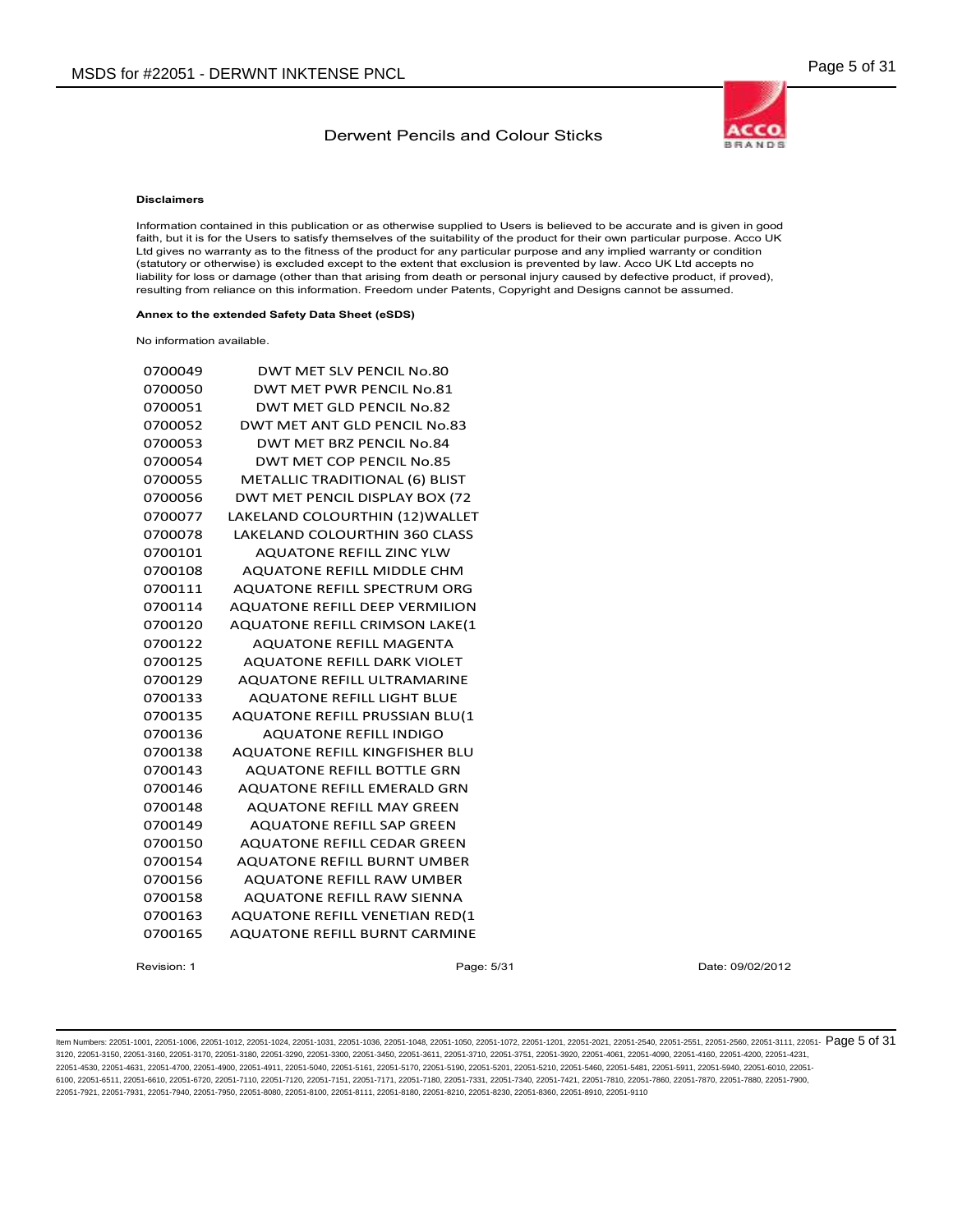

#### Disclaimers

Information contained in this publication or as otherwise supplied to Users is believed to be accurate and is given in good faith, but it is for the Users to satisfy themselves of the suitability of the product for their own particular purpose. Acco UK Ltd gives no warranty as to the fitness of the product for any particular purpose and any implied warranty or condition (statutory or otherwise) is excluded except to the extent that exclusion is prevented by law. Acco UK Ltd accepts no liability for loss or damage (other than that arising from death or personal injury caused by defective product, if proved), resulting from reliance on this information. Freedom under Patents, Copyright and Designs cannot be assumed.

#### Annex to the extended Safety Data Sheet (eSDS)

No information available.

| 0700049 | <b>DWT MET SLV PENCIL No.80</b>       |
|---------|---------------------------------------|
| 0700050 | DWT MET PWR PENCIL No.81              |
| 0700051 | DWT MET GLD PENCIL No.82              |
| 0700052 | DWT MET ANT GLD PENCIL No.83          |
| 0700053 | DWT MET BRZ PENCIL No.84              |
| 0700054 | DWT MET COP PENCIL No.85              |
| 0700055 | METALLIC TRADITIONAL (6) BLIST        |
| 0700056 | DWT MET PENCIL DISPLAY BOX (72        |
| 0700077 | LAKELAND COLOURTHIN (12) WALLET       |
| 0700078 | <b>LAKELAND COLOURTHIN 360 CLASS</b>  |
| 0700101 | <b>AQUATONE REFILL ZINC YLW</b>       |
| 0700108 | <b>AQUATONE REFILL MIDDLE CHM</b>     |
| 0700111 | <b>AOUATONE REFILL SPECTRUM ORG</b>   |
| 0700114 | <b>AQUATONE REFILL DEEP VERMILION</b> |
| 0700120 | <b>AQUATONE REFILL CRIMSON LAKE(1</b> |
| 0700122 | <b>AQUATONE REFILL MAGENTA</b>        |
| 0700125 | <b>AQUATONE REFILL DARK VIOLET</b>    |
| 0700129 | <b>AQUATONE REFILL ULTRAMARINE</b>    |
| 0700133 | <b>AQUATONE REFILL LIGHT BLUE</b>     |
| 0700135 | <b>AQUATONE REFILL PRUSSIAN BLU(1</b> |
| 0700136 | <b>AQUATONE REFILL INDIGO</b>         |
| 0700138 | AQUATONE REFILL KINGFISHER BLU        |
| 0700143 | <b>AQUATONE REFILL BOTTLE GRN</b>     |
| 0700146 | <b>AQUATONE REFILL EMERALD GRN</b>    |
| 0700148 | <b>AQUATONE REFILL MAY GREEN</b>      |
| 0700149 | <b>AQUATONE REFILL SAP GREEN</b>      |
| 0700150 | <b>AQUATONE REFILL CEDAR GREEN</b>    |
| 0700154 | <b>AQUATONE REFILL BURNT UMBER</b>    |
| 0700156 | <b>AQUATONE REFILL RAW UMBER</b>      |
| 0700158 | <b>AQUATONE REFILL RAW SIENNA</b>     |
| 0700163 | <b>AQUATONE REFILL VENETIAN RED(1</b> |
| 0700165 | <b>AOUATONE REFILL BURNT CARMINE</b>  |
|         |                                       |

Revision: 1 **Page: 5/31** Page: 5/31 Date: 09/02/2012 Date: 09/02/2012

ltem Numbers: 22051-1001, 22051-1006, 22051-1012, 22051-1024, 22051-1031, 22051-1036, 22051-1048, 22051-1050, 22051-1050, 22051-1020, 22051-1201, 22051-2020, 22051-2540, 22051-2551, 22051-2560, 22051-3111, 22051-  $\mathsf{Page}\$ 3120, 22051-3150, 22051-3160, 22051-3170, 22051-3180, 22051-3290, 22051-3300, 22051-3450, 22051-3611, 22051-3710, 22051-3751, 22051-3920, 22051-4061, 22051-4090, 22051-4160, 22051-4200, 22051-4231, 22051-4530, 22051-4631, 22051-4700, 22051-4900, 22051-4911, 22051-5040, 22051-5161, 22051-5170, 22051-5190, 22051-5201, 22051-5210, 22051-5460, 22051-5481, 22051-5911, 22051-5940, 22051-6010, 22051- 6100, 22051-6511, 22051-6610, 22051-6720, 22051-7110, 22051-7100, 22051-7151, 22051-711, 22051-7180, 22051-7331, 22051-7400, 22051-7421, 22051-7810, 22051-7800, 22051-7880, 22051-7880, 22051-7810, 22051-7880, 22051-7880, 22 22051-7921, 22051-7931, 22051-7940, 22051-7950, 22051-8080, 22051-8100, 22051-8111, 22051-8180, 22051-8210, 22051-8230, 22051-8360, 22051-8910, 22051-9110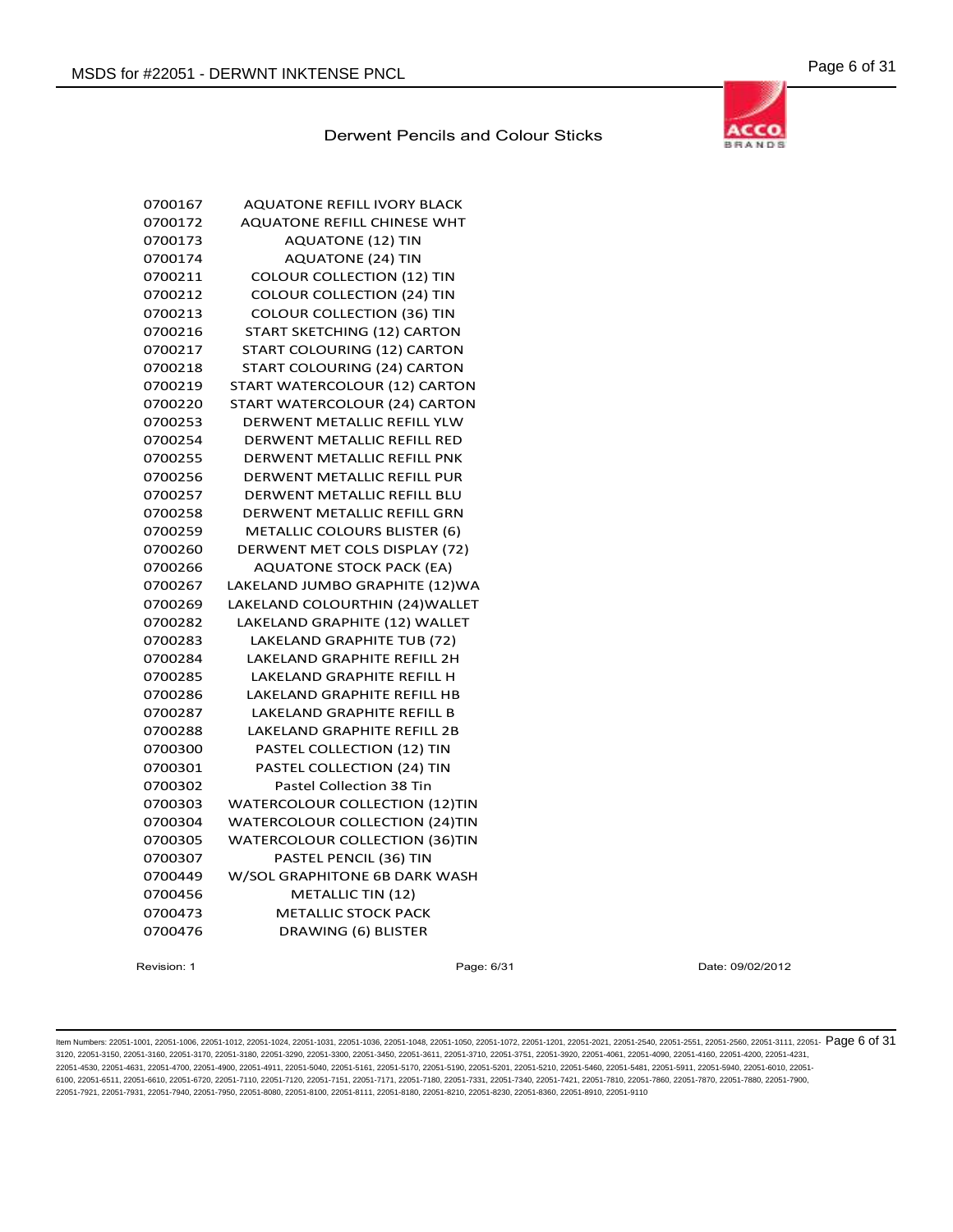

| 0700167 | <b>AQUATONE REFILL IVORY BLACK</b>    |
|---------|---------------------------------------|
| 0700172 | <b>AQUATONE REFILL CHINESE WHT</b>    |
| 0700173 | <b>AQUATONE (12) TIN</b>              |
| 0700174 | <b>AQUATONE (24) TIN</b>              |
| 0700211 | <b>COLOUR COLLECTION (12) TIN</b>     |
| 0700212 | <b>COLOUR COLLECTION (24) TIN</b>     |
| 0700213 | <b>COLOUR COLLECTION (36) TIN</b>     |
| 0700216 | START SKETCHING (12) CARTON           |
| 0700217 | START COLOURING (12) CARTON           |
| 0700218 | START COLOURING (24) CARTON           |
| 0700219 | START WATERCOLOUR (12) CARTON         |
| 0700220 | START WATERCOLOUR (24) CARTON         |
| 0700253 | DERWENT METALLIC REFILL YLW           |
| 0700254 | DERWENT METALLIC REFILL RED           |
| 0700255 | DERWENT METALLIC REFILL PNK           |
| 0700256 | DERWENT METALLIC REFILL PUR           |
| 0700257 | DERWENT METALLIC REFILL BLU           |
| 0700258 | DERWENT METALLIC REFILL GRN           |
| 0700259 | <b>METALLIC COLOURS BLISTER (6)</b>   |
| 0700260 | DERWENT MET COLS DISPLAY (72)         |
| 0700266 | <b>AQUATONE STOCK PACK (EA)</b>       |
| 0700267 | LAKELAND JUMBO GRAPHITE (12)WA        |
| 0700269 | LAKELAND COLOURTHIN (24) WALLET       |
| 0700282 | LAKELAND GRAPHITE (12) WALLET         |
| 0700283 | LAKELAND GRAPHITE TUB (72)            |
| 0700284 | <b>LAKELAND GRAPHITE REFILL 2H</b>    |
| 0700285 | <b>LAKELAND GRAPHITE REFILL H</b>     |
| 0700286 | LAKELAND GRAPHITE REFILL HB           |
| 0700287 | <b>LAKELAND GRAPHITE REFILL B</b>     |
| 0700288 | LAKELAND GRAPHITE REFILL 2B           |
| 0700300 | PASTEL COLLECTION (12) TIN            |
| 0700301 | PASTEL COLLECTION (24) TIN            |
| 0700302 | Pastel Collection 38 Tin              |
| 0700303 | <b>WATERCOLOUR COLLECTION (12)TIN</b> |
| 0700304 | <b>WATERCOLOUR COLLECTION (24)TIN</b> |
| 0700305 | <b>WATERCOLOUR COLLECTION (36)TIN</b> |
| 0700307 | PASTEL PENCIL (36) TIN                |
| 0700449 | W/SOL GRAPHITONE 6B DARK WASH         |
| 0700456 | METALLIC TIN (12)                     |
| 0700473 | <b>METALLIC STOCK PACK</b>            |
| 0700476 | DRAWING (6) BLISTER                   |

Revision: 1 Page: 6/31 Date: 09/02/2012

ltem Numbers: 22051-1001, 22051-1006, 22051-1012, 22051-1024, 22051-1031, 22051-1036, 22051-1048, 22051-1050, 22051-1050, 22051-1020, 22051-1201, 22051-2020, 22051-2540, 22051-2551, 22051-2560, 22051-3111, 22051-  $\overline{\text{Page$ 3120, 22051-3150, 22051-3160, 22051-3170, 22051-3180, 22051-3290, 22051-3300, 22051-3450, 22051-3611, 22051-3710, 22051-3751, 22051-3920, 22051-4061, 22051-4090, 22051-4160, 22051-4200, 22051-4231, 22051-4530, 22051-4631, 22051-4700, 22051-4900, 22051-4911, 22051-5040, 22051-5161, 22051-5170, 22051-5190, 22051-5201, 22051-5210, 22051-5460, 22051-5481, 22051-5911, 22051-5940, 22051-6010, 22051- 6100, 22051-6511, 22051-6610, 22051-6720, 22051-7110, 22051-7120, 22051-7151, 22051-7111, 22051-7180, 22051-7331, 22051-7400, 22051-7421, 22051-7810, 22051-7800, 22051-7880, 22051-7890, 22051-7810, 22051-7880, 22051-7880, 2 22051-7921, 22051-7931, 22051-7940, 22051-7950, 22051-8080, 22051-8100, 22051-8111, 22051-8180, 22051-8210, 22051-8230, 22051-8360, 22051-8910, 22051-9110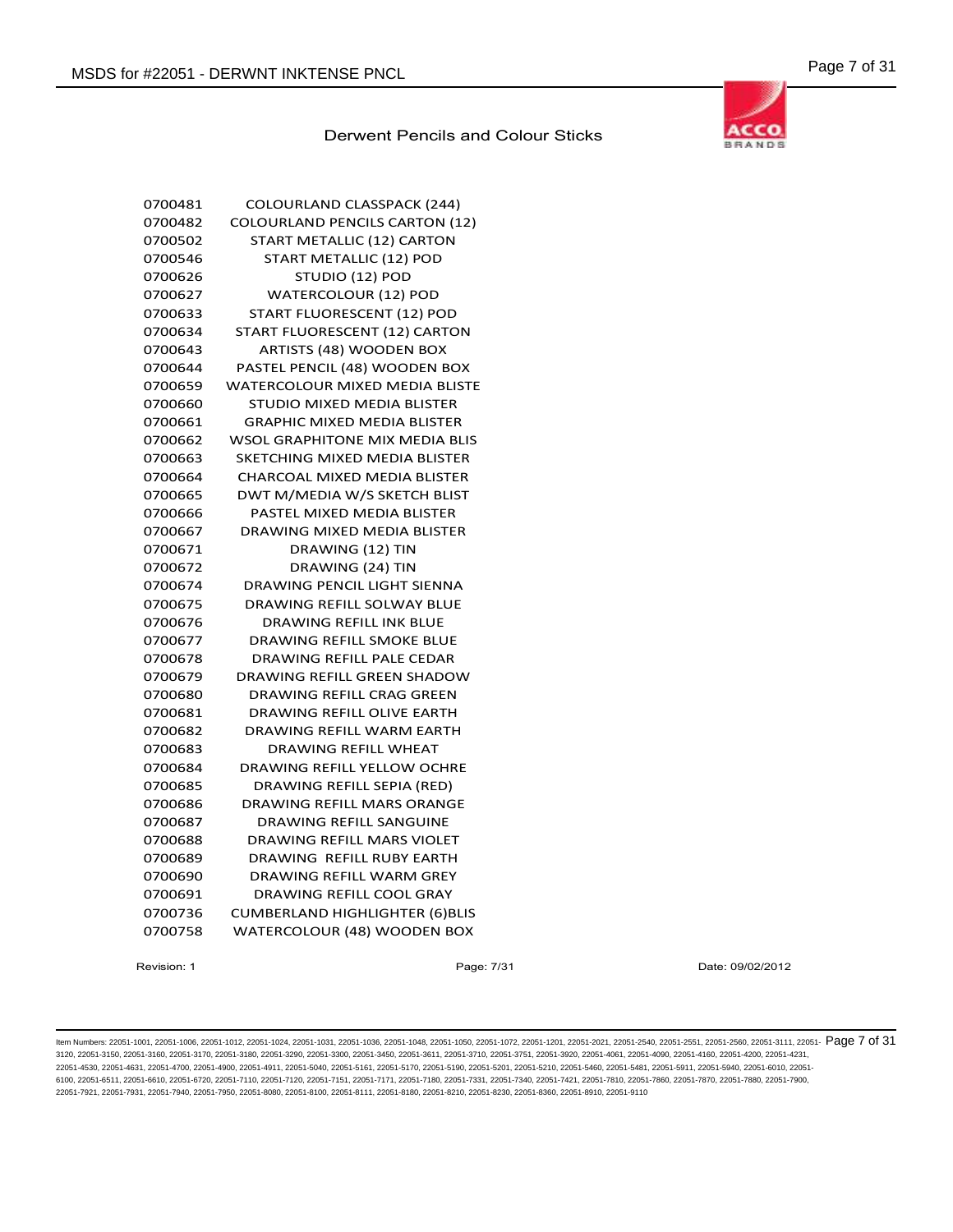

| 0700481 | <b>COLOURLAND CLASSPACK (244)</b>     |
|---------|---------------------------------------|
| 0700482 | <b>COLOURLAND PENCILS CARTON (12)</b> |
| 0700502 | START METALLIC (12) CARTON            |
| 0700546 | START METALLIC (12) POD               |
| 0700626 | STUDIO (12) POD                       |
| 0700627 | <b>WATERCOLOUR (12) POD</b>           |
| 0700633 | START FLUORESCENT (12) POD            |
| 0700634 | START FLUORESCENT (12) CARTON         |
| 0700643 | ARTISTS (48) WOODEN BOX               |
| 0700644 | PASTEL PENCIL (48) WOODEN BOX         |
| 0700659 | <b>WATERCOLOUR MIXED MEDIA BLISTE</b> |
| 0700660 | STUDIO MIXED MEDIA BLISTER            |
| 0700661 | <b>GRAPHIC MIXED MEDIA BLISTER</b>    |
| 0700662 | <b>WSOL GRAPHITONE MIX MEDIA BLIS</b> |
| 0700663 | <b>SKETCHING MIXED MEDIA BLISTER</b>  |
| 0700664 | <b>CHARCOAL MIXED MEDIA BLISTER</b>   |
| 0700665 | DWT M/MEDIA W/S SKETCH BLIST          |
| 0700666 | PASTEL MIXED MEDIA BLISTER            |
| 0700667 | <b>DRAWING MIXED MEDIA BLISTER</b>    |
| 0700671 | DRAWING (12) TIN                      |
| 0700672 | DRAWING (24) TIN                      |
| 0700674 | <b>DRAWING PENCIL LIGHT SIENNA</b>    |
| 0700675 | DRAWING REFILL SOLWAY BLUE            |
| 0700676 | <b>DRAWING REFILL INK BLUE</b>        |
| 0700677 | DRAWING REFILL SMOKE BLUE             |
| 0700678 | DRAWING REFILL PALE CEDAR             |
| 0700679 | DRAWING REFILL GREEN SHADOW           |
| 0700680 | <b>DRAWING REFILL CRAG GREEN</b>      |
| 0700681 | <b>DRAWING REFILL OLIVE EARTH</b>     |
| 0700682 | <b>DRAWING REFILL WARM EARTH</b>      |
| 0700683 | <b>DRAWING REFILL WHEAT</b>           |
| 0700684 | DRAWING REFILL YELLOW OCHRE           |
| 0700685 | DRAWING REFILL SEPIA (RED)            |
| 0700686 | <b>DRAWING REFILL MARS ORANGE</b>     |
| 0700687 | DRAWING REFILL SANGUINE               |
| 0700688 | <b>DRAWING REFILL MARS VIOLET</b>     |
| 0700689 | DRAWING REFILL RUBY EARTH             |
| 0700690 | <b>DRAWING REFILL WARM GREY</b>       |
| 0700691 | <b>DRAWING REFILL COOL GRAY</b>       |
| 0700736 | <b>CUMBERLAND HIGHLIGHTER (6)BLIS</b> |
| 0700758 | WATERCOLOUR (48) WOODEN BOX           |

Revision: 1 Page: 7/31 Date: 09/02/2012

ltem Numbers: 22051-1001, 22051-1006, 22051-1012, 22051-1024, 22051-1031, 22051-1036, 22051-1048, 22051-1050, 22051-1050, 22051-1020, 22051-1201, 22051-2020, 22051-2540, 22051-2551, 22051-2560, 22051-3111, 22051-  $\overline{\text{Page$ 3120, 22051-3150, 22051-3160, 22051-3170, 22051-3180, 22051-3290, 22051-3300, 22051-3450, 22051-3611, 22051-3710, 22051-3751, 22051-3920, 22051-4061, 22051-4090, 22051-4160, 22051-4200, 22051-4231, 22051-4530, 22051-4631, 22051-4700, 22051-4900, 22051-4911, 22051-5040, 22051-5161, 22051-5170, 22051-5190, 22051-5201, 22051-5210, 22051-5460, 22051-5481, 22051-5911, 22051-5940, 22051-6010, 22051- 6100, 22051-6511, 22051-6610, 22051-6720, 22051-7110, 22051-7120, 22051-7151, 22051-7111, 22051-7180, 22051-7331, 22051-7400, 22051-7421, 22051-7810, 22051-7800, 22051-7880, 22051-7890, 22051-7810, 22051-7880, 22051-7880, 2 22051-7921, 22051-7931, 22051-7940, 22051-7950, 22051-8080, 22051-8100, 22051-8111, 22051-8180, 22051-8210, 22051-8230, 22051-8360, 22051-8910, 22051-9110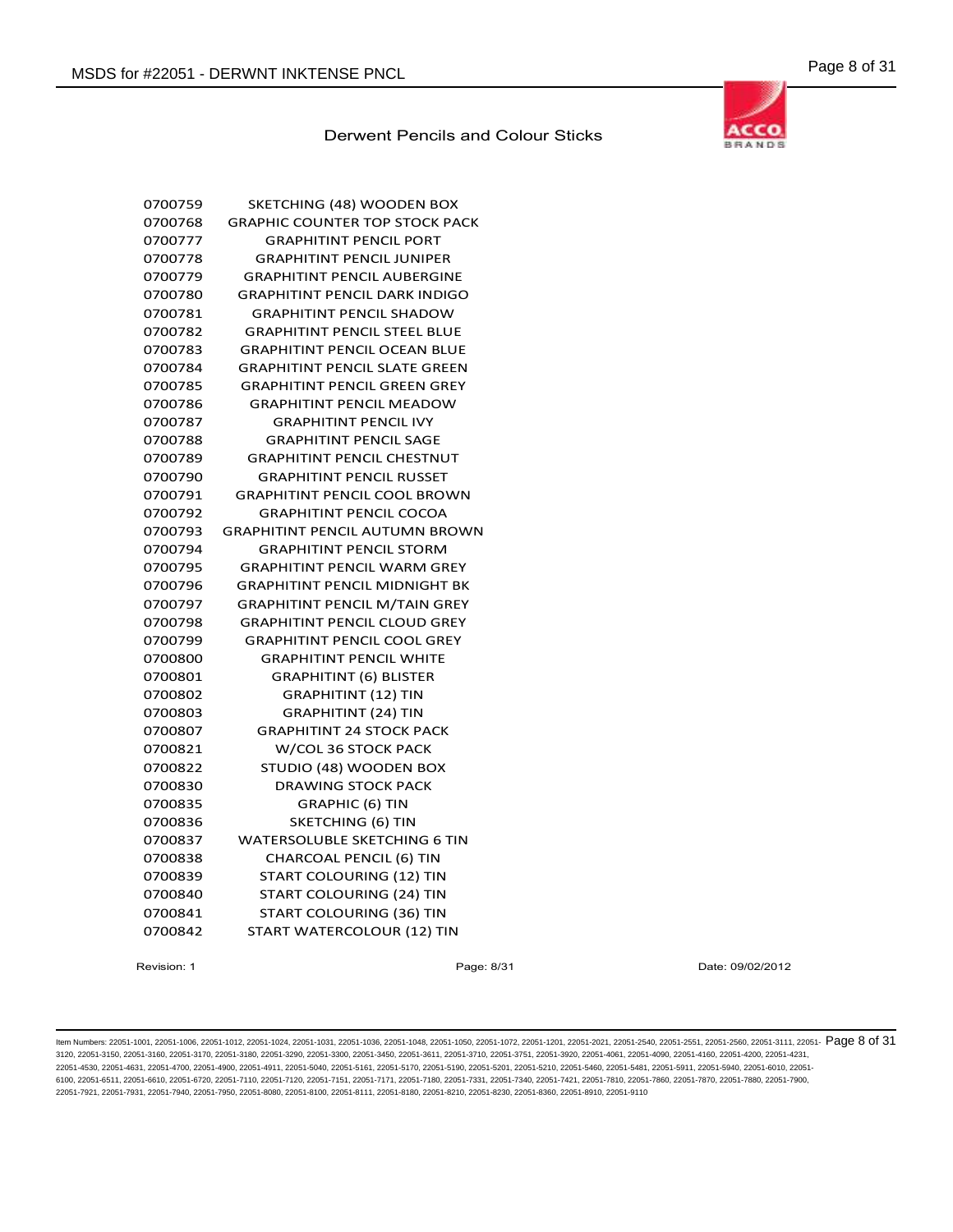

| 0700759 | SKETCHING (48) WOODEN BOX             |
|---------|---------------------------------------|
| 0700768 | <b>GRAPHIC COUNTER TOP STOCK PACK</b> |
| 0700777 | <b>GRAPHITINT PENCIL PORT</b>         |
| 0700778 | <b>GRAPHITINT PENCIL JUNIPER</b>      |
| 0700779 | <b>GRAPHITINT PENCIL AUBERGINE</b>    |
| 0700780 | <b>GRAPHITINT PENCIL DARK INDIGO</b>  |
| 0700781 | <b>GRAPHITINT PENCIL SHADOW</b>       |
| 0700782 | <b>GRAPHITINT PENCIL STEEL BLUE</b>   |
| 0700783 | <b>GRAPHITINT PENCIL OCEAN BLUE</b>   |
| 0700784 | <b>GRAPHITINT PENCIL SLATE GREEN</b>  |
| 0700785 | <b>GRAPHITINT PENCIL GREEN GREY</b>   |
| 0700786 | <b>GRAPHITINT PENCIL MEADOW</b>       |
| 0700787 | <b>GRAPHITINT PENCIL IVY</b>          |
| 0700788 | <b>GRAPHITINT PENCIL SAGE</b>         |
| 0700789 | <b>GRAPHITINT PENCIL CHESTNUT</b>     |
| 0700790 | <b>GRAPHITINT PENCIL RUSSET</b>       |
| 0700791 | <b>GRAPHITINT PENCIL COOL BROWN</b>   |
| 0700792 | <b>GRAPHITINT PENCIL COCOA</b>        |
| 0700793 | <b>GRAPHITINT PENCIL AUTUMN BROWN</b> |
| 0700794 | <b>GRAPHITINT PENCIL STORM</b>        |
| 0700795 | <b>GRAPHITINT PENCIL WARM GREY</b>    |
| 0700796 | <b>GRAPHITINT PENCIL MIDNIGHT BK</b>  |
| 0700797 | <b>GRAPHITINT PENCIL M/TAIN GREY</b>  |
| 0700798 | <b>GRAPHITINT PENCIL CLOUD GREY</b>   |
| 0700799 | <b>GRAPHITINT PENCIL COOL GREY</b>    |
| 0700800 | <b>GRAPHITINT PENCIL WHITE</b>        |
| 0700801 | <b>GRAPHITINT (6) BLISTER</b>         |
| 0700802 | <b>GRAPHITINT (12) TIN</b>            |
| 0700803 | <b>GRAPHITINT (24) TIN</b>            |
| 0700807 | <b>GRAPHITINT 24 STOCK PACK</b>       |
| 0700821 | W/COL 36 STOCK PACK                   |
| 0700822 | STUDIO (48) WOODEN BOX                |
| 0700830 | <b>DRAWING STOCK PACK</b>             |
| 0700835 | <b>GRAPHIC (6) TIN</b>                |
| 0700836 | <b>SKETCHING (6) TIN</b>              |
| 0700837 | <b>WATERSOLUBLE SKETCHING 6 TIN</b>   |
| 0700838 | <b>CHARCOAL PENCIL (6) TIN</b>        |
| 0700839 | START COLOURING (12) TIN              |
| 0700840 | START COLOURING (24) TIN              |
| 0700841 | START COLOURING (36) TIN              |
| 0700842 | START WATERCOLOUR (12) TIN            |

Revision: 1 Page: 8/31 Date: 09/02/2012

ltem Numbers: 22051-1001, 22051-1006, 22051-1012, 22051-1024, 22051-1031, 22051-1036, 22051-1048, 22051-1050, 22051-1050, 22051-1020, 22051-1201, 22051-2020, 22051-2540, 22051-2551, 22051-2560, 22051-3111, 22051-851, 22051 3120, 22051-3150, 22051-3160, 22051-3170, 22051-3180, 22051-3290, 22051-3300, 22051-3450, 22051-3611, 22051-3710, 22051-3751, 22051-3920, 22051-4061, 22051-4090, 22051-4160, 22051-4200, 22051-4231, 22051-4530, 22051-4631, 22051-4700, 22051-4900, 22051-4911, 22051-5040, 22051-5161, 22051-5170, 22051-5190, 22051-5201, 22051-5210, 22051-5460, 22051-5481, 22051-5911, 22051-5940, 22051-6010, 22051- 6100, 22051-6511, 22051-6610, 22051-6720, 22051-7110, 22051-7120, 22051-7151, 22051-7111, 22051-7180, 22051-7331, 22051-7400, 22051-7421, 22051-7810, 22051-7800, 22051-7880, 22051-7890, 22051-7810, 22051-7880, 22051-7880, 2 22051-7921, 22051-7931, 22051-7940, 22051-7950, 22051-8080, 22051-8100, 22051-8111, 22051-8180, 22051-8210, 22051-8230, 22051-8360, 22051-8910, 22051-9110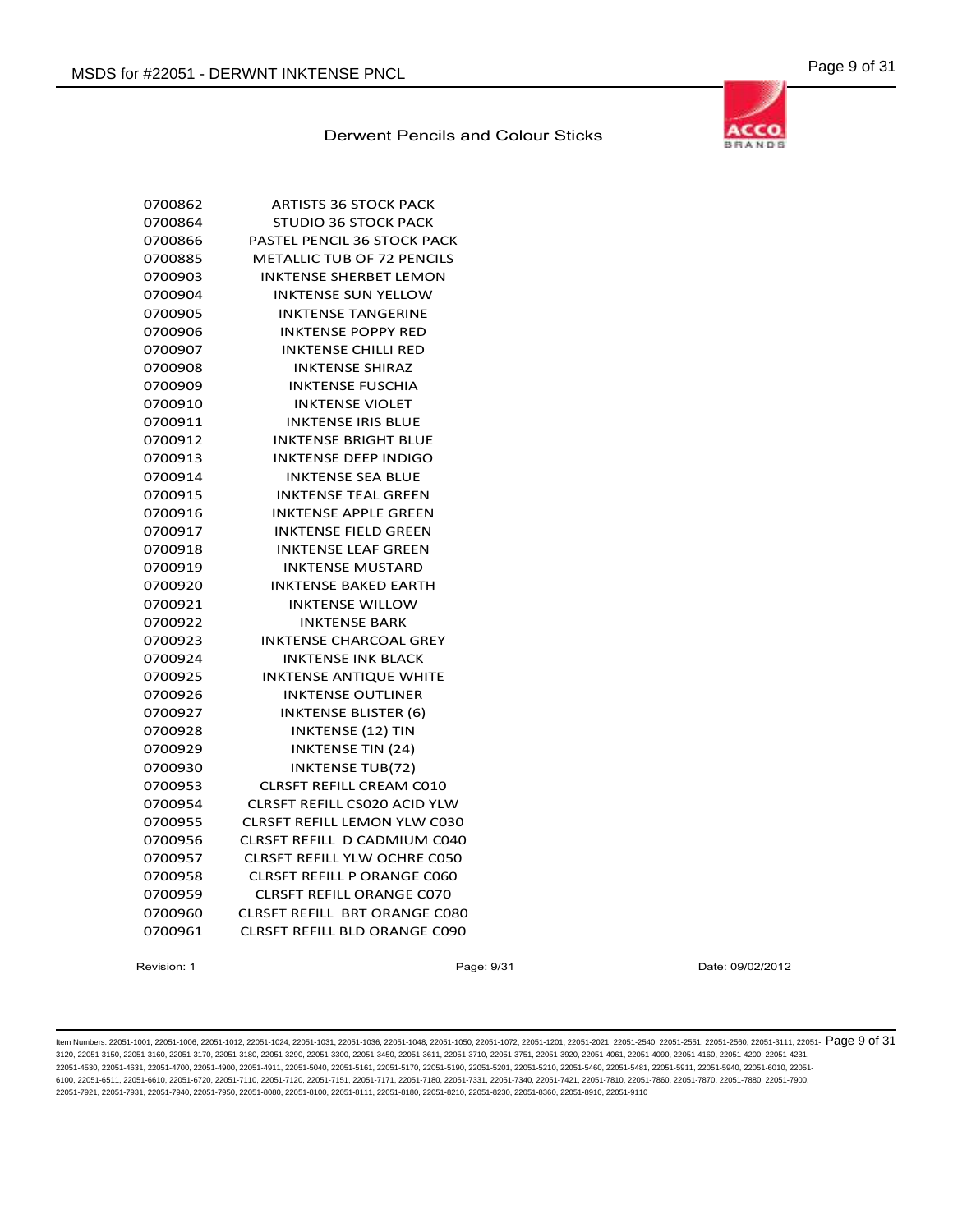

| 0700862 | <b>ARTISTS 36 STOCK PACK</b>         |
|---------|--------------------------------------|
| 0700864 | <b>STUDIO 36 STOCK PACK</b>          |
| 0700866 | PASTEL PENCIL 36 STOCK PACK          |
| 0700885 | <b>METALLIC TUB OF 72 PENCILS</b>    |
| 0700903 | <b>INKTENSE SHERBET LEMON</b>        |
| 0700904 | <b>INKTENSE SUN YELLOW</b>           |
| 0700905 | <b>INKTENSE TANGERINE</b>            |
| 0700906 | <b>INKTENSE POPPY RED</b>            |
| 0700907 | <b>INKTENSE CHILLI RED</b>           |
| 0700908 | <b>INKTENSE SHIRAZ</b>               |
| 0700909 | <b>INKTENSE FUSCHIA</b>              |
| 0700910 | <b>INKTENSE VIOLET</b>               |
| 0700911 | <b>INKTENSE IRIS BLUE</b>            |
| 0700912 | <b>INKTENSE BRIGHT BLUE</b>          |
| 0700913 | <b>INKTENSE DEEP INDIGO</b>          |
| 0700914 | <b>INKTENSE SEA BLUE</b>             |
| 0700915 | <b>INKTENSE TEAL GREEN</b>           |
| 0700916 | <b>INKTENSE APPLE GREEN</b>          |
| 0700917 | <b>INKTENSE FIELD GREEN</b>          |
| 0700918 | <b>INKTENSE LEAF GREEN</b>           |
| 0700919 | <b>INKTENSE MUSTARD</b>              |
| 0700920 | <b>INKTENSE BAKED EARTH</b>          |
| 0700921 | <b>INKTENSE WILLOW</b>               |
| 0700922 | <b>INKTENSE BARK</b>                 |
| 0700923 | <b>INKTENSE CHARCOAL GREY</b>        |
| 0700924 | <b>INKTENSE INK BLACK</b>            |
| 0700925 | <b>INKTENSE ANTIQUE WHITE</b>        |
| 0700926 | INKTENSE OUTLINER                    |
| 0700927 | <b>INKTENSE BLISTER (6)</b>          |
| 0700928 | <b>INKTENSE (12) TIN</b>             |
| 0700929 | <b>INKTENSE TIN (24)</b>             |
| 0700930 | <b>INKTENSE TUB(72)</b>              |
| 0700953 | <b>CLRSFT REFILL CREAM C010</b>      |
| 0700954 | CLRSFT REFILL CS020 ACID YLW         |
| 0700955 | <b>CLRSFT REFILL LEMON YLW C030</b>  |
| 0700956 | <b>CLRSFT REFILL D CADMIUM C040</b>  |
| 0700957 | <b>CLRSFT REFILL YLW OCHRE C050</b>  |
| 0700958 | <b>CLRSFT REFILL P ORANGE C060</b>   |
| 0700959 | <b>CLRSFT REFILL ORANGE C070</b>     |
| 0700960 | CLRSFT REFILL BRT ORANGE C080        |
| 0700961 | <b>CLRSFT REFILL BLD ORANGE C090</b> |

Revision: 1 Page: 9/31 Date: 09/02/2012

ltem Numbers: 22051-1001, 22051-1006, 22051-1012, 22051-1024, 22051-1031, 22051-1036, 22051-1048, 22051-1050, 22051-1050, 22051-1020, 22051-1201, 22051-2020, 22051-2540, 22051-2551, 22051-2560, 22051-3111, 22051-  $\overline{\text{Page$ 3120, 22051-3150, 22051-3160, 22051-3170, 22051-3180, 22051-3290, 22051-3300, 22051-3450, 22051-3611, 22051-3710, 22051-3751, 22051-3920, 22051-4061, 22051-4090, 22051-4160, 22051-4200, 22051-4231, 22051-4530, 22051-4631, 22051-4700, 22051-4900, 22051-4911, 22051-5040, 22051-5161, 22051-5170, 22051-5190, 22051-5201, 22051-5210, 22051-5460, 22051-5481, 22051-5911, 22051-5940, 22051-6010, 22051- 6100, 22051-6511, 22051-6610, 22051-6720, 22051-7110, 22051-7120, 22051-7151, 22051-7111, 22051-7180, 22051-7331, 22051-7400, 22051-7421, 22051-7810, 22051-7800, 22051-7880, 22051-7890, 22051-7810, 22051-7880, 22051-7880, 2 22051-7921, 22051-7931, 22051-7940, 22051-7950, 22051-8080, 22051-8100, 22051-8111, 22051-8180, 22051-8210, 22051-8230, 22051-8360, 22051-8910, 22051-9110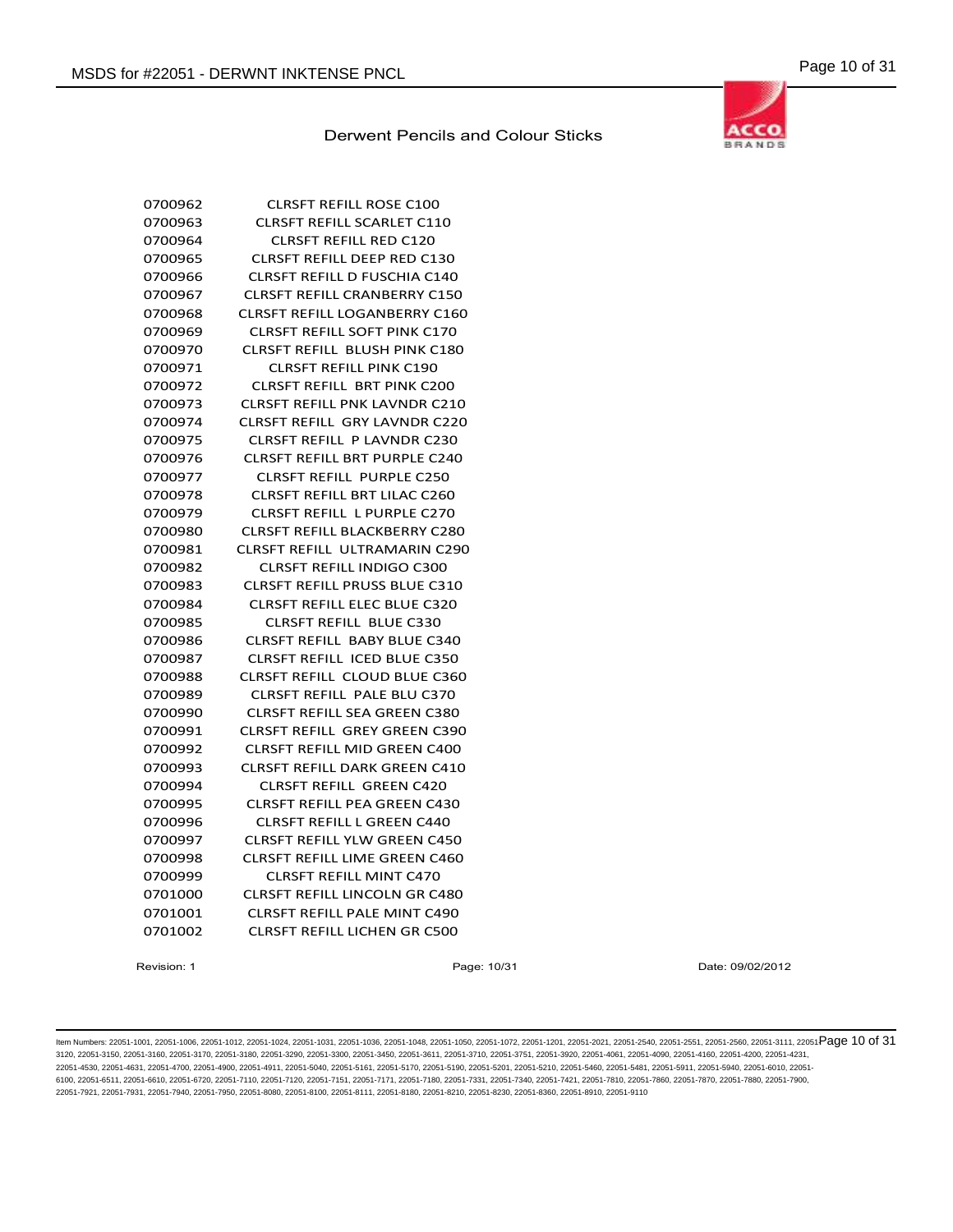

| 0700962 | <b>CLRSFT REFILL ROSE C100</b>       |
|---------|--------------------------------------|
| 0700963 | CLRSFT REFILL SCARLET C110           |
| 0700964 | <b>CLRSFT REFILL RED C120</b>        |
| 0700965 | <b>CLRSFT REFILL DEEP RED C130</b>   |
| 0700966 | <b>CLRSFT REFILL D FUSCHIA C140</b>  |
| 0700967 | <b>CLRSFT REFILL CRANBERRY C150</b>  |
| 0700968 | <b>CLRSFT REFILL LOGANBERRY C160</b> |
| 0700969 | <b>CLRSFT REFILL SOFT PINK C170</b>  |
| 0700970 | <b>CLRSFT REFILL BLUSH PINK C180</b> |
| 0700971 | <b>CLRSFT REFILL PINK C190</b>       |
| 0700972 | <b>CLRSFT REFILL BRT PINK C200</b>   |
| 0700973 | <b>CLRSFT REFILL PNK LAVNDR C210</b> |
| 0700974 | <b>CLRSFT REFILL GRY LAVNDR C220</b> |
| 0700975 | <b>CLRSFT REFILL P LAVNDR C230</b>   |
| 0700976 | <b>CLRSFT REFILL BRT PURPLE C240</b> |
| 0700977 | <b>CLRSFT REFILL PURPLE C250</b>     |
| 0700978 | <b>CLRSFT REFILL BRT LILAC C260</b>  |
| 0700979 | <b>CLRSFT REFILL L PURPLE C270</b>   |
| 0700980 | <b>CLRSFT REFILL BLACKBERRY C280</b> |
| 0700981 | CLRSFT REFILL ULTRAMARIN C290        |
| 0700982 | <b>CLRSFT REFILL INDIGO C300</b>     |
| 0700983 | <b>CLRSFT REFILL PRUSS BLUE C310</b> |
| 0700984 | <b>CLRSFT REFILL ELEC BLUE C320</b>  |
| 0700985 | <b>CLRSFT REFILL BLUE C330</b>       |
| 0700986 | <b>CLRSFT REFILL BABY BLUE C340</b>  |
| 0700987 | <b>CLRSFT REFILL ICED BLUE C350</b>  |
| 0700988 | <b>CLRSFT REFILL CLOUD BLUE C360</b> |
| 0700989 | <b>CLRSFT REFILL PALE BLU C370</b>   |
| 0700990 | <b>CLRSFT REFILL SEA GREEN C380</b>  |
| 0700991 | <b>CLRSFT REFILL GREY GREEN C390</b> |
| 0700992 | <b>CLRSFT REFILL MID GREEN C400</b>  |
| 0700993 | <b>CLRSFT REFILL DARK GREEN C410</b> |
| 0700994 | <b>CLRSFT REFILL GREEN C420</b>      |
| 0700995 | <b>CLRSFT REFILL PEA GREEN C430</b>  |
| 0700996 | <b>CLRSFT REFILL L GREEN C440</b>    |
| 0700997 | CLRSFT REFILL YLW GREEN C450         |
| 0700998 | <b>CLRSFT REFILL LIME GREEN C460</b> |
| 0700999 | <b>CLRSFT REFILL MINT C470</b>       |
| 0701000 | <b>CLRSFT REFILL LINCOLN GR C480</b> |
| 0701001 | <b>CLRSFT REFILL PALE MINT C490</b>  |
| 0701002 | <b>CLRSFT REFILL LICHEN GR C500</b>  |

Revision: 1 **Page: 10/31** Page: 10/31 Date: 09/02/2012

ltem Numbers: 22051-1001, 22051-1006, 22051-1012, 22051-1024, 22051-1031, 22051-1036, 22051-1048, 22051-1050, 22051-1050, 22051-1201, 22051-2051, 22051-2560, 22051-2560, 22051-3111, 22051-3111, 22051-2580, 22051-351, 22051 3120, 22051-3150, 22051-3160, 22051-3170, 22051-3180, 22051-3290, 22051-3300, 22051-3450, 22051-3611, 22051-3710, 22051-3751, 22051-3920, 22051-4061, 22051-4090, 22051-4160, 22051-4200, 22051-4231, 22051-4530, 22051-4631, 22051-4700, 22051-4900, 22051-4911, 22051-5040, 22051-5161, 22051-5170, 22051-5190, 22051-5201, 22051-5210, 22051-5460, 22051-5481, 22051-5911, 22051-5940, 22051-6010, 22051- 6100, 22051-6511, 22051-6610, 22051-6720, 22051-7110, 22051-7120, 22051-7151, 22051-7171, 22051-7180, 22051-7331, 22051-7340, 22051-7421, 22051-7810, 22051-7860, 22051-7870, 22051-7880, 22051-7900, 22051-7921, 22051-7931, 22051-7940, 22051-7950, 22051-8080, 22051-8100, 22051-8111, 22051-8180, 22051-8210, 22051-8230, 22051-8360, 22051-8910, 22051-9110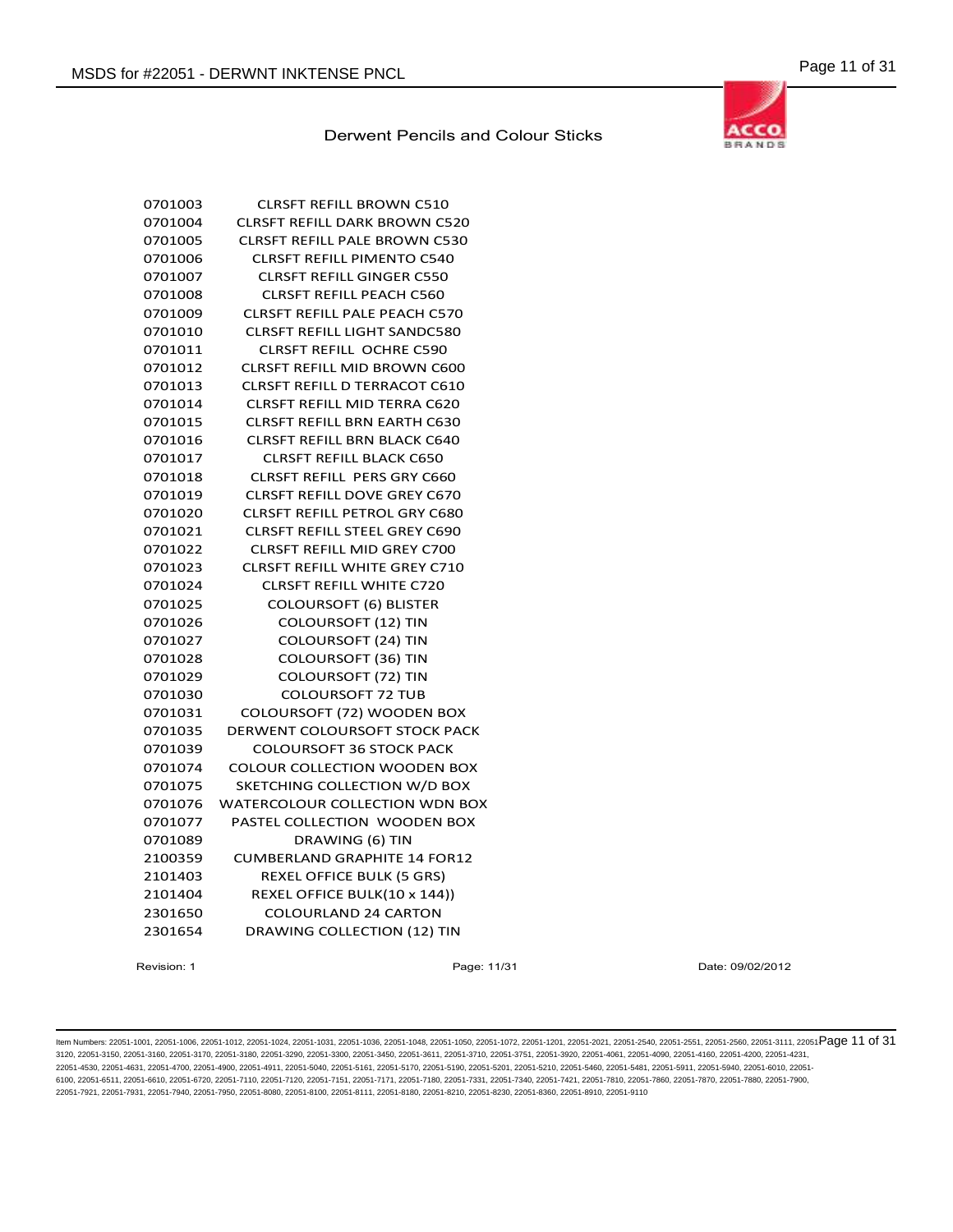

| 0701003 | <b>CLRSFT REFILL BROWN C510</b>       |
|---------|---------------------------------------|
| 0701004 | <b>CLRSFT REFILL DARK BROWN C520</b>  |
| 0701005 | <b>CLRSFT REFILL PALE BROWN C530</b>  |
| 0701006 | <b>CLRSFT REFILL PIMENTO C540</b>     |
| 0701007 | <b>CLRSFT REFILL GINGER C550</b>      |
| 0701008 | <b>CLRSFT REFILL PEACH C560</b>       |
| 0701009 | <b>CLRSFT REFILL PALE PEACH C570</b>  |
| 0701010 | <b>CLRSFT REFILL LIGHT SANDC580</b>   |
| 0701011 | <b>CLRSFT REFILL OCHRE C590</b>       |
| 0701012 | <b>CLRSFT REFILL MID BROWN C600</b>   |
| 0701013 | <b>CLRSFT REFILL D TERRACOT C610</b>  |
| 0701014 | <b>CLRSFT REFILL MID TERRA C620</b>   |
| 0701015 | <b>CLRSFT REFILL BRN EARTH C630</b>   |
| 0701016 | <b>CLRSFT REFILL BRN BLACK C640</b>   |
| 0701017 | <b>CLRSFT REFILL BLACK C650</b>       |
| 0701018 | <b>CLRSFT REFILL PERS GRY C660</b>    |
| 0701019 | <b>CLRSFT REFILL DOVE GREY C670</b>   |
| 0701020 | <b>CLRSFT REFILL PETROL GRY C680</b>  |
| 0701021 | <b>CLRSFT REFILL STEEL GREY C690</b>  |
| 0701022 | <b>CLRSFT REFILL MID GREY C700</b>    |
| 0701023 | <b>CLRSFT REFILL WHITE GREY C710</b>  |
| 0701024 | <b>CLRSFT REFILL WHITE C720</b>       |
| 0701025 | <b>COLOURSOFT (6) BLISTER</b>         |
| 0701026 | <b>COLOURSOFT (12) TIN</b>            |
| 0701027 | <b>COLOURSOFT (24) TIN</b>            |
| 0701028 | <b>COLOURSOFT (36) TIN</b>            |
| 0701029 | <b>COLOURSOFT (72) TIN</b>            |
| 0701030 | <b>COLOURSOFT 72 TUB</b>              |
| 0701031 | COLOURSOFT (72) WOODEN BOX            |
| 0701035 | <b>DERWENT COLOURSOFT STOCK PACK</b>  |
| 0701039 | <b>COLOURSOFT 36 STOCK PACK</b>       |
| 0701074 | <b>COLOUR COLLECTION WOODEN BOX</b>   |
| 0701075 | SKETCHING COLLECTION W/D BOX          |
| 0701076 | <b>WATERCOLOUR COLLECTION WDN BOX</b> |
| 0701077 | PASTEL COLLECTION WOODEN BOX          |
| 0701089 | DRAWING (6) TIN                       |
| 2100359 | <b>CUMBERLAND GRAPHITE 14 FOR12</b>   |
| 2101403 | REXEL OFFICE BULK (5 GRS)             |
| 2101404 | REXEL OFFICE BULK(10 x 144))          |
| 2301650 | <b>COLOURLAND 24 CARTON</b>           |
| 2301654 | <b>DRAWING COLLECTION (12) TIN</b>    |
|         |                                       |

Revision: 1 **Page: 11/31** Page: 11/31 Date: 09/02/2012

ltem Numbers: 22051-1001, 22051-1006, 22051-1012, 22051-1024, 22051-1031, 22051-1036, 22051-1048, 22051-1050, 22051-1050, 22051-1201, 22051-2051, 22051-2560, 22051-2560, 22051-3111, 22051-3111, 22051-2560, 22051-351, 22051 3120, 22051-3150, 22051-3160, 22051-3170, 22051-3180, 22051-3290, 22051-3300, 22051-3450, 22051-3611, 22051-3710, 22051-3751, 22051-3920, 22051-4061, 22051-4090, 22051-4160, 22051-4200, 22051-4231, 22051-4530, 22051-4631, 22051-4700, 22051-4900, 22051-4911, 22051-5040, 22051-5161, 22051-5170, 22051-5190, 22051-5201, 22051-5210, 22051-5460, 22051-5481, 22051-5911, 22051-5940, 22051-6010, 22051- 6100, 22051-6511, 22051-6610, 22051-6720, 22051-7110, 22051-7120, 22051-7151, 22051-7171, 22051-7180, 22051-7331, 22051-7340, 22051-7421, 22051-7810, 22051-7860, 22051-7870, 22051-7880, 22051-7900, 22051-7921, 22051-7931, 22051-7940, 22051-7950, 22051-8080, 22051-8100, 22051-8111, 22051-8180, 22051-8210, 22051-8230, 22051-8360, 22051-8910, 22051-9110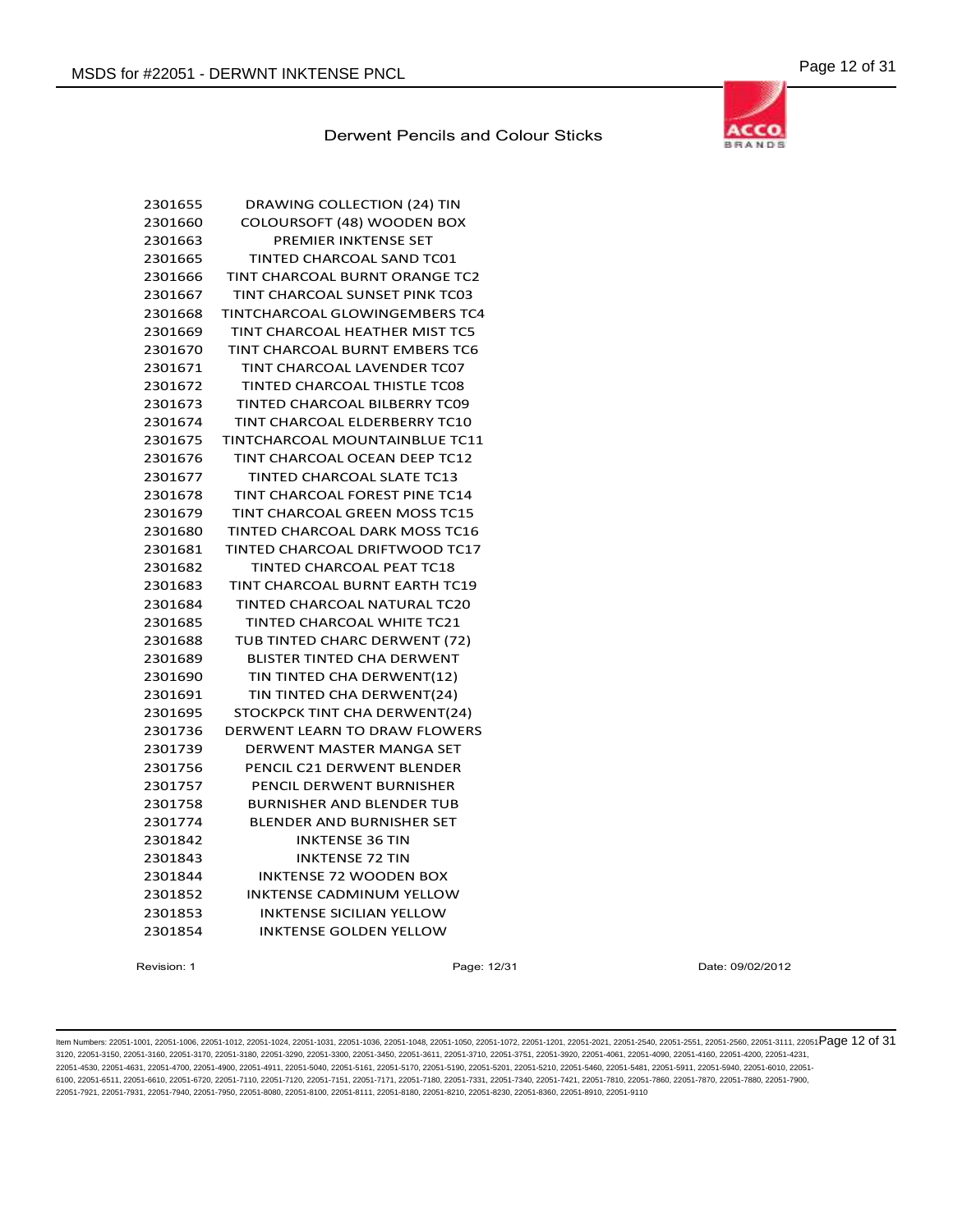

| 2301655<br>2301660 | DRAWING COLLECTION (24) TIN<br>COLOURSOFT (48) WOODEN BOX |
|--------------------|-----------------------------------------------------------|
| 2301663            | PREMIER INKTENSE SET                                      |
| 2301665            | TINTED CHARCOAL SAND TC01                                 |
| 2301666            | TINT CHARCOAL BURNT ORANGE TC2                            |
| 2301667            | TINT CHARCOAL SUNSET PINK TC03                            |
| 2301668            | TINTCHARCOAL GLOWINGEMBERS TC4                            |
| 2301669            | TINT CHARCOAL HEATHER MIST TC5                            |
| 2301670            | <b>TINT CHARCOAL BURNT EMBERS TC6</b>                     |
| 2301671            | TINT CHARCOAL LAVENDER TC07                               |
| 2301672            | <b>TINTED CHARCOAL THISTLE TC08</b>                       |
| 2301673            | TINTED CHARCOAL BILBERRY TC09                             |
| 2301674            | TINT CHARCOAL ELDERBERRY TC10                             |
| 2301675            | <b>TINTCHARCOAL MOUNTAINBLUE TC11</b>                     |
| 2301676            | TINT CHARCOAL OCEAN DEEP TC12                             |
| 2301677            | <b>TINTED CHARCOAL SLATE TC13</b>                         |
| 2301678            | TINT CHARCOAL FOREST PINE TC14                            |
| 2301679            | TINT CHARCOAL GREEN MOSS TC15                             |
| 2301680            | <b>TINTED CHARCOAL DARK MOSS TC16</b>                     |
| 2301681            | TINTED CHARCOAL DRIFTWOOD TC17                            |
|                    |                                                           |
| 2301682            | <b>TINTED CHARCOAL PEAT TC18</b>                          |
| 2301683            | TINT CHARCOAL BURNT EARTH TC19                            |
| 2301684            | <b>TINTED CHARCOAL NATURAL TC20</b>                       |
| 2301685            | TINTED CHARCOAL WHITE TC21                                |
| 2301688            | TUB TINTED CHARC DERWENT (72)                             |
| 2301689            | <b>BLISTER TINTED CHA DERWENT</b>                         |
| 2301690            | TIN TINTED CHA DERWENT(12)                                |
| 2301691            | TIN TINTED CHA DERWENT(24)                                |
| 2301695            | STOCKPCK TINT CHA DERWENT(24)                             |
| 2301736            | DERWENT LEARN TO DRAW FLOWERS                             |
| 2301739            | DERWENT MASTER MANGA SET                                  |
| 2301756            | PENCIL C21 DERWENT BLENDER                                |
| 2301757            | PENCIL DERWENT BURNISHER                                  |
| 2301758            | <b>BURNISHER AND BLENDER TUB</b>                          |
| 2301774            | <b>BLENDER AND BURNISHER SET</b>                          |
| 2301842            | <b>INKTENSE 36 TIN</b>                                    |
| 2301843            | <b>INKTENSE 72 TIN</b>                                    |
| 2301844            | <b>INKTENSE 72 WOODEN BOX</b>                             |
| 2301852            | <b>INKTENSE CADMINUM YELLOW</b>                           |
| 2301853            | <b>INKTENSE SICILIAN YELLOW</b>                           |
| 2301854            | <b>INKTENSE GOLDEN YELLOW</b>                             |
|                    |                                                           |

Revision: 1 Page: 12/31 Date: 09/02/2012

ltem Numbers: 22051-1001, 22051-1006, 22051-1012, 22051-1024, 22051-1031, 22051-1036, 22051-1048, 22051-1050, 22051-1050, 22051-1201, 22051-2001, 22051-2051, 22051-2551, 22051-2560, 22051-3111, 22051-850 Page 12 of 31 3120, 22051-3150, 22051-3160, 22051-3170, 22051-3180, 22051-3290, 22051-3300, 22051-3450, 22051-3611, 22051-3710, 22051-3751, 22051-3920, 22051-4061, 22051-4090, 22051-4160, 22051-4200, 22051-4231, 22051-4530, 22051-4631, 22051-4700, 22051-4900, 22051-4911, 22051-5040, 22051-5161, 22051-5170, 22051-5190, 22051-5201, 22051-5210, 22051-5460, 22051-5481, 22051-5911, 22051-5940, 22051-6010, 22051- 6100, 22051-6511, 22051-6610, 22051-6720, 22051-7110, 22051-7120, 22051-7151, 22051-7171, 22051-7180, 22051-7331, 22051-7340, 22051-7421, 22051-7810, 22051-7860, 22051-7870, 22051-7880, 22051-7900, 22051-7921, 22051-7931, 22051-7940, 22051-7950, 22051-8080, 22051-8100, 22051-8111, 22051-8180, 22051-8210, 22051-8230, 22051-8360, 22051-8910, 22051-9110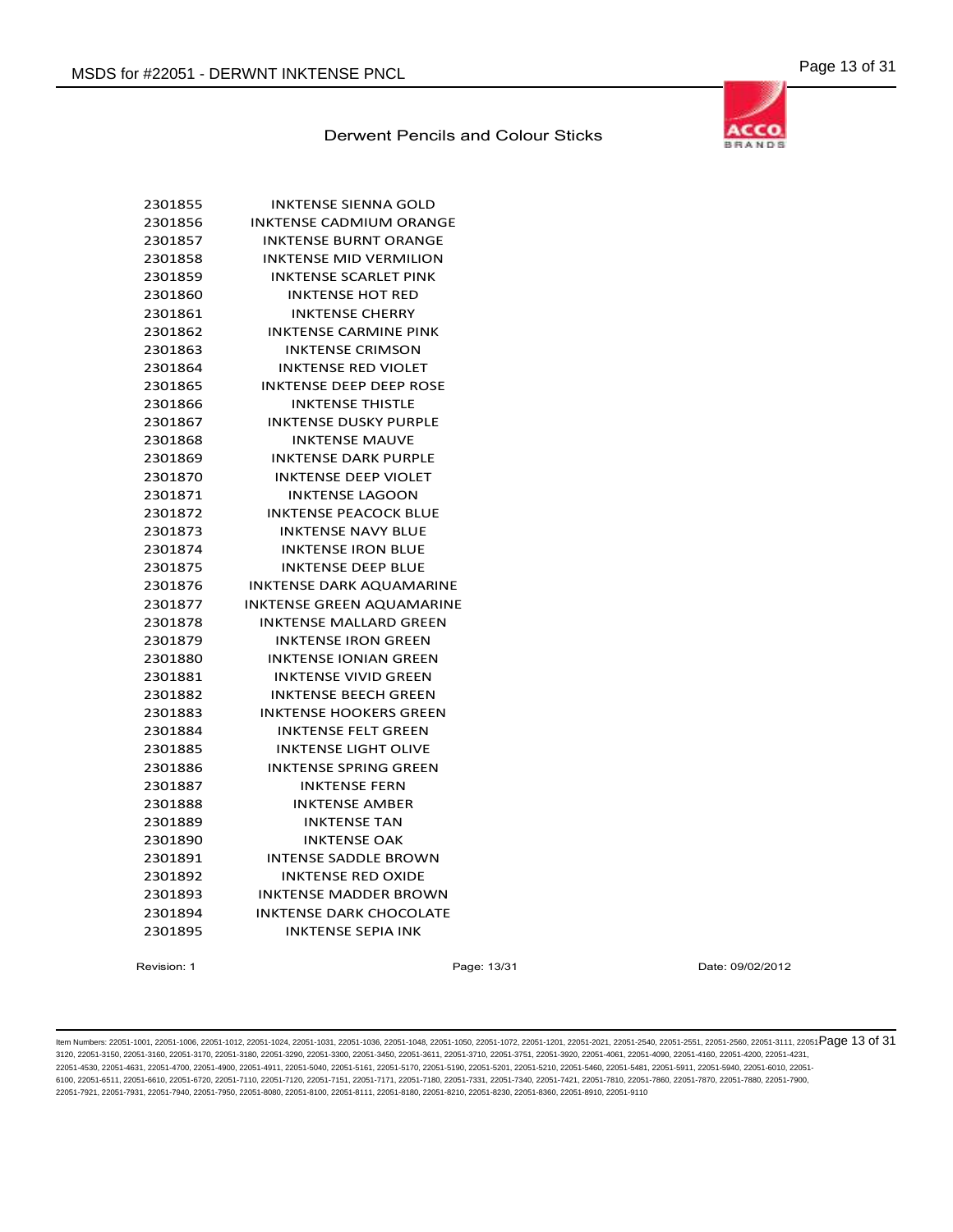

| 2301855 | INKTENSE SIENNA GOLD            |
|---------|---------------------------------|
| 2301856 | <b>INKTENSE CADMIUM ORANGE</b>  |
| 2301857 | <b>INKTENSE BURNT ORANGE</b>    |
| 2301858 | <b>INKTENSE MID VERMILION</b>   |
| 2301859 | <b>INKTENSE SCARLET PINK</b>    |
| 2301860 | <b>INKTENSE HOT RED</b>         |
| 2301861 | <b>INKTENSE CHERRY</b>          |
| 2301862 | <b>INKTENSE CARMINE PINK</b>    |
| 2301863 | <b>INKTENSE CRIMSON</b>         |
| 2301864 | <b>INKTENSE RED VIOLET</b>      |
| 2301865 | <b>INKTENSE DEEP DEEP ROSE</b>  |
| 2301866 | <b>INKTENSE THISTLE</b>         |
| 2301867 | <b>INKTENSE DUSKY PURPLE</b>    |
| 2301868 | <b>INKTENSE MAUVE</b>           |
| 2301869 | <b>INKTENSE DARK PURPLE</b>     |
| 2301870 | <b>INKTENSE DEEP VIOLET</b>     |
| 2301871 | <b>INKTENSE LAGOON</b>          |
| 2301872 | <b>INKTENSE PEACOCK BLUE</b>    |
| 2301873 | <b>INKTENSE NAVY BLUE</b>       |
| 2301874 | <b>INKTENSE IRON BLUE</b>       |
| 2301875 | <b>INKTENSE DEEP BLUE</b>       |
| 2301876 | <b>INKTENSE DARK AQUAMARINE</b> |
| 2301877 | INKTENSE GREEN AQUAMARINE       |
| 2301878 | <b>INKTENSE MALLARD GREEN</b>   |
| 2301879 | <b>INKTENSE IRON GREEN</b>      |
| 2301880 | <b>INKTENSE IONIAN GREEN</b>    |
| 2301881 | <b>INKTENSE VIVID GREEN</b>     |
| 2301882 | <b>INKTENSE BEECH GREEN</b>     |
| 2301883 | <b>INKTENSE HOOKERS GREEN</b>   |
| 2301884 | <b>INKTENSE FELT GREEN</b>      |
| 2301885 | <b>INKTENSE LIGHT OLIVE</b>     |
| 2301886 | <b>INKTENSE SPRING GREEN</b>    |
| 2301887 | <b>INKTENSE FERN</b>            |
| 2301888 | <b>INKTENSE AMBER</b>           |
| 2301889 | <b>INKTENSE TAN</b>             |
| 2301890 | <b>INKTENSE OAK</b>             |
| 2301891 | <b>INTENSE SADDLE BROWN</b>     |
| 2301892 | <b>INKTENSE RED OXIDE</b>       |
| 2301893 | <b>INKTENSE MADDER BROWN</b>    |
| 2301894 | <b>INKTENSE DARK CHOCOLATE</b>  |
| 2301895 | <b>INKTENSE SEPIA INK</b>       |
|         |                                 |

Revision: 1 Page: 13/31 Date: 09/02/2012

ltem Numbers: 22051-1001, 22051-1006, 22051-1012, 22051-1024, 22051-1031, 22051-1036, 22051-1048, 22051-1050, 22051-1050, 22051-1201, 22051-2001, 22051-2560, 22051-2560, 22051-3111, 22051-3111, 22051-2580, 22051-3111, 2205 3120, 22051-3150, 22051-3160, 22051-3170, 22051-3180, 22051-3290, 22051-3300, 22051-3450, 22051-3611, 22051-3710, 22051-3751, 22051-3920, 22051-4061, 22051-4090, 22051-4160, 22051-4200, 22051-4231, 22051-4530, 22051-4631, 22051-4700, 22051-4900, 22051-4911, 22051-5040, 22051-5161, 22051-5170, 22051-5190, 22051-5201, 22051-5210, 22051-5460, 22051-5481, 22051-5911, 22051-5940, 22051-6010, 22051- 6100, 22051-6511, 22051-6610, 22051-6720, 22051-7110, 22051-7120, 22051-7151, 22051-7171, 22051-7180, 22051-7331, 22051-7340, 22051-7421, 22051-7810, 22051-7860, 22051-7870, 22051-7880, 22051-7900, 22051-7921, 22051-7931, 22051-7940, 22051-7950, 22051-8080, 22051-8100, 22051-8111, 22051-8180, 22051-8210, 22051-8230, 22051-8360, 22051-8910, 22051-9110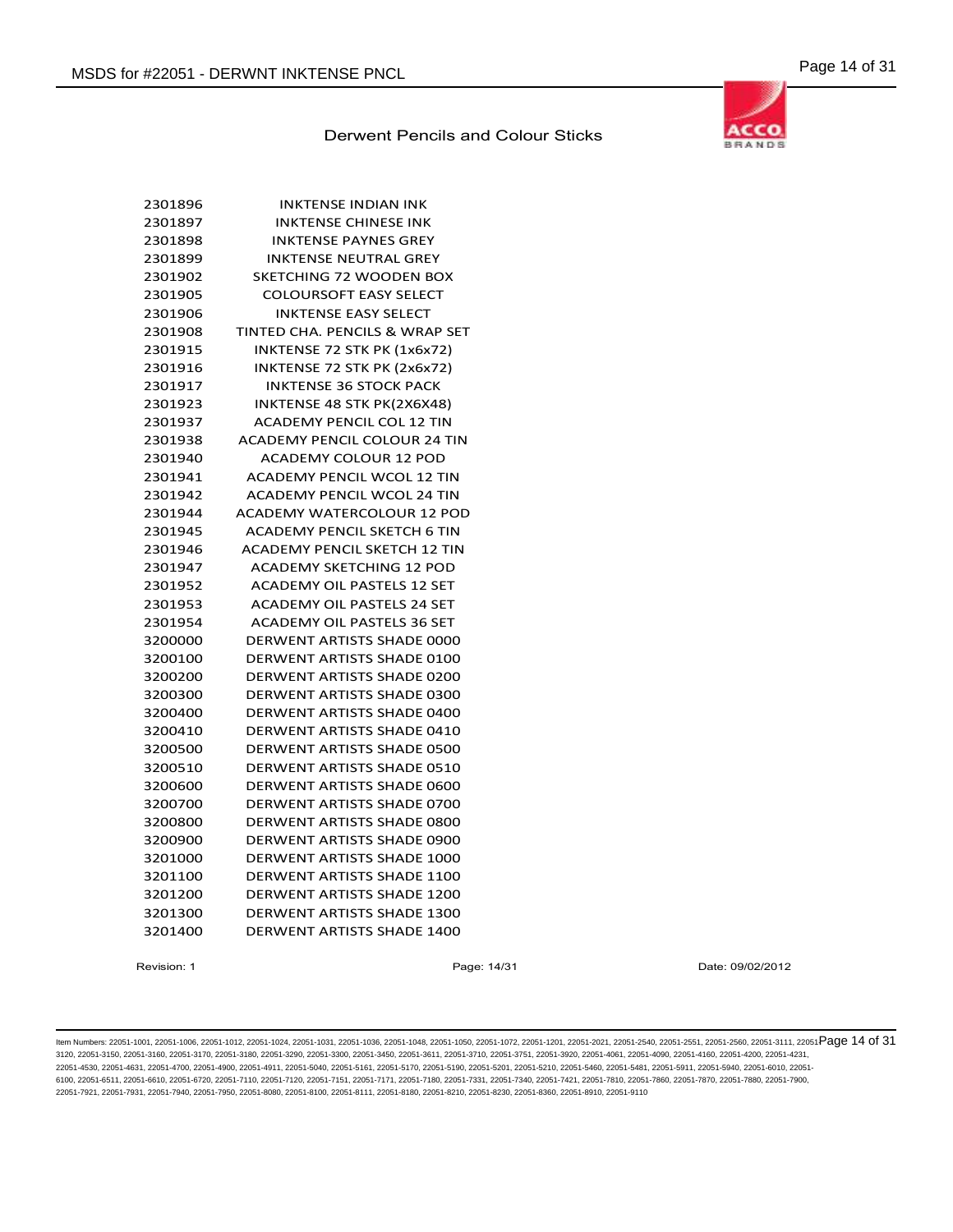

| 2301896 | INKTENSE INDIAN INK                 |
|---------|-------------------------------------|
| 2301897 | <b>INKTENSE CHINESE INK</b>         |
| 2301898 | <b>INKTENSE PAYNES GREY</b>         |
| 2301899 | <b>INKTENSE NEUTRAL GREY</b>        |
| 2301902 | SKETCHING 72 WOODEN BOX             |
| 2301905 | <b>COLOURSOFT EASY SELECT</b>       |
| 2301906 | <b>INKTENSE EASY SELECT</b>         |
| 2301908 | TINTED CHA. PENCILS & WRAP SET      |
| 2301915 | INKTENSE 72 STK PK (1x6x72)         |
| 2301916 | INKTENSE 72 STK PK (2x6x72)         |
| 2301917 | <b>INKTENSE 36 STOCK PACK</b>       |
| 2301923 | INKTENSE 48 STK PK(2X6X48)          |
| 2301937 | <b>ACADEMY PENCIL COL 12 TIN</b>    |
| 2301938 | <b>ACADEMY PENCIL COLOUR 24 TIN</b> |
| 2301940 | <b>ACADEMY COLOUR 12 POD</b>        |
| 2301941 | <b>ACADEMY PENCIL WCOL 12 TIN</b>   |
| 2301942 | <b>ACADEMY PENCIL WCOL 24 TIN</b>   |
| 2301944 | <b>ACADEMY WATERCOLOUR 12 POD</b>   |
| 2301945 | <b>ACADEMY PENCIL SKETCH 6 TIN</b>  |
| 2301946 | <b>ACADEMY PENCIL SKETCH 12 TIN</b> |
| 2301947 | <b>ACADEMY SKETCHING 12 POD</b>     |
| 2301952 | <b>ACADEMY OIL PASTELS 12 SET</b>   |
| 2301953 | ACADEMY OIL PASTELS 24 SET          |
| 2301954 | <b>ACADEMY OIL PASTELS 36 SET</b>   |
| 3200000 | <b>DERWENT ARTISTS SHADE 0000</b>   |
| 3200100 | DERWENT ARTISTS SHADE 0100          |
| 3200200 | DERWENT ARTISTS SHADE 0200          |
| 3200300 | <b>DERWENT ARTISTS SHADE 0300</b>   |
| 3200400 | <b>DERWENT ARTISTS SHADE 0400</b>   |
| 3200410 | <b>DERWENT ARTISTS SHADE 0410</b>   |
| 3200500 | <b>DERWENT ARTISTS SHADE 0500</b>   |
| 3200510 | <b>DERWENT ARTISTS SHADE 0510</b>   |
| 3200600 | DERWENT ARTISTS SHADE 0600          |
| 3200700 | DERWENT ARTISTS SHADE 0700          |
| 3200800 | <b>DERWENT ARTISTS SHADE 0800</b>   |
| 3200900 | <b>DERWENT ARTISTS SHADE 0900</b>   |
| 3201000 | <b>DERWENT ARTISTS SHADE 1000</b>   |
| 3201100 | DERWENT ARTISTS SHADE 1100          |
| 3201200 | <b>DERWENT ARTISTS SHADE 1200</b>   |
| 3201300 | <b>DERWENT ARTISTS SHADE 1300</b>   |
| 3201400 | DERWENT ARTISTS SHADE 1400          |

Revision: 1 Page: 14/31 Date: 09/02/2012

ltem Numbers: 22051-1001, 22051-1006, 22051-1012, 22051-1024, 22051-1031, 22051-1036, 22051-1048, 22051-1050, 22051-1050, 22051-1201, 22051-2001, 22051-2051, 22051-2551, 22051-2560, 22051-3111, 22051-Page 14 of 31 3120, 22051-3150, 22051-3160, 22051-3170, 22051-3180, 22051-3290, 22051-3300, 22051-3450, 22051-3611, 22051-3710, 22051-3751, 22051-3920, 22051-4061, 22051-4090, 22051-4160, 22051-4200, 22051-4231, 22051-4530, 22051-4631, 22051-4700, 22051-4900, 22051-4911, 22051-5040, 22051-5161, 22051-5170, 22051-5190, 22051-5201, 22051-5210, 22051-5460, 22051-5481, 22051-5911, 22051-5940, 22051-6010, 22051- 6100, 22051-6511, 22051-6610, 22051-6720, 22051-7110, 22051-7120, 22051-7151, 22051-7171, 22051-7180, 22051-7331, 22051-7340, 22051-7421, 22051-7810, 22051-7860, 22051-7870, 22051-7880, 22051-7900, 22051-7921, 22051-7931, 22051-7940, 22051-7950, 22051-8080, 22051-8100, 22051-8111, 22051-8180, 22051-8210, 22051-8230, 22051-8360, 22051-8910, 22051-9110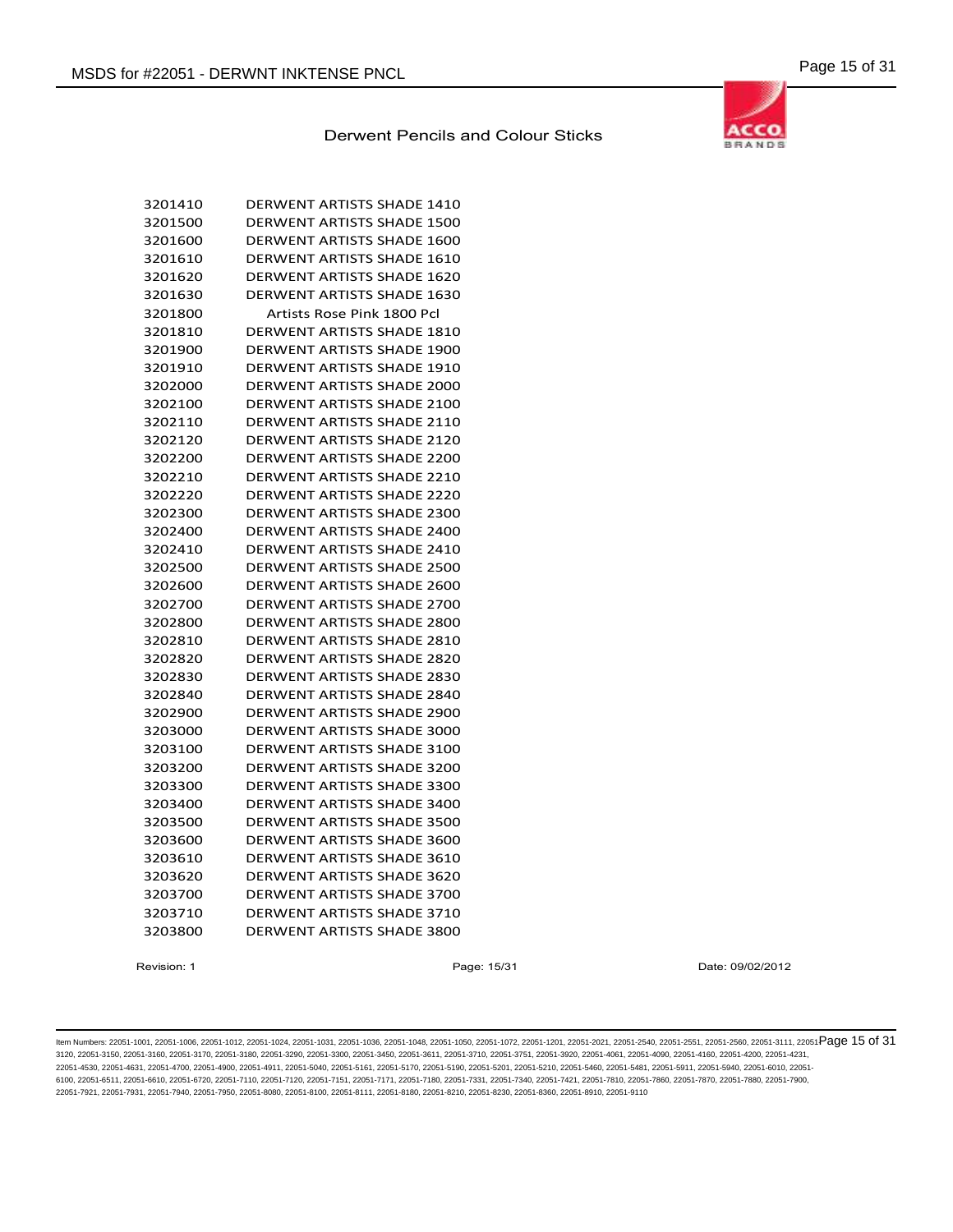**BRANDS** 

# Derwent Pencils and Colour Sticks

| 3201410 | DERWENT ARTISTS SHADE 1410        |
|---------|-----------------------------------|
| 3201500 | DERWENT ARTISTS SHADE 1500        |
| 3201600 | DERWENT ARTISTS SHADE 1600        |
| 3201610 | DERWENT ARTISTS SHADE 1610        |
| 3201620 | DERWENT ARTISTS SHADE 1620        |
| 3201630 | <b>DERWENT ARTISTS SHADE 1630</b> |
| 3201800 | Artists Rose Pink 1800 Pcl        |
| 3201810 | DERWENT ARTISTS SHADE 1810        |
| 3201900 | <b>DERWENT ARTISTS SHADE 1900</b> |
| 3201910 | DERWENT ARTISTS SHADE 1910        |
| 3202000 | <b>DERWENT ARTISTS SHADE 2000</b> |
| 3202100 | DERWENT ARTISTS SHADE 2100        |
| 3202110 | DERWENT ARTISTS SHADE 2110        |
| 3202120 | <b>DERWENT ARTISTS SHADE 2120</b> |
| 3202200 | DERWENT ARTISTS SHADE 2200        |
| 3202210 | <b>DERWENT ARTISTS SHADE 2210</b> |
| 3202220 | <b>DERWENT ARTISTS SHADE 2220</b> |
| 3202300 | DERWENT ARTISTS SHADE 2300        |
| 3202400 | <b>DERWENT ARTISTS SHADE 2400</b> |
| 3202410 | DERWENT ARTISTS SHADE 2410        |
| 3202500 | DERWENT ARTISTS SHADE 2500        |
| 3202600 | <b>DERWENT ARTISTS SHADE 2600</b> |
| 3202700 | <b>DERWENT ARTISTS SHADE 2700</b> |
| 3202800 | <b>DERWENT ARTISTS SHADE 2800</b> |
| 3202810 | <b>DERWENT ARTISTS SHADE 2810</b> |
| 3202820 | DERWENT ARTISTS SHADE 2820        |
| 3202830 | <b>DERWENT ARTISTS SHADE 2830</b> |
| 3202840 | DERWENT ARTISTS SHADE 2840        |
| 3202900 | <b>DERWENT ARTISTS SHADE 2900</b> |
| 3203000 | <b>DERWENT ARTISTS SHADE 3000</b> |
| 3203100 | DERWENT ARTISTS SHADE 3100        |
| 3203200 | <b>DERWENT ARTISTS SHADE 3200</b> |
| 3203300 | DERWENT ARTISTS SHADE 3300        |
| 3203400 | DERWENT ARTISTS SHADE 3400        |
| 3203500 | <b>DERWENT ARTISTS SHADE 3500</b> |
| 3203600 | DERWENT ARTISTS SHADE 3600        |
| 3203610 | DERWENT ARTISTS SHADE 3610        |
| 3203620 | <b>DERWENT ARTISTS SHADE 3620</b> |
| 3203700 | <b>DERWENT ARTISTS SHADE 3700</b> |
| 3203710 | <b>DERWENT ARTISTS SHADE 3710</b> |
| 3203800 | DERWENT ARTISTS SHADE 3800        |

Revision: 1 **Page: 15/31** Page: 15/31 Date: 09/02/2012

ltem Numbers: 22051-1001, 22051-1006, 22051-1012, 22051-1024, 22051-1031, 22051-1036, 22051-1048, 22051-1050, 22051-1050, 22051-1201, 22051-2051, 22051-2560, 22051-2560, 22051-3111, 22051-3111, 22051-2580, 22051-351, 22051 3120, 22051-3150, 22051-3160, 22051-3170, 22051-3180, 22051-3290, 22051-3300, 22051-3450, 22051-3611, 22051-3710, 22051-3751, 22051-3920, 22051-4061, 22051-4090, 22051-4160, 22051-4200, 22051-4231, 22051-4530, 22051-4631, 22051-4700, 22051-4900, 22051-4911, 22051-5040, 22051-5161, 22051-5170, 22051-5190, 22051-5201, 22051-5210, 22051-5460, 22051-5481, 22051-5911, 22051-5940, 22051-6010, 22051- 6100, 22051-6511, 22051-6610, 22051-6720, 22051-7110, 22051-7120, 22051-7151, 22051-7171, 22051-7180, 22051-7331, 22051-7340, 22051-7421, 22051-7810, 22051-7860, 22051-7870, 22051-7880, 22051-7900, 22051-7921, 22051-7931, 22051-7940, 22051-7950, 22051-8080, 22051-8100, 22051-8111, 22051-8180, 22051-8210, 22051-8230, 22051-8360, 22051-8910, 22051-9110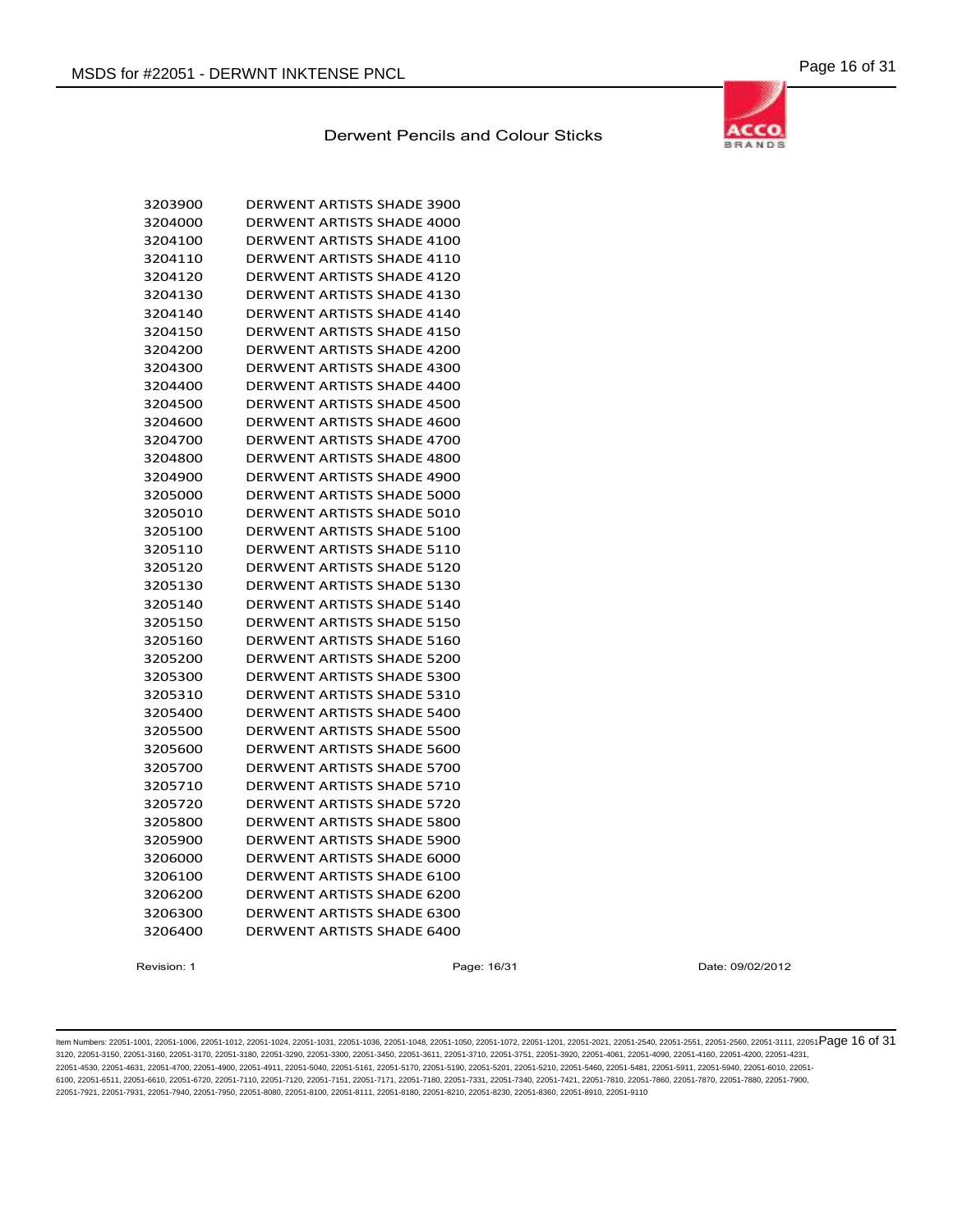

| 3203900 | <b>DERWENT ARTISTS SHADE 3900</b> |
|---------|-----------------------------------|
| 3204000 | <b>DERWENT ARTISTS SHADE 4000</b> |
| 3204100 | DERWENT ARTISTS SHADE 4100        |
| 3204110 | DERWENT ARTISTS SHADE 4110        |
| 3204120 | <b>DERWENT ARTISTS SHADE 4120</b> |
| 3204130 | <b>DERWENT ARTISTS SHADE 4130</b> |
| 3204140 | DERWENT ARTISTS SHADE 4140        |
| 3204150 | DERWENT ARTISTS SHADE 4150        |
| 3204200 | <b>DERWENT ARTISTS SHADE 4200</b> |
| 3204300 | DERWENT ARTISTS SHADE 4300        |
| 3204400 | DERWENT ARTISTS SHADE 4400        |
| 3204500 | <b>DERWENT ARTISTS SHADE 4500</b> |
| 3204600 | <b>DERWENT ARTISTS SHADE 4600</b> |
| 3204700 | DERWENT ARTISTS SHADE 4700        |
| 3204800 | DERWENT ARTISTS SHADE 4800        |
| 3204900 | DERWENT ARTISTS SHADE 4900        |
| 3205000 | <b>DERWENT ARTISTS SHADE 5000</b> |
| 3205010 | DERWENT ARTISTS SHADE 5010        |
| 3205100 | <b>DERWENT ARTISTS SHADE 5100</b> |
| 3205110 | DERWENT ARTISTS SHADE 5110        |
| 3205120 | DERWENT ARTISTS SHADE 5120        |
| 3205130 | DERWENT ARTISTS SHADE 5130        |
| 3205140 | DERWENT ARTISTS SHADE 5140        |
| 3205150 | DERWENT ARTISTS SHADE 5150        |
| 3205160 | <b>DERWENT ARTISTS SHADE 5160</b> |
| 3205200 | <b>DERWENT ARTISTS SHADE 5200</b> |
| 3205300 | DERWENT ARTISTS SHADE 5300        |
| 3205310 | <b>DERWENT ARTISTS SHADE 5310</b> |
| 3205400 | <b>DERWENT ARTISTS SHADE 5400</b> |
| 3205500 | <b>DERWENT ARTISTS SHADE 5500</b> |
| 3205600 | DERWENT ARTISTS SHADE 5600        |
| 3205700 | DERWENT ARTISTS SHADE 5700        |
| 3205710 | DERWENT ARTISTS SHADE 5710        |
| 3205720 | DERWENT ARTISTS SHADE 5720        |
| 3205800 | DERWENT ARTISTS SHADE 5800        |
| 3205900 | DERWENT ARTISTS SHADE 5900        |
| 3206000 | DERWENT ARTISTS SHADE 6000        |
| 3206100 | DERWENT ARTISTS SHADE 6100        |
| 3206200 | <b>DERWENT ARTISTS SHADE 6200</b> |
| 3206300 | DERWENT ARTISTS SHADE 6300        |
| 3206400 | <b>DERWENT ARTISTS SHADE 6400</b> |

Revision: 1 Page: 16/31 Date: 09/02/2012

ltem Numbers: 22051-1001, 22051-1006, 22051-1012, 22051-1024, 22051-1031, 22051-1036, 22051-1048, 22051-1050, 22051-1050, 22051-1201, 22051-2051, 22051-2560, 22051-2560, 22051-3111, 22051-3111, 22051-2580, 22051-351, 22051 3120, 22051-3150, 22051-3160, 22051-3170, 22051-3180, 22051-3290, 22051-3300, 22051-3450, 22051-3611, 22051-3710, 22051-3751, 22051-3920, 22051-4061, 22051-4090, 22051-4160, 22051-4200, 22051-4231, 22051-4530, 22051-4631, 22051-4700, 22051-4900, 22051-4911, 22051-5040, 22051-5161, 22051-5170, 22051-5190, 22051-5201, 22051-5210, 22051-5460, 22051-5481, 22051-5911, 22051-5940, 22051-6010, 22051- 6100, 22051-6511, 22051-6610, 22051-6720, 22051-7110, 22051-7120, 22051-7151, 22051-7171, 22051-7180, 22051-7331, 22051-7340, 22051-7421, 22051-7810, 22051-7860, 22051-7870, 22051-7880, 22051-7900, 22051-7921, 22051-7931, 22051-7940, 22051-7950, 22051-8080, 22051-8100, 22051-8111, 22051-8180, 22051-8210, 22051-8230, 22051-8360, 22051-8910, 22051-9110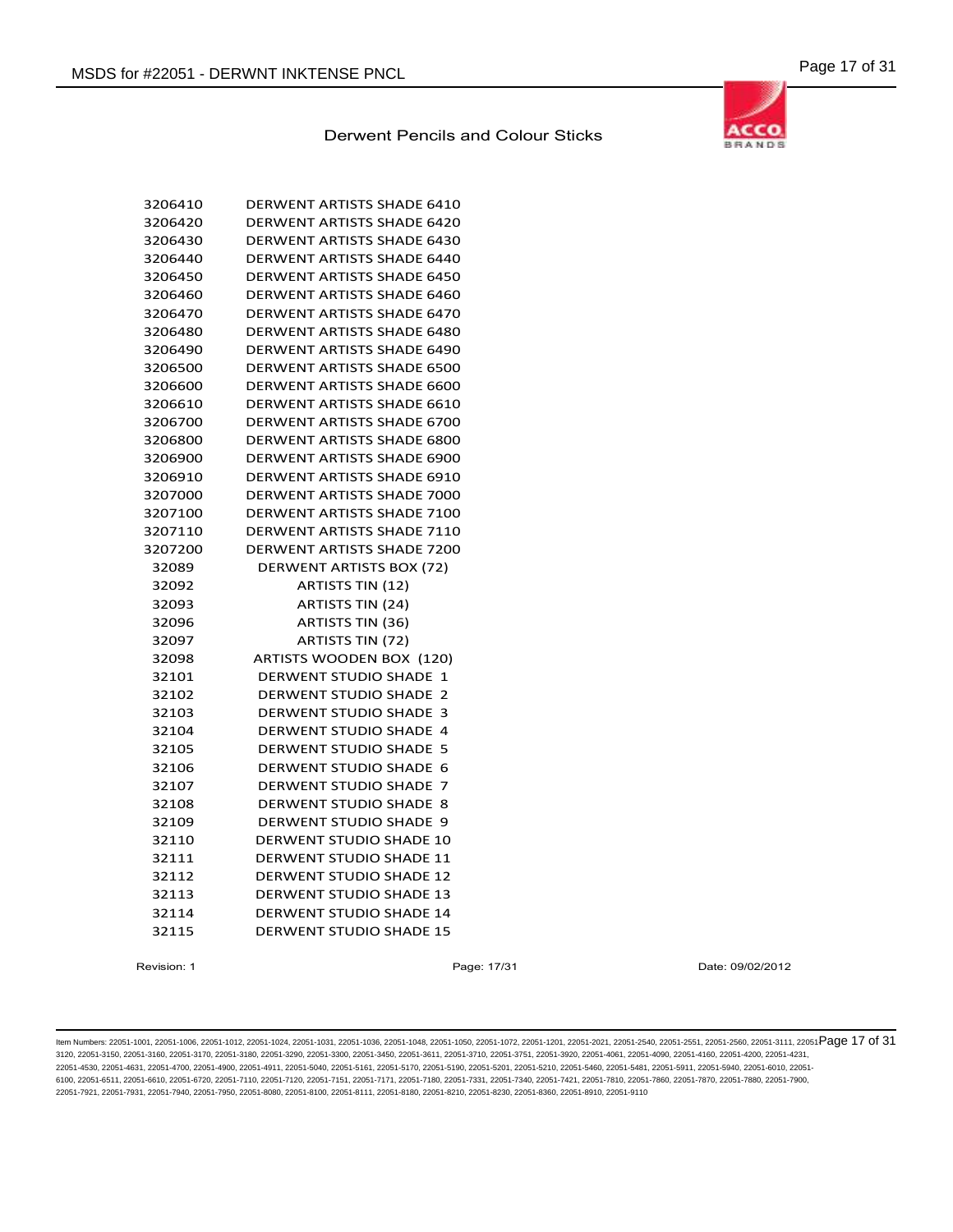| 3206410 | <b>DERWENT ARTISTS SHADE 6410</b>             |
|---------|-----------------------------------------------|
| 3206420 | <b>DERWENT ARTISTS SHADE 6420</b>             |
| 3206430 | <b>DERWENT ARTISTS SHADE 6430</b>             |
| 3206440 | <b>DERWENT ARTISTS SHADE 6440</b>             |
| 3206450 | <b>DERWENT ARTISTS SHADE 6450</b>             |
| 3206460 | <b>DERWENT ARTISTS SHADE 6460</b>             |
| 3206470 | <b>DERWENT ARTISTS SHADE 6470</b>             |
| 3206480 | <b>DERWENT ARTISTS SHADE 6480</b>             |
| 3206490 | <b>DERWENT ARTISTS SHADE 6490</b>             |
| 3206500 | <b>DERWENT ARTISTS SHADE 6500</b>             |
| 3206600 | <b>DERWENT ARTISTS SHADE 6600</b>             |
| 3206610 | <b>DERWENT ARTISTS SHADE 6610</b>             |
| 3206700 | <b>DERWENT ARTISTS SHADE 6700</b>             |
| 3206800 | <b>DERWENT ARTISTS SHADE 6800</b>             |
| 3206900 | <b>DERWENT ARTISTS SHADE 6900</b>             |
| 3206910 | DERWENT ARTISTS SHADE 6910                    |
| 3207000 | <b>DERWENT ARTISTS SHADE 7000</b>             |
| 3207100 | <b>DERWENT ARTISTS SHADE 7100</b>             |
| 3207110 | <b>DERWENT ARTISTS SHADE 7110</b>             |
| 3207200 | DERWENT ARTISTS SHADE 7200                    |
| 32089   | DERWENT ARTISTS BOX (72)                      |
| 32092   | <b>ARTISTS TIN (12)</b>                       |
| 32093   | <b>ARTISTS TIN (24)</b>                       |
| 32096   | ARTISTS TIN (36)                              |
| 32097   | <b>ARTISTS TIN (72)</b>                       |
| 32098   | ARTISTS WOODEN BOX (120)                      |
| 32101   | <b>DERWENT STUDIO SHADE 1</b>                 |
| 32102   | <b>DERWENT STUDIO SHADE</b><br>$\overline{2}$ |
| 32103   | <b>DERWENT STUDIO SHADE</b><br>з              |
| 32104   | <b>DERWENT STUDIO SHADE</b><br>$\overline{a}$ |
| 32105   | <b>DERWENT STUDIO SHADE</b><br>5              |
| 32106   | <b>DERWENT STUDIO SHADE</b><br>6              |
| 32107   | <b>DERWENT STUDIO SHADE</b><br>7              |
| 32108   | <b>DERWENT STUDIO SHADE</b><br>8              |
| 32109   | <b>DERWENT STUDIO SHADE</b><br>9              |
| 32110   | <b>DERWENT STUDIO SHADE 10</b>                |
| 32111   | <b>DERWENT STUDIO SHADE 11</b>                |
| 32112   | <b>DERWENT STUDIO SHADE 12</b>                |
| 32113   | <b>DERWENT STUDIO SHADE 13</b>                |
| 32114   | <b>DERWENT STUDIO SHADE 14</b>                |
| 32115   | <b>DERWENT STUDIO SHADE 15</b>                |
|         |                                               |

Revision: 1 **Page: 17/31** Page: 17/31 Date: 09/02/2012

ltem Numbers: 22051-1001, 22051-1006, 22051-1012, 22051-1024, 22051-1031, 22051-1036, 22051-1048, 22051-1050, 22051-1050, 22051-1201, 22051-2001, 22051-2560, 22051-2560, 22051-3111, 22051-3111, 22051-2580, 22051-3111, 2205 3120, 22051-3150, 22051-3160, 22051-3170, 22051-3180, 22051-3290, 22051-3300, 22051-3450, 22051-3611, 22051-3710, 22051-3751, 22051-3920, 22051-4061, 22051-4090, 22051-4160, 22051-4200, 22051-4231, 22051-4530, 22051-4631, 22051-4700, 22051-4900, 22051-4911, 22051-5040, 22051-5161, 22051-5170, 22051-5190, 22051-5201, 22051-5210, 22051-5460, 22051-5481, 22051-5911, 22051-5940, 22051-6010, 22051- 6100, 22051-6511, 22051-6610, 22051-6720, 22051-7110, 22051-7120, 22051-7151, 22051-7171, 22051-7180, 22051-7331, 22051-7340, 22051-7421, 22051-7810, 22051-7860, 22051-7870, 22051-7880, 22051-7900, 22051-7921, 22051-7931, 22051-7940, 22051-7950, 22051-8080, 22051-8100, 22051-8111, 22051-8180, 22051-8210, 22051-8230, 22051-8360, 22051-8910, 22051-9110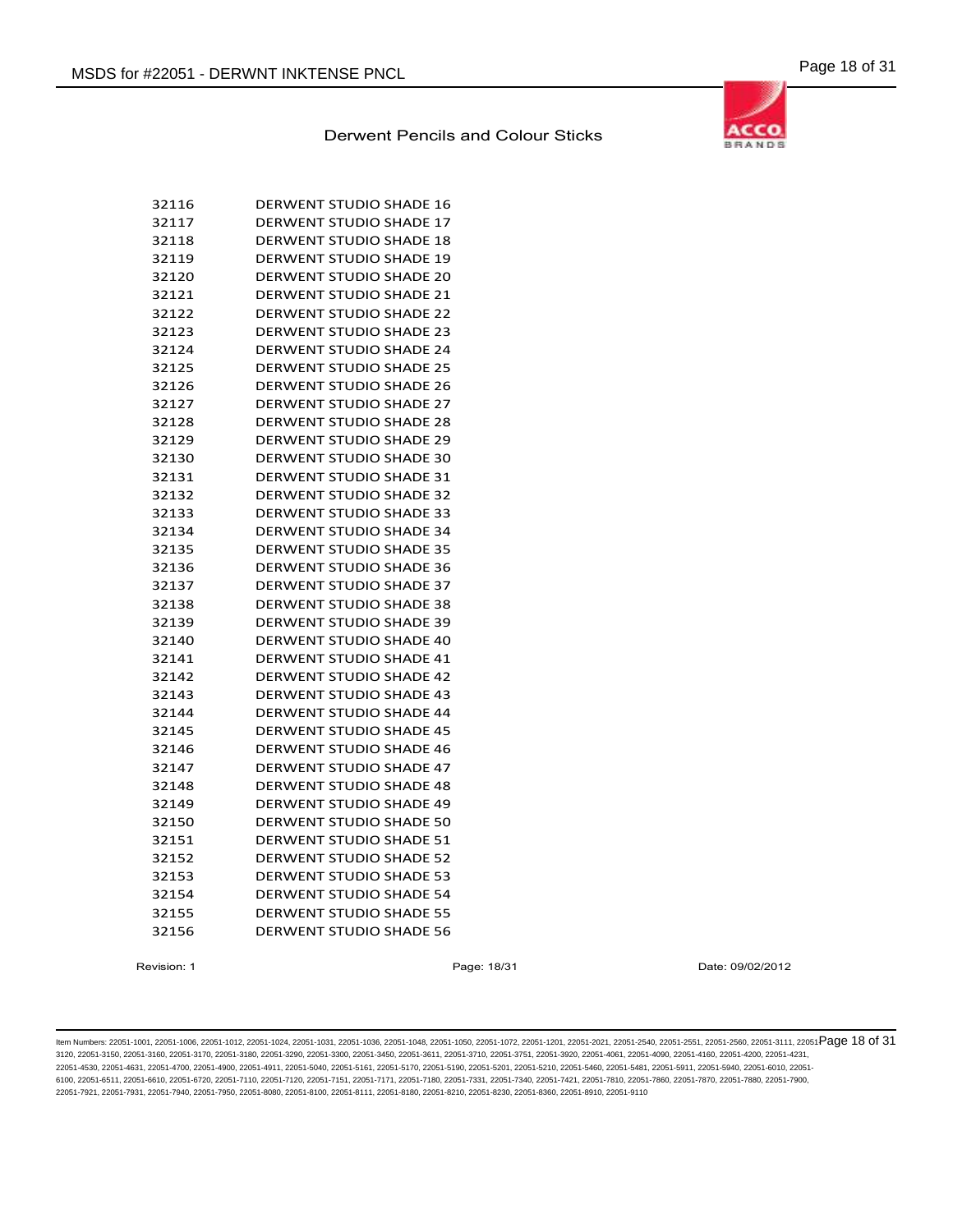

| 32116 | <b>DERWENT STUDIO SHADE 16</b> |
|-------|--------------------------------|
| 32117 | <b>DERWENT STUDIO SHADE 17</b> |
| 32118 | <b>DERWENT STUDIO SHADE 18</b> |
| 32119 | <b>DERWENT STUDIO SHADE 19</b> |
| 32120 | <b>DERWENT STUDIO SHADE 20</b> |
| 32121 | <b>DERWENT STUDIO SHADE 21</b> |
| 32122 | <b>DERWENT STUDIO SHADE 22</b> |
| 32123 | <b>DERWENT STUDIO SHADE 23</b> |
| 32124 | <b>DERWENT STUDIO SHADE 24</b> |
| 32125 | <b>DERWENT STUDIO SHADE 25</b> |
| 32126 | <b>DERWENT STUDIO SHADE 26</b> |
| 32127 | <b>DERWENT STUDIO SHADE 27</b> |
| 32128 | <b>DERWENT STUDIO SHADE 28</b> |
| 32129 | <b>DERWENT STUDIO SHADE 29</b> |
| 32130 | <b>DERWENT STUDIO SHADE 30</b> |
| 32131 | <b>DERWENT STUDIO SHADE 31</b> |
| 32132 | <b>DERWENT STUDIO SHADE 32</b> |
| 32133 | <b>DERWENT STUDIO SHADE 33</b> |
| 32134 | <b>DERWENT STUDIO SHADE 34</b> |
| 32135 | <b>DERWENT STUDIO SHADE 35</b> |
| 32136 | <b>DERWENT STUDIO SHADE 36</b> |
| 32137 | <b>DERWENT STUDIO SHADE 37</b> |
| 32138 | <b>DERWENT STUDIO SHADE 38</b> |
| 32139 | <b>DERWENT STUDIO SHADE 39</b> |
| 32140 | <b>DERWENT STUDIO SHADE 40</b> |
| 32141 | <b>DERWENT STUDIO SHADE 41</b> |
| 32142 | <b>DERWENT STUDIO SHADE 42</b> |
| 32143 | <b>DERWENT STUDIO SHADE 43</b> |
| 32144 | <b>DERWENT STUDIO SHADE 44</b> |
| 32145 | <b>DERWENT STUDIO SHADE 45</b> |
| 32146 | <b>DERWENT STUDIO SHADE 46</b> |
| 32147 | <b>DERWENT STUDIO SHADE 47</b> |
| 32148 | <b>DERWENT STUDIO SHADE 48</b> |
| 32149 | <b>DERWENT STUDIO SHADE 49</b> |
| 32150 | <b>DERWENT STUDIO SHADE 50</b> |
| 32151 | <b>DERWENT STUDIO SHADE 51</b> |
| 32152 | <b>DERWENT STUDIO SHADE 52</b> |
| 32153 | <b>DERWENT STUDIO SHADE 53</b> |
| 32154 | <b>DERWENT STUDIO SHADE 54</b> |
| 32155 | <b>DERWENT STUDIO SHADE 55</b> |
| 32156 | <b>DERWENT STUDIO SHADE 56</b> |

Revision: 1 Page: 18/31 Date: 09/02/2012

ltem Numbers: 22051-1001, 22051-1006, 22051-1012, 22051-1024, 22051-1031, 22051-1036, 22051-1048, 22051-1050, 22051-1050, 22051-1201, 22051-2001, 22051-2560, 22051-2560, 22051-3111, 22051-3111, 22051-2580, 22051-351, 22051 3120, 22051-3150, 22051-3160, 22051-3170, 22051-3180, 22051-3290, 22051-3300, 22051-3450, 22051-3611, 22051-3710, 22051-3751, 22051-3920, 22051-4061, 22051-4090, 22051-4160, 22051-4200, 22051-4231, 22051-4530, 22051-4631, 22051-4700, 22051-4900, 22051-4911, 22051-5040, 22051-5161, 22051-5170, 22051-5190, 22051-5201, 22051-5210, 22051-5460, 22051-5481, 22051-5911, 22051-5940, 22051-6010, 22051- 6100, 22051-6511, 22051-6610, 22051-6720, 22051-7110, 22051-7120, 22051-7151, 22051-7171, 22051-7180, 22051-7331, 22051-7340, 22051-7421, 22051-7810, 22051-7860, 22051-7870, 22051-7880, 22051-7900, 22051-7921, 22051-7931, 22051-7940, 22051-7950, 22051-8080, 22051-8100, 22051-8111, 22051-8180, 22051-8210, 22051-8230, 22051-8360, 22051-8910, 22051-9110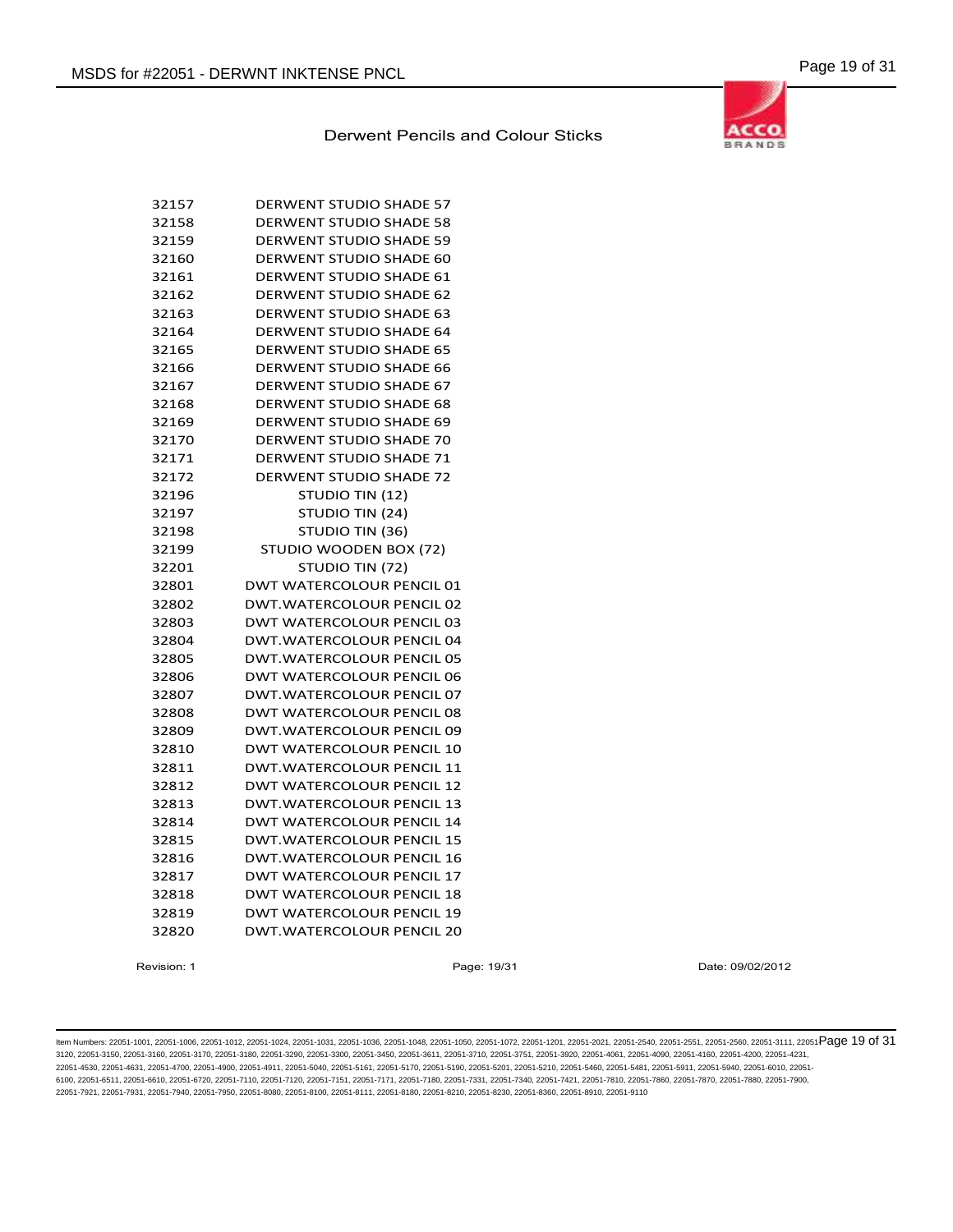

| 32157 | DERWENT STUDIO SHADE 57          |
|-------|----------------------------------|
| 32158 | <b>DERWENT STUDIO SHADE 58</b>   |
| 32159 | <b>DERWENT STUDIO SHADE 59</b>   |
| 32160 | <b>DERWENT STUDIO SHADE 60</b>   |
| 32161 | DERWENT STUDIO SHADE 61          |
| 32162 | <b>DERWENT STUDIO SHADE 62</b>   |
| 32163 | <b>DERWENT STUDIO SHADE 63</b>   |
| 32164 | <b>DERWENT STUDIO SHADE 64</b>   |
| 32165 | <b>DERWENT STUDIO SHADE 65</b>   |
| 32166 | <b>DERWENT STUDIO SHADE 66</b>   |
| 32167 | <b>DERWENT STUDIO SHADE 67</b>   |
| 32168 | <b>DERWENT STUDIO SHADE 68</b>   |
| 32169 | <b>DERWENT STUDIO SHADE 69</b>   |
| 32170 | <b>DERWENT STUDIO SHADE 70</b>   |
| 32171 | DERWENT STUDIO SHADE 71          |
| 32172 | <b>DERWENT STUDIO SHADE 72</b>   |
| 32196 | STUDIO TIN (12)                  |
| 32197 | STUDIO TIN (24)                  |
| 32198 | STUDIO TIN (36)                  |
| 32199 | STUDIO WOODEN BOX (72)           |
| 32201 | STUDIO TIN (72)                  |
| 32801 | DWT WATERCOLOUR PENCIL 01        |
| 32802 | DWT.WATERCOLOUR PENCIL 02        |
| 32803 | <b>DWT WATERCOLOUR PENCIL 03</b> |
| 32804 | DWT.WATERCOLOUR PENCIL 04        |
| 32805 | DWT.WATERCOLOUR PENCIL 05        |
| 32806 | <b>DWT WATERCOLOUR PENCIL 06</b> |
| 32807 | DWT.WATERCOLOUR PENCIL 07        |
| 32808 | <b>DWT WATERCOLOUR PENCIL 08</b> |
| 32809 | DWT.WATERCOLOUR PENCIL 09        |
| 32810 | <b>DWT WATERCOLOUR PENCIL 10</b> |
| 32811 | <b>DWT.WATERCOLOUR PENCIL 11</b> |
| 32812 | <b>DWT WATERCOLOUR PENCIL 12</b> |
| 32813 | <b>DWT.WATERCOLOUR PENCIL 13</b> |
| 32814 | <b>DWT WATERCOLOUR PENCIL 14</b> |
| 32815 | DWT.WATERCOLOUR PENCIL 15        |
| 32816 | DWT.WATERCOLOUR PENCIL 16        |
| 32817 | <b>DWT WATERCOLOUR PENCIL 17</b> |
| 32818 | <b>DWT WATERCOLOUR PENCIL 18</b> |
| 32819 | <b>DWT WATERCOLOUR PENCIL 19</b> |
| 32820 | DWT.WATERCOLOUR PENCIL 20        |

Revision: 1 Page: 19/31 Date: 09/02/2012

ltem Numbers: 22051-1001, 22051-1006, 22051-1012, 22051-1024, 22051-1031, 22051-1036, 22051-1048, 22051-1050, 22051-1050, 22051-1201, 22051-2001, 22051-2051, 22051-2551, 22051-2560, 22051-3111, 22051-850 Page 19 of 31 3120, 22051-3150, 22051-3160, 22051-3170, 22051-3180, 22051-3290, 22051-3300, 22051-3450, 22051-3611, 22051-3710, 22051-3751, 22051-3920, 22051-4061, 22051-4090, 22051-4160, 22051-4200, 22051-4231, 22051-4530, 22051-4631, 22051-4700, 22051-4900, 22051-4911, 22051-5040, 22051-5161, 22051-5170, 22051-5190, 22051-5201, 22051-5210, 22051-5460, 22051-5481, 22051-5911, 22051-5940, 22051-6010, 22051- 6100, 22051-6511, 22051-6610, 22051-6720, 22051-7110, 22051-7120, 22051-7151, 22051-7171, 22051-7180, 22051-7331, 22051-7340, 22051-7421, 22051-7810, 22051-7860, 22051-7870, 22051-7880, 22051-7900, 22051-7921, 22051-7931, 22051-7940, 22051-7950, 22051-8080, 22051-8100, 22051-8111, 22051-8180, 22051-8210, 22051-8230, 22051-8360, 22051-8910, 22051-9110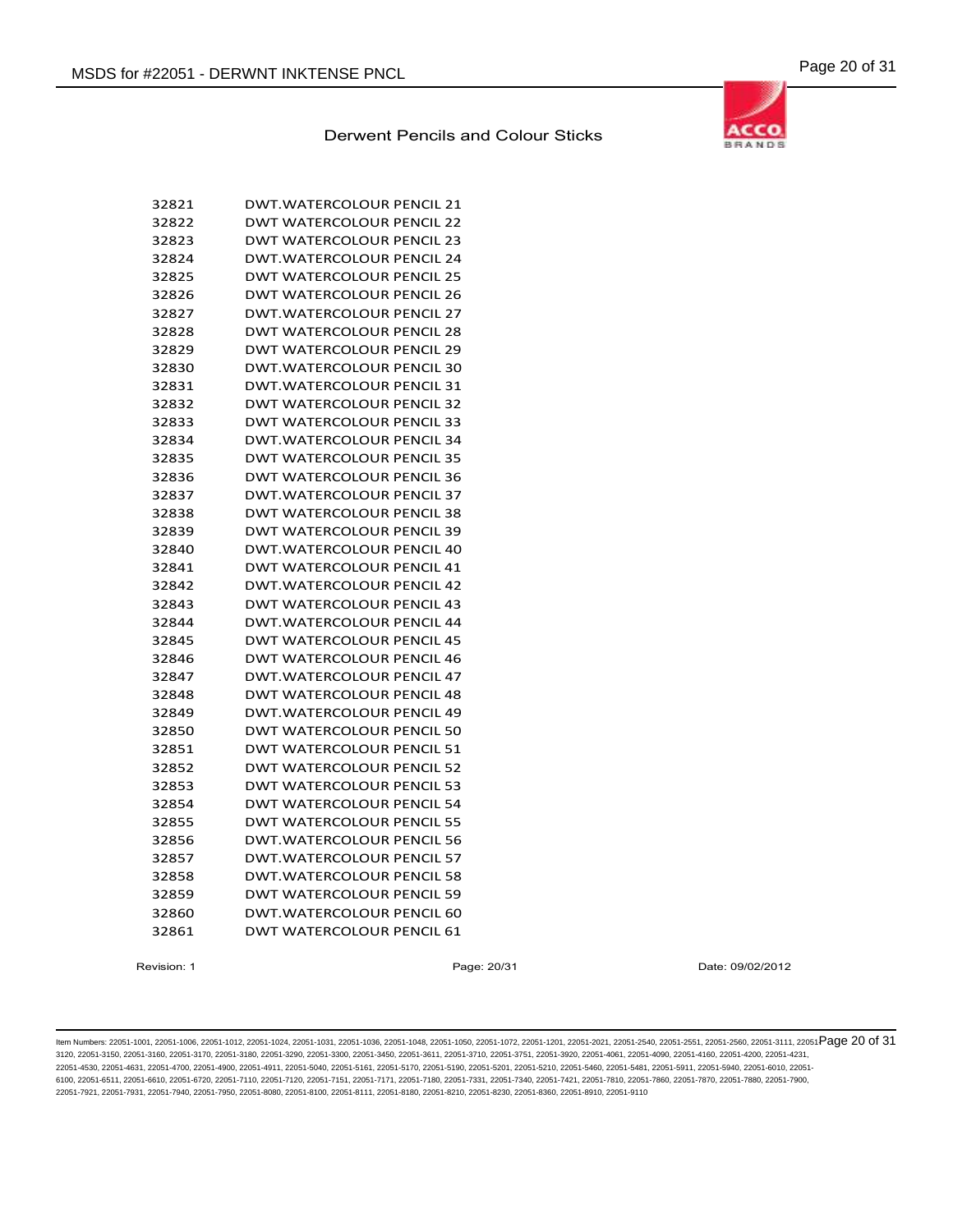# **ACCO BRANDS**

# Derwent Pencils and Colour Sticks

| 32821 | DWT.WATERCOLOUR PENCIL 21        |
|-------|----------------------------------|
| 32822 | DWT WATERCOLOUR PENCIL 22        |
| 32823 | DWT WATERCOLOUR PENCIL 23        |
| 32824 | DWT.WATERCOLOUR PENCIL 24        |
| 32825 | DWT WATERCOLOUR PENCIL 25        |
| 32826 | <b>DWT WATERCOLOUR PENCIL 26</b> |
| 32827 | <b>DWT.WATERCOLOUR PENCIL 27</b> |
| 32828 | DWT WATERCOLOUR PENCIL 28        |
| 32829 | DWT WATERCOLOUR PENCIL 29        |
| 32830 | DWT.WATERCOLOUR PENCIL 30        |
| 32831 | DWT.WATERCOLOUR PENCIL 31        |
| 32832 | DWT WATERCOLOUR PENCIL 32        |
| 32833 | DWT WATERCOLOUR PENCIL 33        |
| 32834 | DWT.WATERCOLOUR PENCIL 34        |
| 32835 | DWT WATERCOLOUR PENCIL 35        |
| 32836 | <b>DWT WATERCOLOUR PENCIL 36</b> |
| 32837 | DWT.WATERCOLOUR PENCIL 37        |
| 32838 | DWT WATERCOLOUR PENCIL 38        |
| 32839 | DWT WATERCOLOUR PENCIL 39        |
| 32840 | DWT.WATERCOLOUR PENCIL 40        |
| 32841 | DWT WATERCOLOUR PENCIL 41        |
| 32842 | DWT.WATERCOLOUR PENCIL 42        |
| 32843 | DWT WATERCOLOUR PENCIL 43        |
| 32844 | DWT.WATERCOLOUR PENCIL 44        |
| 32845 | DWT WATERCOLOUR PENCIL 45        |
| 32846 | DWT WATERCOLOUR PENCIL 46        |
| 32847 | DWT.WATERCOLOUR PENCIL 47        |
| 32848 | DWT WATERCOLOUR PENCIL 48        |
| 32849 | DWT.WATERCOLOUR PENCIL 49        |
| 32850 | DWT WATERCOLOUR PENCIL 50        |
| 32851 | DWT WATERCOLOUR PENCIL 51        |
| 32852 | DWT WATERCOLOUR PENCIL 52        |
| 32853 | DWT WATERCOLOUR PENCIL 53        |
| 32854 | DWT WATERCOLOUR PENCIL 54        |
| 32855 | DWT WATERCOLOUR PENCIL 55        |
| 32856 | DWT.WATERCOLOUR PENCIL 56        |
| 32857 | DWT.WATERCOLOUR PENCIL 57        |
| 32858 | DWT.WATERCOLOUR PENCIL 58        |
| 32859 | DWT WATERCOLOUR PENCIL 59        |
| 32860 | DWT.WATERCOLOUR PENCIL 60        |
| 32861 | DWT WATERCOLOUR PENCIL 61        |

Revision: 1 Page: 20/31 Date: 09/02/2012

ltem Numbers: 22051-1001, 22051-1006, 22051-1012, 22051-1024, 22051-1031, 22051-1036, 22051-1048, 22051-1050, 22051-1050, 22051-1201, 22051-2001, 22051-2051, 22051-2550, 22051-3560, 22051-3111, 22051-Page 20 of 31 3120, 22051-3150, 22051-3160, 22051-3170, 22051-3180, 22051-3290, 22051-3300, 22051-3450, 22051-3611, 22051-3710, 22051-3751, 22051-3920, 22051-4061, 22051-4090, 22051-4160, 22051-4200, 22051-4231, 22051-4530, 22051-4631, 22051-4700, 22051-4900, 22051-4911, 22051-5040, 22051-5161, 22051-5170, 22051-5190, 22051-5201, 22051-5210, 22051-5460, 22051-5481, 22051-5911, 22051-5940, 22051-6010, 22051- 6100, 22051-6511, 22051-6610, 22051-6720, 22051-7110, 22051-7120, 22051-7151, 22051-7171, 22051-7180, 22051-7331, 22051-7340, 22051-7421, 22051-7810, 22051-7860, 22051-7870, 22051-7880, 22051-7900, 22051-7921, 22051-7931, 22051-7940, 22051-7950, 22051-8080, 22051-8100, 22051-8111, 22051-8180, 22051-8210, 22051-8230, 22051-8360, 22051-8910, 22051-9110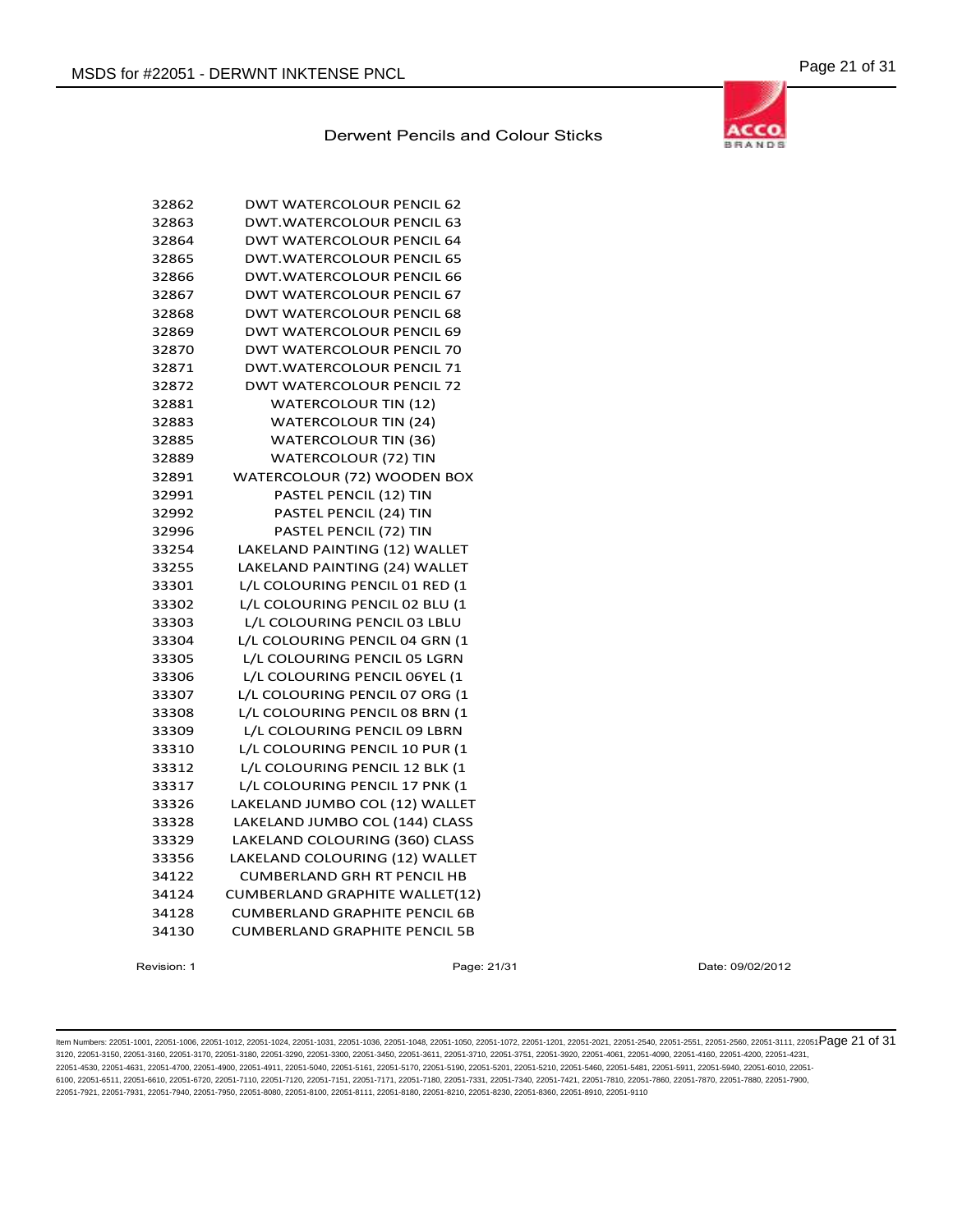

| 32862 | <b>DWT WATERCOLOUR PENCIL 62</b>      |
|-------|---------------------------------------|
| 32863 | <b>DWT.WATERCOLOUR PENCIL 63</b>      |
| 32864 | <b>DWT WATERCOLOUR PENCIL 64</b>      |
| 32865 | DWT.WATERCOLOUR PENCIL 65             |
| 32866 | <b>DWT.WATERCOLOUR PENCIL 66</b>      |
| 32867 | <b>DWT WATERCOLOUR PENCIL 67</b>      |
| 32868 | DWT WATERCOLOUR PENCIL 68             |
| 32869 | <b>DWT WATERCOLOUR PENCIL 69</b>      |
| 32870 | <b>DWT WATERCOLOUR PENCIL 70</b>      |
| 32871 | DWT.WATERCOLOUR PENCIL 71             |
| 32872 | <b>DWT WATERCOLOUR PENCIL 72</b>      |
| 32881 | <b>WATERCOLOUR TIN (12)</b>           |
| 32883 | <b>WATERCOLOUR TIN (24)</b>           |
| 32885 | <b>WATERCOLOUR TIN (36)</b>           |
| 32889 | <b>WATERCOLOUR (72) TIN</b>           |
| 32891 | WATERCOLOUR (72) WOODEN BOX           |
| 32991 | PASTEL PENCIL (12) TIN                |
| 32992 | PASTEL PENCIL (24) TIN                |
| 32996 | PASTEL PENCIL (72) TIN                |
| 33254 | LAKELAND PAINTING (12) WALLET         |
| 33255 | LAKELAND PAINTING (24) WALLET         |
| 33301 | L/L COLOURING PENCIL 01 RED (1        |
| 33302 | L/L COLOURING PENCIL 02 BLU (1        |
| 33303 | L/L COLOURING PENCIL 03 LBLU          |
| 33304 | L/L COLOURING PENCIL 04 GRN (1        |
| 33305 | L/L COLOURING PENCIL 05 LGRN          |
| 33306 | L/L COLOURING PENCIL 06YEL (1         |
| 33307 | L/L COLOURING PENCIL 07 ORG (1        |
| 33308 | L/L COLOURING PENCIL 08 BRN (1        |
| 33309 | L/L COLOURING PENCIL 09 LBRN          |
| 33310 | L/L COLOURING PENCIL 10 PUR (1        |
| 33312 | L/L COLOURING PENCIL 12 BLK (1        |
| 33317 | L/L COLOURING PENCIL 17 PNK (1        |
| 33326 | LAKELAND JUMBO COL (12) WALLET        |
| 33328 | LAKELAND JUMBO COL (144) CLASS        |
| 33329 | LAKELAND COLOURING (360) CLASS        |
| 33356 | LAKELAND COLOURING (12) WALLET        |
| 34122 | <b>CUMBERLAND GRH RT PENCIL HB</b>    |
| 34124 | <b>CUMBERLAND GRAPHITE WALLET(12)</b> |
| 34128 | <b>CUMBERLAND GRAPHITE PENCIL 6B</b>  |
| 34130 | <b>CUMBERLAND GRAPHITE PENCIL 5B</b>  |

Revision: 1 Page: 21/31 Date: 09/02/2012

ltem Numbers: 22051-1001, 22051-1006, 22051-1012, 22051-1024, 22051-1031, 22051-1036, 22051-1048, 22051-1050, 22051-1050, 22051-1201, 22051-2001, 22051-2560, 22051-2560, 22051-3111, 22051-3111, 22051-2580, 22051-3111, 2205 3120, 22051-3150, 22051-3160, 22051-3170, 22051-3180, 22051-3290, 22051-3300, 22051-3450, 22051-3611, 22051-3710, 22051-3751, 22051-3920, 22051-4061, 22051-4090, 22051-4160, 22051-4200, 22051-4231, 22051-4530, 22051-4631, 22051-4700, 22051-4900, 22051-4911, 22051-5040, 22051-5161, 22051-5170, 22051-5190, 22051-5201, 22051-5210, 22051-5460, 22051-5481, 22051-5911, 22051-5940, 22051-6010, 22051- 6100, 22051-6511, 22051-6610, 22051-6720, 22051-7110, 22051-7120, 22051-7151, 22051-7171, 22051-7180, 22051-7331, 22051-7340, 22051-7421, 22051-7810, 22051-7860, 22051-7870, 22051-7880, 22051-7900, 22051-7921, 22051-7931, 22051-7940, 22051-7950, 22051-8080, 22051-8100, 22051-8111, 22051-8180, 22051-8210, 22051-8230, 22051-8360, 22051-8910, 22051-9110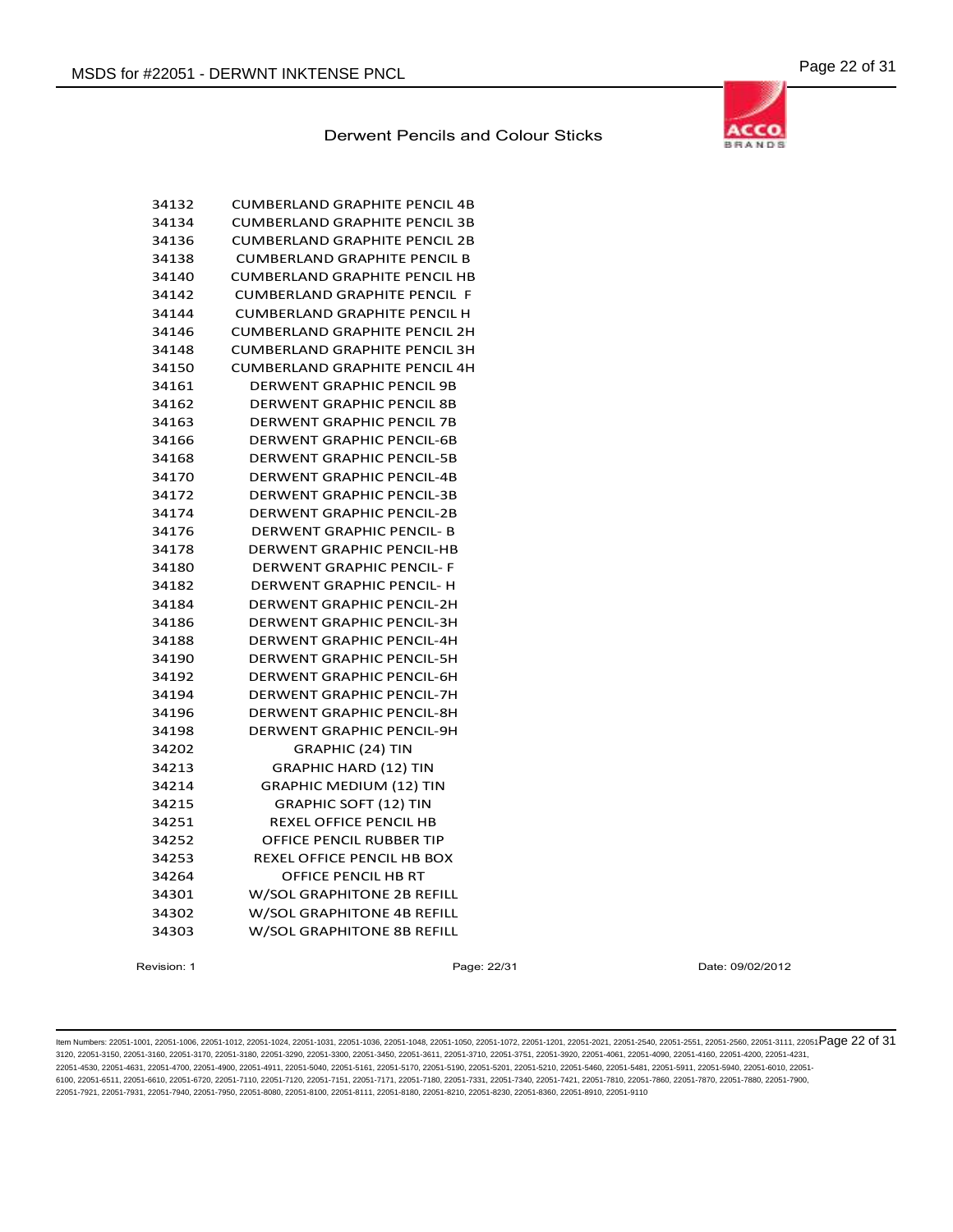| è | ND |
|---|----|

| 34132 | <b>CUMBERLAND GRAPHITE PENCIL 4B</b> |
|-------|--------------------------------------|
| 34134 | CUMBERLAND GRAPHITE PENCIL 3B        |
| 34136 | CUMBERLAND GRAPHITE PENCIL 2B        |
| 34138 | <b>CUMBERLAND GRAPHITE PENCIL B</b>  |
| 34140 | <b>CUMBERLAND GRAPHITE PENCIL HB</b> |
| 34142 | <b>CUMBERLAND GRAPHITE PENCIL F</b>  |
| 34144 | <b>CUMBERLAND GRAPHITE PENCIL H</b>  |
| 34146 | <b>CUMBERLAND GRAPHITE PENCIL 2H</b> |
| 34148 | <b>CUMBERLAND GRAPHITE PENCIL 3H</b> |
| 34150 | <b>CUMBERLAND GRAPHITE PENCIL 4H</b> |
| 34161 | <b>DERWENT GRAPHIC PENCIL 9B</b>     |
| 34162 | DERWENT GRAPHIC PENCIL 8B            |
| 34163 | DERWENT GRAPHIC PENCIL 7B            |
| 34166 | <b>DERWENT GRAPHIC PENCIL-6B</b>     |
| 34168 | <b>DERWENT GRAPHIC PENCIL-5B</b>     |
| 34170 | <b>DERWENT GRAPHIC PENCIL-4B</b>     |
| 34172 | <b>DERWENT GRAPHIC PENCIL-3B</b>     |
| 34174 | <b>DERWENT GRAPHIC PENCIL-2B</b>     |
| 34176 | DERWENT GRAPHIC PENCIL- B            |
| 34178 | DERWENT GRAPHIC PENCIL-HB            |
| 34180 | <b>DERWENT GRAPHIC PENCIL- F</b>     |
| 34182 | DERWENT GRAPHIC PENCIL- H            |
| 34184 | <b>DERWENT GRAPHIC PENCIL-2H</b>     |
| 34186 | <b>DERWENT GRAPHIC PENCIL-3H</b>     |
| 34188 | <b>DERWENT GRAPHIC PENCIL-4H</b>     |
| 34190 | <b>DERWENT GRAPHIC PENCIL-5H</b>     |
| 34192 | DERWENT GRAPHIC PENCIL-6H            |
| 34194 | <b>DERWENT GRAPHIC PENCIL-7H</b>     |
| 34196 | <b>DERWENT GRAPHIC PENCIL-8H</b>     |
| 34198 | <b>DERWENT GRAPHIC PENCIL-9H</b>     |
| 34202 | GRAPHIC (24) TIN                     |
| 34213 | <b>GRAPHIC HARD (12) TIN</b>         |
| 34214 | <b>GRAPHIC MEDIUM (12) TIN</b>       |
| 34215 | <b>GRAPHIC SOFT (12) TIN</b>         |
| 34251 | REXEL OFFICE PENCIL HB               |
| 34252 | OFFICE PENCIL RUBBER TIP             |
| 34253 | REXEL OFFICE PENCIL HB BOX           |
| 34264 | OFFICE PENCIL HB RT                  |
| 34301 | W/SOL GRAPHITONE 2B REFILL           |
| 34302 | W/SOL GRAPHITONE 4B REFILL           |
| 34303 | W/SOL GRAPHITONE 8B REFILL           |
|       |                                      |

Revision: 1 Page: 22/31 Date: 09/02/2012

ltem Numbers: 22051-1001, 22051-1006, 22051-1012, 22051-1024, 22051-1031, 22051-1036, 22051-1048, 22051-1050, 22051-1050, 22051-1201, 22051-2001, 22051-2051, 22051-2550, 22051-3560, 22051-3111, 22051-Page 22 of 31 3120, 22051-3150, 22051-3160, 22051-3170, 22051-3180, 22051-3290, 22051-3300, 22051-3450, 22051-3611, 22051-3710, 22051-3751, 22051-3920, 22051-4061, 22051-4090, 22051-4160, 22051-4200, 22051-4231, 22051-4530, 22051-4631, 22051-4700, 22051-4900, 22051-4911, 22051-5040, 22051-5161, 22051-5170, 22051-5190, 22051-5201, 22051-5210, 22051-5460, 22051-5481, 22051-5911, 22051-5940, 22051-6010, 22051- 6100, 22051-6511, 22051-6610, 22051-6720, 22051-7110, 22051-7120, 22051-7151, 22051-7171, 22051-7180, 22051-7331, 22051-7340, 22051-7421, 22051-7810, 22051-7860, 22051-7870, 22051-7880, 22051-7900, 22051-7921, 22051-7931, 22051-7940, 22051-7950, 22051-8080, 22051-8100, 22051-8111, 22051-8180, 22051-8210, 22051-8230, 22051-8360, 22051-8910, 22051-9110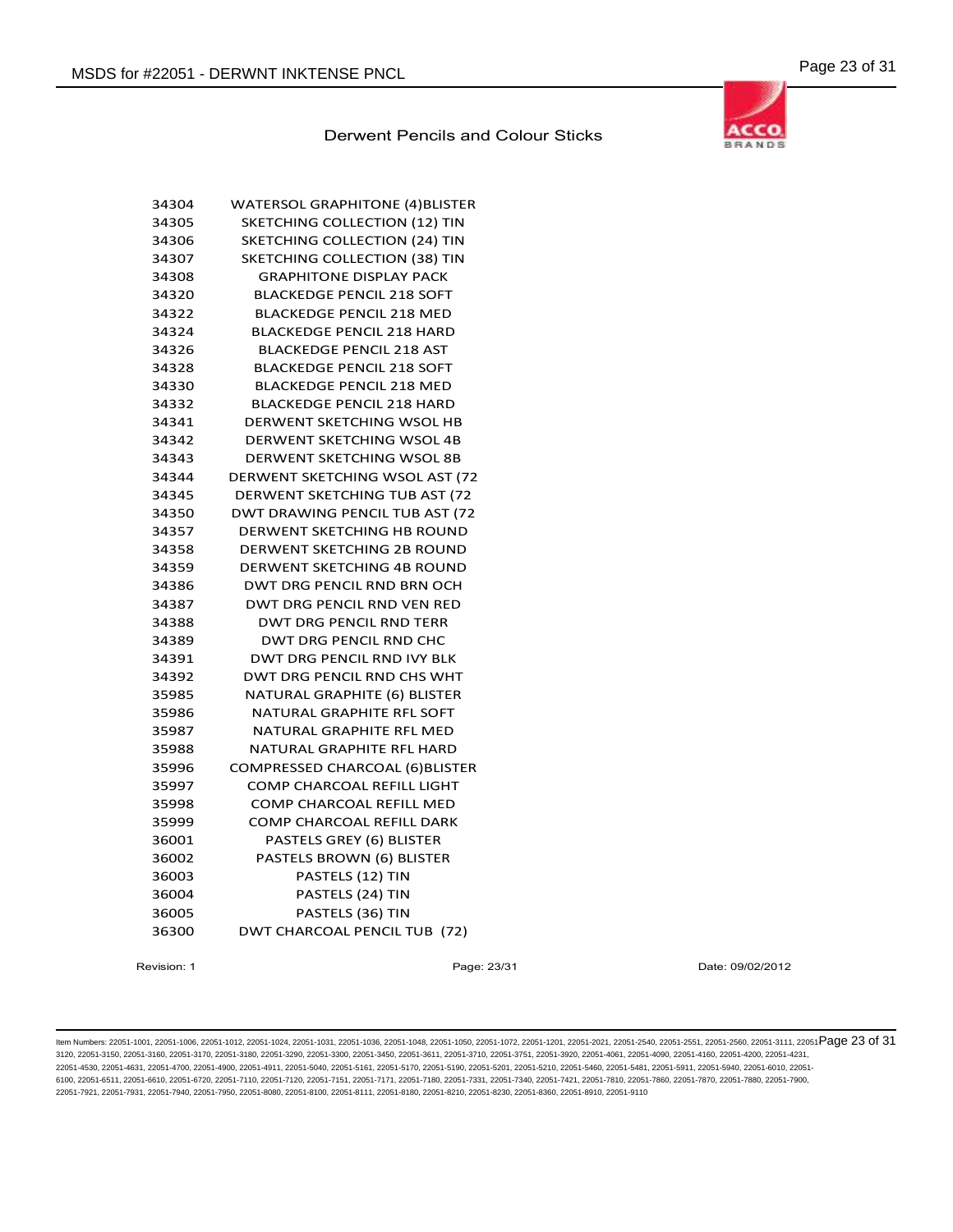

| 34304 | <b>WATERSOL GRAPHITONE (4)BLISTER</b> |
|-------|---------------------------------------|
| 34305 | SKETCHING COLLECTION (12) TIN         |
| 34306 | SKETCHING COLLECTION (24) TIN         |
| 34307 | SKETCHING COLLECTION (38) TIN         |
| 34308 | <b>GRAPHITONE DISPLAY PACK</b>        |
| 34320 | <b>BLACKEDGE PENCIL 218 SOFT</b>      |
| 34322 | <b>BLACKEDGE PENCIL 218 MED</b>       |
| 34324 | <b>BLACKEDGE PENCIL 218 HARD</b>      |
| 34326 | <b>BLACKEDGE PENCIL 218 AST</b>       |
| 34328 | <b>BLACKEDGE PENCIL 218 SOFT</b>      |
| 34330 | <b>BLACKEDGE PENCIL 218 MED</b>       |
| 34332 | <b>BLACKEDGE PENCIL 218 HARD</b>      |
| 34341 | DERWENT SKETCHING WSOL HB             |
| 34342 | DERWENT SKETCHING WSOL 4B             |
| 34343 | DERWENT SKETCHING WSOL 8B             |
| 34344 | DERWENT SKETCHING WSOL AST (72        |
| 34345 | DERWENT SKETCHING TUB AST (72         |
| 34350 | DWT DRAWING PENCIL TUB AST (72        |
| 34357 | DERWENT SKETCHING HB ROUND            |
| 34358 | DERWENT SKETCHING 2B ROUND            |
| 34359 | DERWENT SKETCHING 4B ROUND            |
| 34386 | DWT DRG PENCIL RND BRN OCH            |
| 34387 | DWT DRG PENCIL RND VEN RED            |
| 34388 | <b>DWT DRG PENCIL RND TERR</b>        |
| 34389 | DWT DRG PENCIL RND CHC                |
| 34391 | <b>DWT DRG PENCIL RND IVY BLK</b>     |
| 34392 | DWT DRG PENCIL RND CHS WHT            |
| 35985 | NATURAL GRAPHITE (6) BLISTER          |
| 35986 | NATURAL GRAPHITE RFL SOFT             |
| 35987 | NATURAL GRAPHITE RFL MED              |
| 35988 | NATURAL GRAPHITE RFL HARD             |
| 35996 | COMPRESSED CHARCOAL (6) BLISTER       |
| 35997 | COMP CHARCOAL REFILL LIGHT            |
| 35998 | <b>COMP CHARCOAL REFILL MED</b>       |
| 35999 | <b>COMP CHARCOAL REFILL DARK</b>      |
| 36001 | PASTELS GREY (6) BLISTER              |
| 36002 | PASTELS BROWN (6) BLISTER             |
| 36003 | PASTELS (12) TIN                      |
| 36004 | PASTELS (24) TIN                      |
| 36005 | PASTELS (36) TIN                      |
| 36300 | DWT CHARCOAL PENCIL TUB (72)          |
|       |                                       |

Revision: 1 Page: 23/31 Date: 09/02/2012

ltem Numbers: 22051-1001, 22051-1006, 22051-1012, 22051-1024, 22051-1031, 22051-1036, 22051-1048, 22051-1050, 22051-1050, 22051-1201, 22051-2001, 22051-2051, 22051-2550, 22051-3560, 22051-3111, 22051-Page 23 of 31 3120, 22051-3150, 22051-3160, 22051-3170, 22051-3180, 22051-3290, 22051-3300, 22051-3450, 22051-3611, 22051-3710, 22051-3751, 22051-3920, 22051-4061, 22051-4090, 22051-4160, 22051-4200, 22051-4231, 22051-4530, 22051-4631, 22051-4700, 22051-4900, 22051-4911, 22051-5040, 22051-5161, 22051-5170, 22051-5190, 22051-5201, 22051-5210, 22051-5460, 22051-5481, 22051-5911, 22051-5940, 22051-6010, 22051- 6100, 22051-6511, 22051-6610, 22051-6720, 22051-7110, 22051-7120, 22051-7151, 22051-7171, 22051-7180, 22051-7331, 22051-7340, 22051-7421, 22051-7810, 22051-7860, 22051-7870, 22051-7880, 22051-7900, 22051-7921, 22051-7931, 22051-7940, 22051-7950, 22051-8080, 22051-8100, 22051-8111, 22051-8180, 22051-8210, 22051-8230, 22051-8360, 22051-8910, 22051-9110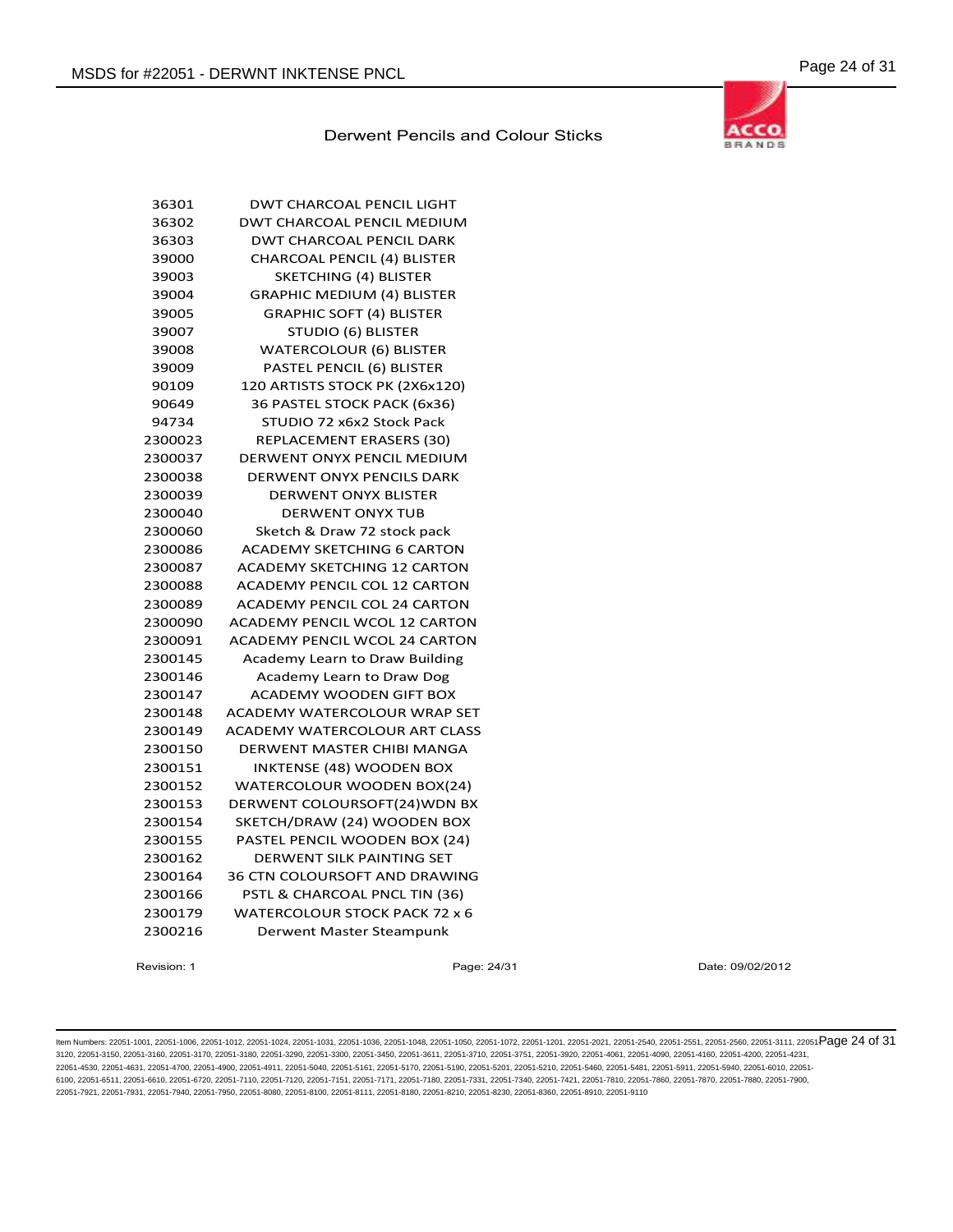

| 36301   | <b>DWT CHARCOAL PENCIL LIGHT</b>     |
|---------|--------------------------------------|
| 36302   | <b>DWT CHARCOAL PENCIL MEDIUM</b>    |
| 36303   | <b>DWT CHARCOAL PENCIL DARK</b>      |
| 39000   | <b>CHARCOAL PENCIL (4) BLISTER</b>   |
| 39003   | <b>SKETCHING (4) BLISTER</b>         |
| 39004   | <b>GRAPHIC MEDIUM (4) BLISTER</b>    |
| 39005   | <b>GRAPHIC SOFT (4) BLISTER</b>      |
| 39007   | <b>STUDIO (6) BLISTER</b>            |
| 39008   | <b>WATERCOLOUR (6) BLISTER</b>       |
| 39009   | PASTEL PENCIL (6) BLISTER            |
| 90109   | 120 ARTISTS STOCK PK (2X6x120)       |
| 90649   | 36 PASTEL STOCK PACK (6x36)          |
| 94734   | STUDIO 72 x6x2 Stock Pack            |
| 2300023 | REPLACEMENT ERASERS (30)             |
| 2300037 | DERWENT ONYX PENCIL MEDIUM           |
| 2300038 | <b>DERWENT ONYX PENCILS DARK</b>     |
| 2300039 | <b>DERWENT ONYX BLISTER</b>          |
| 2300040 | <b>DERWENT ONYX TUB</b>              |
| 2300060 | Sketch & Draw 72 stock pack          |
| 2300086 | <b>ACADEMY SKETCHING 6 CARTON</b>    |
| 2300087 | <b>ACADEMY SKETCHING 12 CARTON</b>   |
| 2300088 | <b>ACADEMY PENCIL COL 12 CARTON</b>  |
| 2300089 | <b>ACADEMY PENCIL COL 24 CARTON</b>  |
| 2300090 | <b>ACADEMY PENCIL WCOL 12 CARTON</b> |
| 2300091 | <b>ACADEMY PENCIL WCOL 24 CARTON</b> |
| 2300145 | Academy Learn to Draw Building       |
| 2300146 | Academy Learn to Draw Dog            |
| 2300147 | <b>ACADEMY WOODEN GIFT BOX</b>       |
| 2300148 | ACADEMY WATERCOLOUR WRAP SET         |
| 2300149 | ACADEMY WATERCOLOUR ART CLASS        |
| 2300150 | DERWENT MASTER CHIBI MANGA           |
| 2300151 | <b>INKTENSE (48) WOODEN BOX</b>      |
| 2300152 | WATERCOLOUR WOODEN BOX(24)           |
| 2300153 | DERWENT COLOURSOFT(24) WDN BX        |
| 2300154 | SKETCH/DRAW (24) WOODEN BOX          |
| 2300155 | PASTEL PENCIL WOODEN BOX (24)        |
| 2300162 | DERWENT SILK PAINTING SET            |
| 2300164 | <b>36 CTN COLOURSOFT AND DRAWING</b> |
| 2300166 | PSTL & CHARCOAL PNCL TIN (36)        |
| 2300179 | WATERCOLOUR STOCK PACK 72 x 6        |
| 2300216 | Derwent Master Steampunk             |
|         |                                      |

Revision: 1 Page: 24/31 Date: 09/02/2012

ltem Numbers: 22051-1001, 22051-1006, 22051-1012, 22051-1024, 22051-1031, 22051-1036, 22051-1048, 22051-1050, 22051-1050, 22051-1201, 22051-2001, 22051-2051, 22051-2551, 22051-2560, 22051-3111, 22051-Page 24 of 31 3120, 22051-3150, 22051-3160, 22051-3170, 22051-3180, 22051-3290, 22051-3300, 22051-3450, 22051-3611, 22051-3710, 22051-3751, 22051-3920, 22051-4061, 22051-4090, 22051-4160, 22051-4200, 22051-4231, 22051-4530, 22051-4631, 22051-4700, 22051-4900, 22051-4911, 22051-5040, 22051-5161, 22051-5170, 22051-5190, 22051-5201, 22051-5210, 22051-5460, 22051-5481, 22051-5911, 22051-5940, 22051-6010, 22051- 6100, 22051-6511, 22051-6610, 22051-6720, 22051-7110, 22051-7120, 22051-7151, 22051-7171, 22051-7180, 22051-7331, 22051-7340, 22051-7421, 22051-7810, 22051-7860, 22051-7870, 22051-7880, 22051-7900, 22051-7921, 22051-7931, 22051-7940, 22051-7950, 22051-8080, 22051-8100, 22051-8111, 22051-8180, 22051-8210, 22051-8230, 22051-8360, 22051-8910, 22051-9110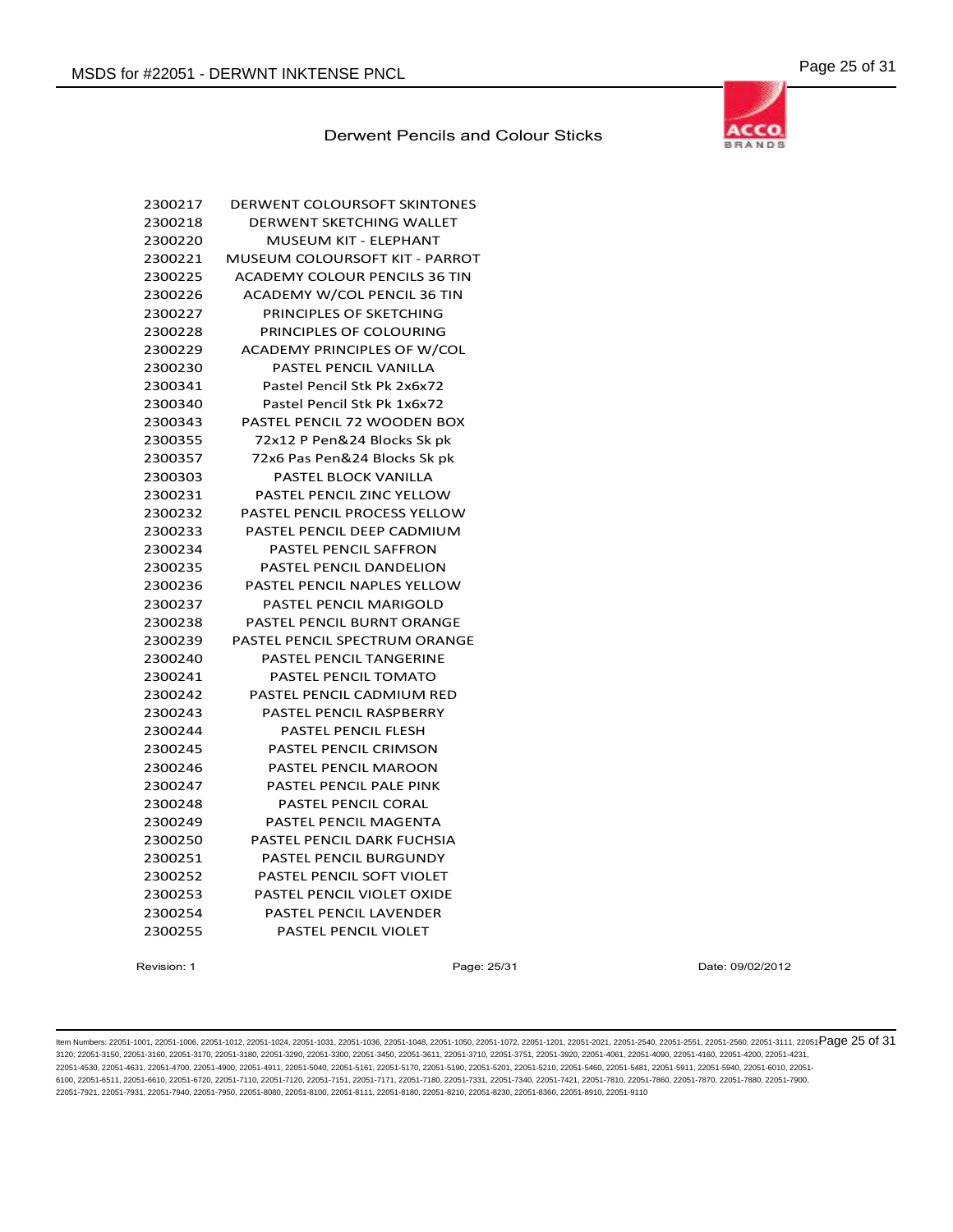

| 2300217 | DERWENT COLOURSOFT SKINTONES         |
|---------|--------------------------------------|
| 2300218 | <b>DERWENT SKETCHING WALLET</b>      |
| 2300220 | MUSEUM KIT - ELEPHANT                |
| 2300221 | MUSEUM COLOURSOFT KIT - PARROT       |
| 2300225 | <b>ACADEMY COLOUR PENCILS 36 TIN</b> |
| 2300226 | <b>ACADEMY W/COL PENCIL 36 TIN</b>   |
| 2300227 | PRINCIPLES OF SKETCHING              |
| 2300228 | PRINCIPLES OF COLOURING              |
| 2300229 | <b>ACADEMY PRINCIPLES OF W/COL</b>   |
| 2300230 | PASTEL PENCIL VANILLA                |
| 2300341 | Pastel Pencil Stk Pk 2x6x72          |
| 2300340 | Pastel Pencil Stk Pk 1x6x72          |
| 2300343 | PASTEL PENCIL 72 WOODEN BOX          |
| 2300355 | 72x12 P Pen&24 Blocks Sk pk          |
| 2300357 | 72x6 Pas Pen&24 Blocks Sk pk         |
| 2300303 | <b>PASTEL BLOCK VANILLA</b>          |
| 2300231 | PASTEL PENCIL ZINC YELLOW            |
| 2300232 | <b>PASTEL PENCIL PROCESS YELLOW</b>  |
| 2300233 | PASTEL PENCIL DEEP CADMIUM           |
| 2300234 | PASTEL PENCIL SAFFRON                |
| 2300235 | <b>PASTEL PENCIL DANDELION</b>       |
| 2300236 | PASTEL PENCIL NAPLES YELLOW          |
| 2300237 | <b>PASTEL PENCIL MARIGOLD</b>        |
| 2300238 | PASTEL PENCIL BURNT ORANGE           |
| 2300239 | PASTEL PENCIL SPECTRUM ORANGE        |
| 2300240 | <b>PASTEL PENCIL TANGERINE</b>       |
| 2300241 | PASTEL PENCIL TOMATO                 |
| 2300242 | PASTEL PENCIL CADMIUM RED            |
| 2300243 | PASTEL PENCIL RASPBERRY              |
| 2300244 | <b>PASTEL PENCIL FLESH</b>           |
| 2300245 | <b>PASTEL PENCIL CRIMSON</b>         |
| 2300246 | <b>PASTEL PENCIL MAROON</b>          |
| 2300247 | PASTEL PENCIL PALE PINK              |
| 2300248 | <b>PASTEL PENCIL CORAL</b>           |
| 2300249 | <b>PASTEL PENCIL MAGENTA</b>         |
| 2300250 | PASTEL PENCIL DARK FUCHSIA           |
| 2300251 | <b>PASTEL PENCIL BURGUNDY</b>        |
| 2300252 | PASTEL PENCIL SOFT VIOLET            |
| 2300253 | <b>PASTEL PENCIL VIOLET OXIDE</b>    |
| 2300254 | <b>PASTEL PENCIL LAVENDER</b>        |
| 2300255 | PASTEL PENCIL VIOLET                 |
|         |                                      |

Revision: 1 **Page: 25/31** Page: 25/31 Date: 09/02/2012

ltem Numbers: 22051-1001, 22051-1006, 22051-1012, 22051-1024, 22051-1031, 22051-1036, 22051-1048, 22051-1050, 22051-1050, 22051-1201, 22051-2001, 22051-2051, 22051-2550, 22051-2560, 22051-3111, 22051-850, Page 25 of 31 3120, 22051-3150, 22051-3160, 22051-3170, 22051-3180, 22051-3290, 22051-3300, 22051-3450, 22051-3611, 22051-3710, 22051-3751, 22051-3920, 22051-4061, 22051-4090, 22051-4160, 22051-4200, 22051-4231, 22051-4530, 22051-4631, 22051-4700, 22051-4900, 22051-4911, 22051-5040, 22051-5161, 22051-5170, 22051-5190, 22051-5201, 22051-5210, 22051-5460, 22051-5481, 22051-5911, 22051-5940, 22051-6010, 22051- 6100, 22051-6511, 22051-6610, 22051-6720, 22051-7110, 22051-7120, 22051-7151, 22051-7171, 22051-7180, 22051-7331, 22051-7340, 22051-7421, 22051-7810, 22051-7860, 22051-7870, 22051-7880, 22051-7900, 22051-7921, 22051-7931, 22051-7940, 22051-7950, 22051-8080, 22051-8100, 22051-8111, 22051-8180, 22051-8210, 22051-8230, 22051-8360, 22051-8910, 22051-9110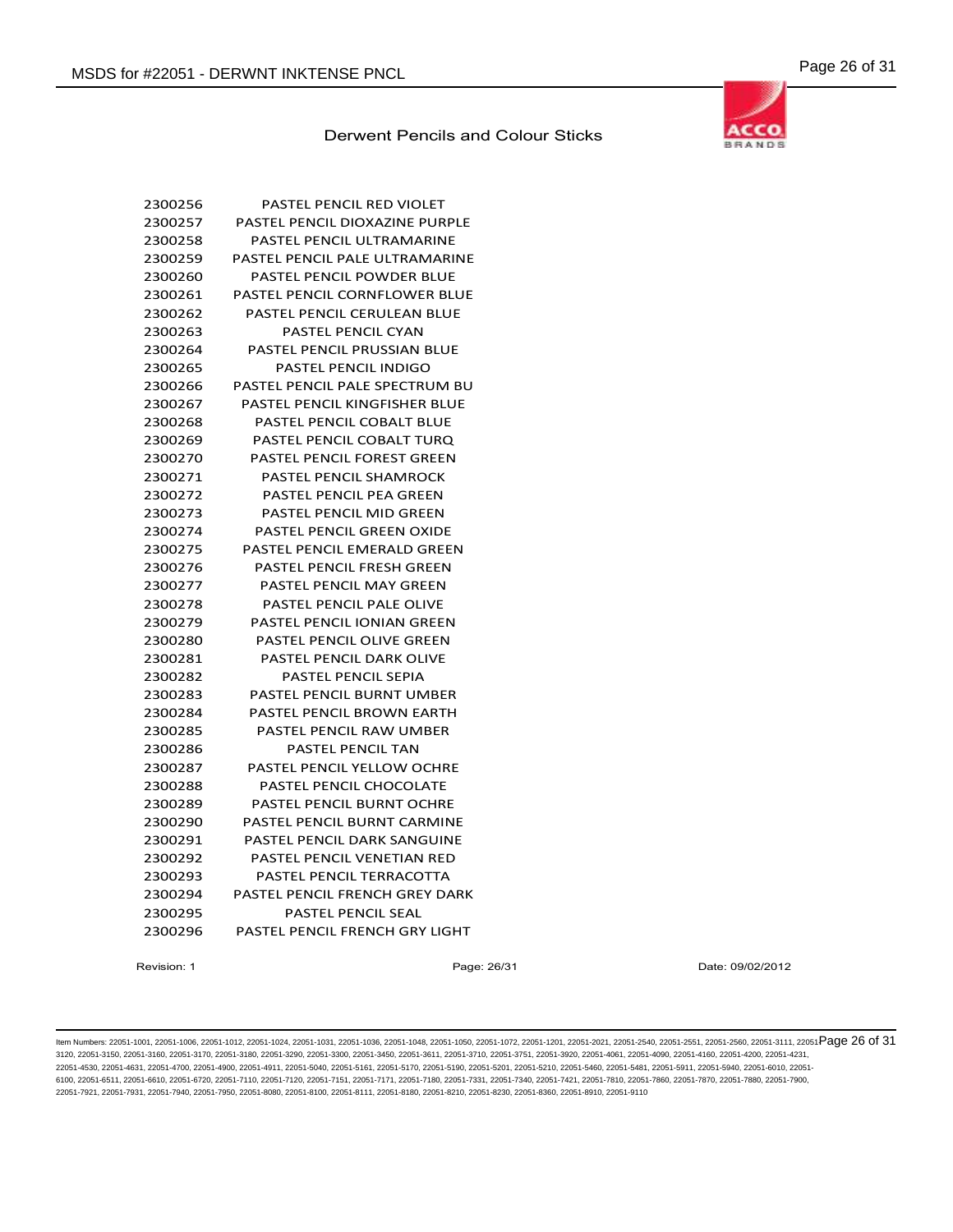

| 2300256 | PASTEL PENCIL RED VIOLET           |
|---------|------------------------------------|
| 2300257 | PASTEL PENCIL DIOXAZINE PURPLE     |
| 2300258 | PASTEL PENCIL ULTRAMARINE          |
| 2300259 | PASTEL PENCIL PALE ULTRAMARINE     |
| 2300260 | <b>PASTEL PENCIL POWDER BLUE</b>   |
| 2300261 | PASTEL PENCIL CORNFLOWER BLUE      |
| 2300262 | PASTEL PENCIL CERULEAN BLUE        |
| 2300263 | <b>PASTEL PENCIL CYAN</b>          |
| 2300264 | <b>PASTEL PENCIL PRUSSIAN BLUE</b> |
| 2300265 | <b>PASTEL PENCIL INDIGO</b>        |
| 2300266 | PASTEL PENCIL PALE SPECTRUM BU     |
| 2300267 | PASTEL PENCIL KINGFISHER BLUE      |
| 2300268 | PASTEL PENCIL COBALT BLUE          |
| 2300269 | PASTEL PENCIL COBALT TURO          |
| 2300270 | <b>PASTEL PENCIL FOREST GREEN</b>  |
| 2300271 | PASTEL PENCIL SHAMROCK             |
| 2300272 | <b>PASTEL PENCIL PEA GREEN</b>     |
| 2300273 | <b>PASTEL PENCIL MID GREEN</b>     |
| 2300274 | <b>PASTEL PENCIL GREEN OXIDE</b>   |
| 2300275 | <b>PASTEL PENCIL EMERALD GREEN</b> |
| 2300276 | PASTEL PENCIL FRESH GREEN          |
| 2300277 | PASTEL PENCIL MAY GREEN            |
| 2300278 | PASTEL PENCIL PALE OLIVE           |
| 2300279 | PASTEL PENCIL IONIAN GREEN         |
| 2300280 | <b>PASTEL PENCIL OLIVE GREEN</b>   |
| 2300281 | <b>PASTEL PENCIL DARK OLIVE</b>    |
| 2300282 | <b>PASTEL PENCIL SEPIA</b>         |
| 2300283 | PASTEL PENCIL BURNT UMBER          |
| 2300284 | <b>PASTEL PENCIL BROWN EARTH</b>   |
| 2300285 | PASTEL PENCIL RAW UMBER            |
| 2300286 | PASTEL PENCIL TAN                  |
| 2300287 | <b>PASTEL PENCIL YELLOW OCHRE</b>  |
| 2300288 | PASTEL PENCIL CHOCOLATE            |
| 2300289 | PASTEL PENCIL BURNT OCHRE          |
| 2300290 | <b>PASTEL PENCIL BURNT CARMINE</b> |
| 2300291 | PASTEL PENCIL DARK SANGUINE        |
| 2300292 | PASTEL PENCIL VENETIAN RED         |
| 2300293 | PASTEL PENCIL TERRACOTTA           |
| 2300294 | PASTEL PENCIL FRENCH GREY DARK     |
| 2300295 | <b>PASTEL PENCIL SEAL</b>          |
| 2300296 | PASTEL PENCIL FRENCH GRY LIGHT     |
|         |                                    |

Revision: 1 Page: 26/31 Date: 09/02/2012

ltem Numbers: 22051-1001, 22051-1006, 22051-1012, 22051-1024, 22051-1031, 22051-1036, 22051-1048, 22051-1050, 22051-1050, 22051-1201, 22051-2001, 22051-2051, 22051-2551, 22051-2560, 22051-3111, 22051-850, 22051-351, 22051-3120, 22051-3150, 22051-3160, 22051-3170, 22051-3180, 22051-3290, 22051-3300, 22051-3450, 22051-3611, 22051-3710, 22051-3751, 22051-3920, 22051-4061, 22051-4090, 22051-4160, 22051-4200, 22051-4231, 22051-4530, 22051-4631, 22051-4700, 22051-4900, 22051-4911, 22051-5040, 22051-5161, 22051-5170, 22051-5190, 22051-5201, 22051-5210, 22051-5460, 22051-5481, 22051-5911, 22051-5940, 22051-6010, 22051- 6100, 22051-6511, 22051-6610, 22051-6720, 22051-7110, 22051-7120, 22051-7151, 22051-7171, 22051-7180, 22051-7331, 22051-7340, 22051-7421, 22051-7810, 22051-7860, 22051-7870, 22051-7880, 22051-7900, 22051-7921, 22051-7931, 22051-7940, 22051-7950, 22051-8080, 22051-8100, 22051-8111, 22051-8180, 22051-8210, 22051-8230, 22051-8360, 22051-8910, 22051-9110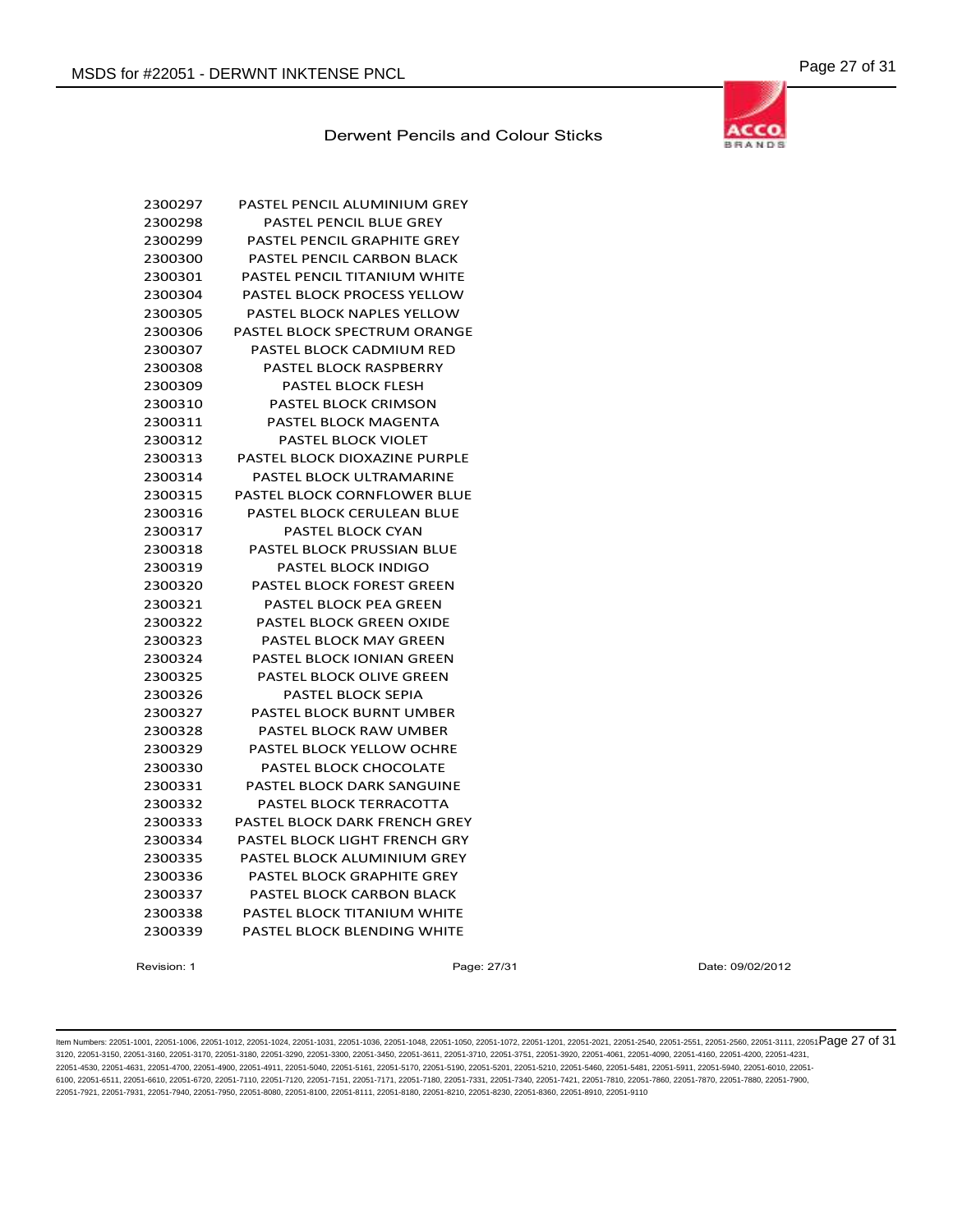

| 2300297 | PASTEL PENCIL ALUMINIUM GREY       |
|---------|------------------------------------|
| 2300298 | PASTEL PENCIL BLUE GREY            |
| 2300299 | PASTEL PENCIL GRAPHITE GREY        |
| 2300300 | PASTEL PENCIL CARBON BLACK         |
| 2300301 | PASTEL PENCIL TITANIUM WHITE       |
| 2300304 | PASTEL BLOCK PROCESS YELLOW        |
| 2300305 | <b>PASTEL BLOCK NAPLES YELLOW</b>  |
| 2300306 | PASTEL BLOCK SPECTRUM ORANGE       |
| 2300307 | PASTEL BLOCK CADMIUM RED           |
| 2300308 | PASTEL BLOCK RASPBERRY             |
| 2300309 | <b>PASTEL BLOCK FLESH</b>          |
| 2300310 | <b>PASTEL BLOCK CRIMSON</b>        |
| 2300311 | PASTEL BLOCK MAGENTA               |
| 2300312 | <b>PASTEL BLOCK VIOLET</b>         |
| 2300313 | PASTEL BLOCK DIOXAZINE PURPLE      |
| 2300314 | PASTEL BLOCK ULTRAMARINE           |
| 2300315 | PASTEL BLOCK CORNFLOWER BLUE       |
| 2300316 | PASTEL BLOCK CERULEAN BLUE         |
| 2300317 | <b>PASTEL BLOCK CYAN</b>           |
| 2300318 | PASTEL BLOCK PRUSSIAN BLUE         |
| 2300319 | <b>PASTEL BLOCK INDIGO</b>         |
| 2300320 | <b>PASTEL BLOCK FOREST GREEN</b>   |
| 2300321 | PASTEL BLOCK PEA GREEN             |
| 2300322 | <b>PASTEL BLOCK GREEN OXIDE</b>    |
| 2300323 | <b>PASTEL BLOCK MAY GREEN</b>      |
| 2300324 | <b>PASTEL BLOCK IONIAN GREEN</b>   |
| 2300325 | PASTEL BLOCK OLIVE GREEN           |
| 2300326 | <b>PASTEL BLOCK SEPIA</b>          |
| 2300327 | PASTEL BLOCK BURNT UMBER           |
| 2300328 | PASTEL BLOCK RAW UMBER             |
| 2300329 | <b>PASTEL BLOCK YELLOW OCHRE</b>   |
| 2300330 | PASTEL BLOCK CHOCOLATE             |
| 2300331 | PASTEL BLOCK DARK SANGUINE         |
| 2300332 | PASTEL BLOCK TERRACOTTA            |
| 2300333 | PASTEL BLOCK DARK FRENCH GREY      |
| 2300334 | PASTEL BLOCK LIGHT FRENCH GRY      |
| 2300335 | PASTEL BLOCK ALUMINIUM GREY        |
| 2300336 | <b>PASTEL BLOCK GRAPHITE GREY</b>  |
| 2300337 | PASTEL BLOCK CARBON BLACK          |
| 2300338 | <b>PASTEL BLOCK TITANIUM WHITE</b> |
| 2300339 | <b>PASTEL BLOCK BLENDING WHITE</b> |
|         |                                    |

Revision: 1 **Page: 27/31** Page: 27/31 Date: 09/02/2012

ltem Numbers: 22051-1001, 22051-1006, 22051-1012, 22051-1024, 22051-1031, 22051-1036, 22051-1048, 22051-1050, 22051-1050, 22051-1201, 22051-2001, 22051-2051, 22051-2551, 22051-2560, 22051-3111, 22051-850 Page 27 of 31 3120, 22051-3150, 22051-3160, 22051-3170, 22051-3180, 22051-3290, 22051-3300, 22051-3450, 22051-3611, 22051-3710, 22051-3751, 22051-3920, 22051-4061, 22051-4090, 22051-4160, 22051-4200, 22051-4231, 22051-4530, 22051-4631, 22051-4700, 22051-4900, 22051-4911, 22051-5040, 22051-5161, 22051-5170, 22051-5190, 22051-5201, 22051-5210, 22051-5460, 22051-5481, 22051-5911, 22051-5940, 22051-6010, 22051- 6100, 22051-6511, 22051-6610, 22051-6720, 22051-7110, 22051-7120, 22051-7151, 22051-7171, 22051-7180, 22051-7331, 22051-7340, 22051-7421, 22051-7810, 22051-7860, 22051-7870, 22051-7880, 22051-7900, 22051-7921, 22051-7931, 22051-7940, 22051-7950, 22051-8080, 22051-8100, 22051-8111, 22051-8180, 22051-8210, 22051-8230, 22051-8360, 22051-8910, 22051-9110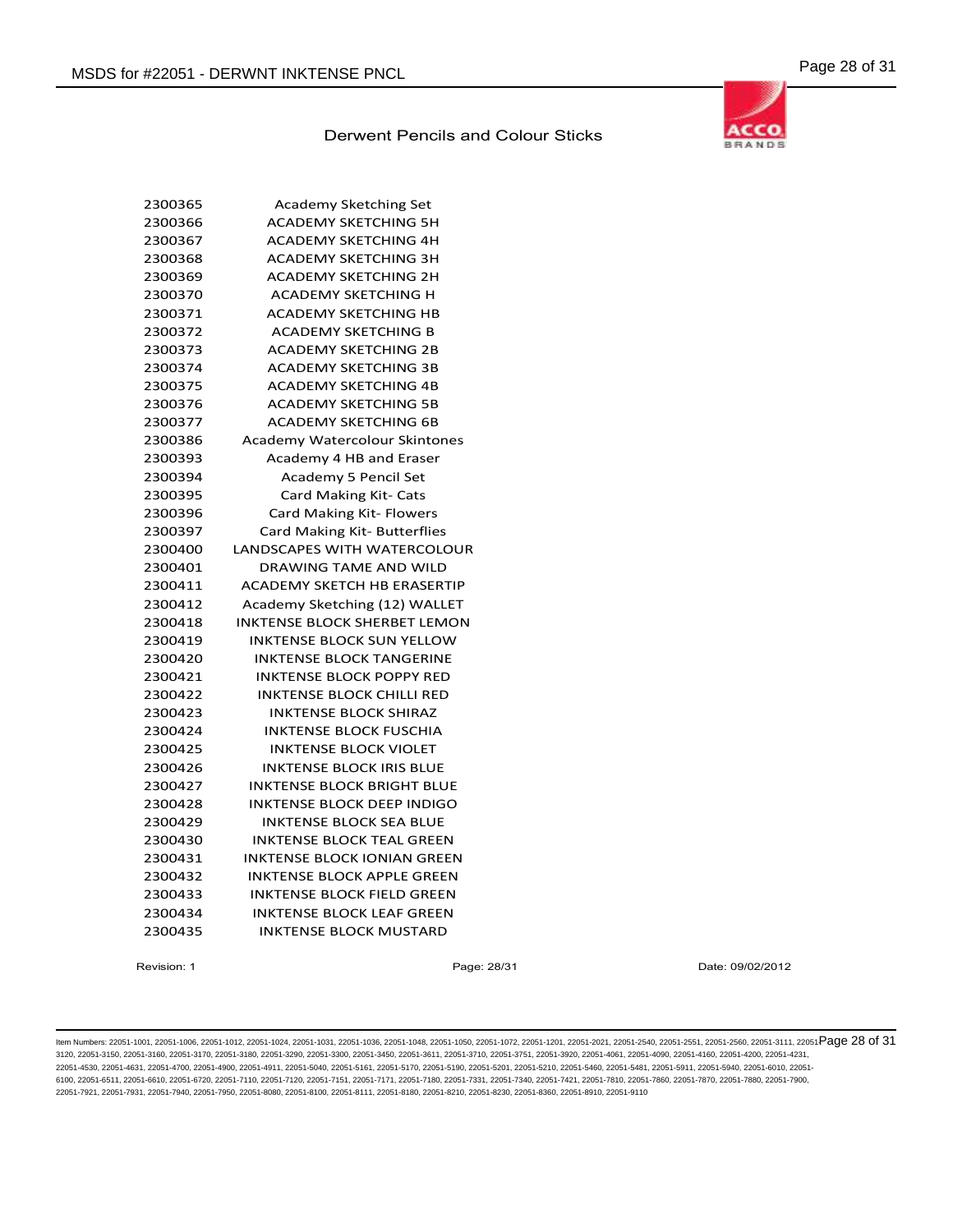

| Academy Sketching Set                |
|--------------------------------------|
| <b>ACADEMY SKETCHING 5H</b>          |
| <b>ACADEMY SKETCHING 4H</b>          |
| <b>ACADEMY SKETCHING 3H</b>          |
| <b>ACADEMY SKETCHING 2H</b>          |
| <b>ACADEMY SKETCHING H</b>           |
| <b>ACADEMY SKETCHING HB</b>          |
| <b>ACADEMY SKETCHING B</b>           |
| <b>ACADEMY SKETCHING 2B</b>          |
| <b>ACADEMY SKETCHING 3B</b>          |
| <b>ACADEMY SKETCHING 4B</b>          |
| <b>ACADEMY SKETCHING 5B</b>          |
| <b>ACADEMY SKETCHING 6B</b>          |
| <b>Academy Watercolour Skintones</b> |
| Academy 4 HB and Eraser              |
| Academy 5 Pencil Set                 |
| Card Making Kit- Cats                |
| Card Making Kit- Flowers             |
| Card Making Kit- Butterflies         |
| <b>LANDSCAPES WITH WATERCOLOUR</b>   |
| <b>DRAWING TAME AND WILD</b>         |
| <b>ACADEMY SKETCH HB ERASERTIP</b>   |
| Academy Sketching (12) WALLET        |
| <b>INKTENSE BLOCK SHERBET LEMON</b>  |
| <b>INKTENSE BLOCK SUN YELLOW</b>     |
| <b>INKTENSE BLOCK TANGERINE</b>      |
| <b>INKTENSE BLOCK POPPY RED</b>      |
| <b>INKTENSE BLOCK CHILLI RED</b>     |
| <b>INKTENSE BLOCK SHIRAZ</b>         |
| <b>INKTENSE BLOCK FUSCHIA</b>        |
| <b>INKTENSE BLOCK VIOLET</b>         |
| <b>INKTENSE BLOCK IRIS BLUE</b>      |
| <b>INKTENSE BLOCK BRIGHT BLUE</b>    |
| INKTENSE BLOCK DEEP INDIGO           |
| <b>INKTENSE BLOCK SEA BLUE</b>       |
| INKTENSE BLOCK TEAL GREEN            |
| <b>INKTENSE BLOCK IONIAN GREEN</b>   |
| <b>INKTENSE BLOCK APPLE GREEN</b>    |
| <b>INKTENSE BLOCK FIELD GREEN</b>    |
| <b>INKTENSE BLOCK LEAF GREEN</b>     |
| <b>INKTENSE BLOCK MUSTARD</b>        |
|                                      |

Revision: 1 Page: 28/31 Date: 09/02/2012

ltem Numbers: 22051-1001, 22051-1006, 22051-1012, 22051-1024, 22051-1031, 22051-1036, 22051-1048, 22051-1050, 22051-1050, 22051-1201, 22051-2001, 22051-2051, 22051-2550, 22051-3560, 22051-3111, 22051-Page 28 of 31 3120, 22051-3150, 22051-3160, 22051-3170, 22051-3180, 22051-3290, 22051-3300, 22051-3450, 22051-3611, 22051-3710, 22051-3751, 22051-3920, 22051-4061, 22051-4090, 22051-4160, 22051-4200, 22051-4231, 22051-4530, 22051-4631, 22051-4700, 22051-4900, 22051-4911, 22051-5040, 22051-5161, 22051-5170, 22051-5190, 22051-5201, 22051-5210, 22051-5460, 22051-5481, 22051-5911, 22051-5940, 22051-6010, 22051- 6100, 22051-6511, 22051-6610, 22051-6720, 22051-7110, 22051-7120, 22051-7151, 22051-7171, 22051-7180, 22051-7331, 22051-7340, 22051-7421, 22051-7810, 22051-7860, 22051-7870, 22051-7880, 22051-7900, 22051-7921, 22051-7931, 22051-7940, 22051-7950, 22051-8080, 22051-8100, 22051-8111, 22051-8180, 22051-8210, 22051-8230, 22051-8360, 22051-8910, 22051-9110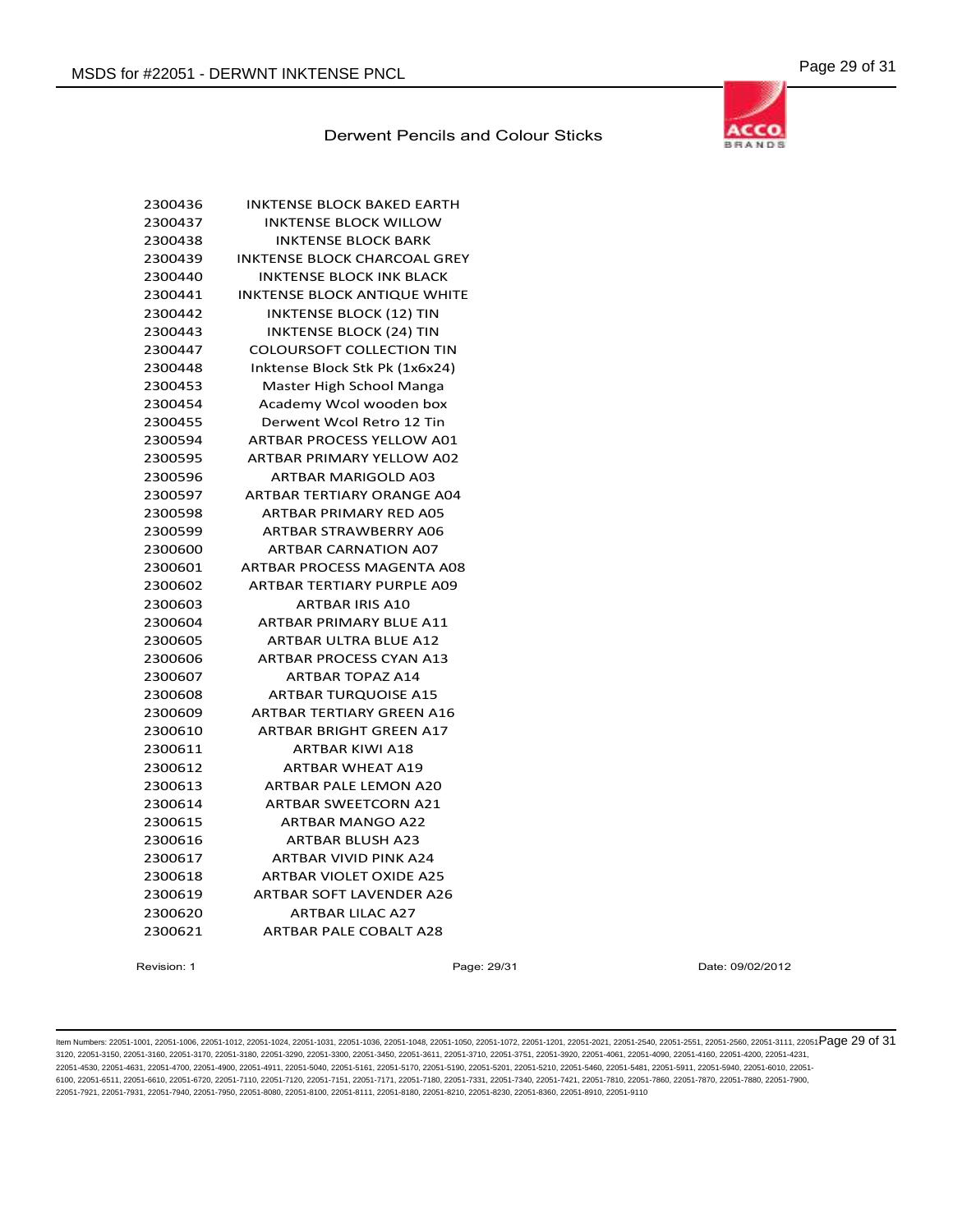

| 2300436 | <b>INKTENSE BLOCK BAKED EARTH</b>   |
|---------|-------------------------------------|
| 2300437 | <b>INKTENSE BLOCK WILLOW</b>        |
| 2300438 | <b>INKTENSE BLOCK BARK</b>          |
| 2300439 | <b>INKTENSE BLOCK CHARCOAL GREY</b> |
| 2300440 | <b>INKTENSE BLOCK INK BLACK</b>     |
| 2300441 | <b>INKTENSE BLOCK ANTIQUE WHITE</b> |
| 2300442 | <b>INKTENSE BLOCK (12) TIN</b>      |
| 2300443 | <b>INKTENSE BLOCK (24) TIN</b>      |
| 2300447 | <b>COLOURSOFT COLLECTION TIN</b>    |
| 2300448 | Inktense Block Stk Pk (1x6x24)      |
| 2300453 | Master High School Manga            |
| 2300454 | Academy Wcol wooden box             |
| 2300455 | Derwent Wcol Retro 12 Tin           |
| 2300594 | ARTBAR PROCESS YELLOW A01           |
| 2300595 | <b>ARTBAR PRIMARY YELLOW A02</b>    |
| 2300596 | <b>ARTBAR MARIGOLD A03</b>          |
| 2300597 | ARTBAR TERTIARY ORANGE A04          |
| 2300598 | ARTBAR PRIMARY RED A05              |
| 2300599 | <b>ARTBAR STRAWBERRY A06</b>        |
| 2300600 | <b>ARTBAR CARNATION A07</b>         |
| 2300601 | <b>ARTBAR PROCESS MAGENTA A08</b>   |
| 2300602 | <b>ARTBAR TERTIARY PURPLE A09</b>   |
| 2300603 | <b>ARTBAR IRIS A10</b>              |
| 2300604 | <b>ARTBAR PRIMARY BLUE A11</b>      |
| 2300605 | ARTBAR ULTRA BLUE A12               |
| 2300606 | <b>ARTBAR PROCESS CYAN A13</b>      |
| 2300607 | <b>ARTBAR TOPAZ A14</b>             |
| 2300608 | <b>ARTBAR TURQUOISE A15</b>         |
| 2300609 | <b>ARTBAR TERTIARY GREEN A16</b>    |
| 2300610 | <b>ARTBAR BRIGHT GREEN A17</b>      |
| 2300611 | <b>ARTBAR KIWI A18</b>              |
| 2300612 | <b>ARTBAR WHEAT A19</b>             |
| 2300613 | <b>ARTBAR PALE LEMON A20</b>        |
| 2300614 | <b>ARTBAR SWEETCORN A21</b>         |
| 2300615 | <b>ARTBAR MANGO A22</b>             |
| 2300616 | <b>ARTBAR BLUSH A23</b>             |
| 2300617 | <b>ARTBAR VIVID PINK A24</b>        |
| 2300618 | <b>ARTBAR VIOLET OXIDE A25</b>      |
| 2300619 | <b>ARTBAR SOFT LAVENDER A26</b>     |
| 2300620 | <b>ARTBAR LILAC A27</b>             |
| 2300621 | <b>ARTBAR PALE COBALT A28</b>       |
|         |                                     |

Revision: 1 Page: 29/31 Date: 09/02/2012

ltem Numbers: 22051-1001, 22051-1006, 22051-1012, 22051-1024, 22051-1031, 22051-1036, 22051-1048, 22051-1050, 22051-1050, 22051-1201, 22051-2001, 22051-2560, 22051-2560, 22051-3111, 22051-3111, 22051-2580, 22051-3111, 2205 3120, 22051-3150, 22051-3160, 22051-3170, 22051-3180, 22051-3290, 22051-3300, 22051-3450, 22051-3611, 22051-3710, 22051-3751, 22051-3920, 22051-4061, 22051-4090, 22051-4160, 22051-4200, 22051-4231, 22051-4530, 22051-4631, 22051-4700, 22051-4900, 22051-4911, 22051-5040, 22051-5161, 22051-5170, 22051-5190, 22051-5201, 22051-5210, 22051-5460, 22051-5481, 22051-5911, 22051-5940, 22051-6010, 22051- 6100, 22051-6511, 22051-6610, 22051-6720, 22051-7110, 22051-7120, 22051-7151, 22051-7171, 22051-7180, 22051-7331, 22051-7340, 22051-7421, 22051-7810, 22051-7860, 22051-7870, 22051-7880, 22051-7900, 22051-7921, 22051-7931, 22051-7940, 22051-7950, 22051-8080, 22051-8100, 22051-8111, 22051-8180, 22051-8210, 22051-8230, 22051-8360, 22051-8910, 22051-9110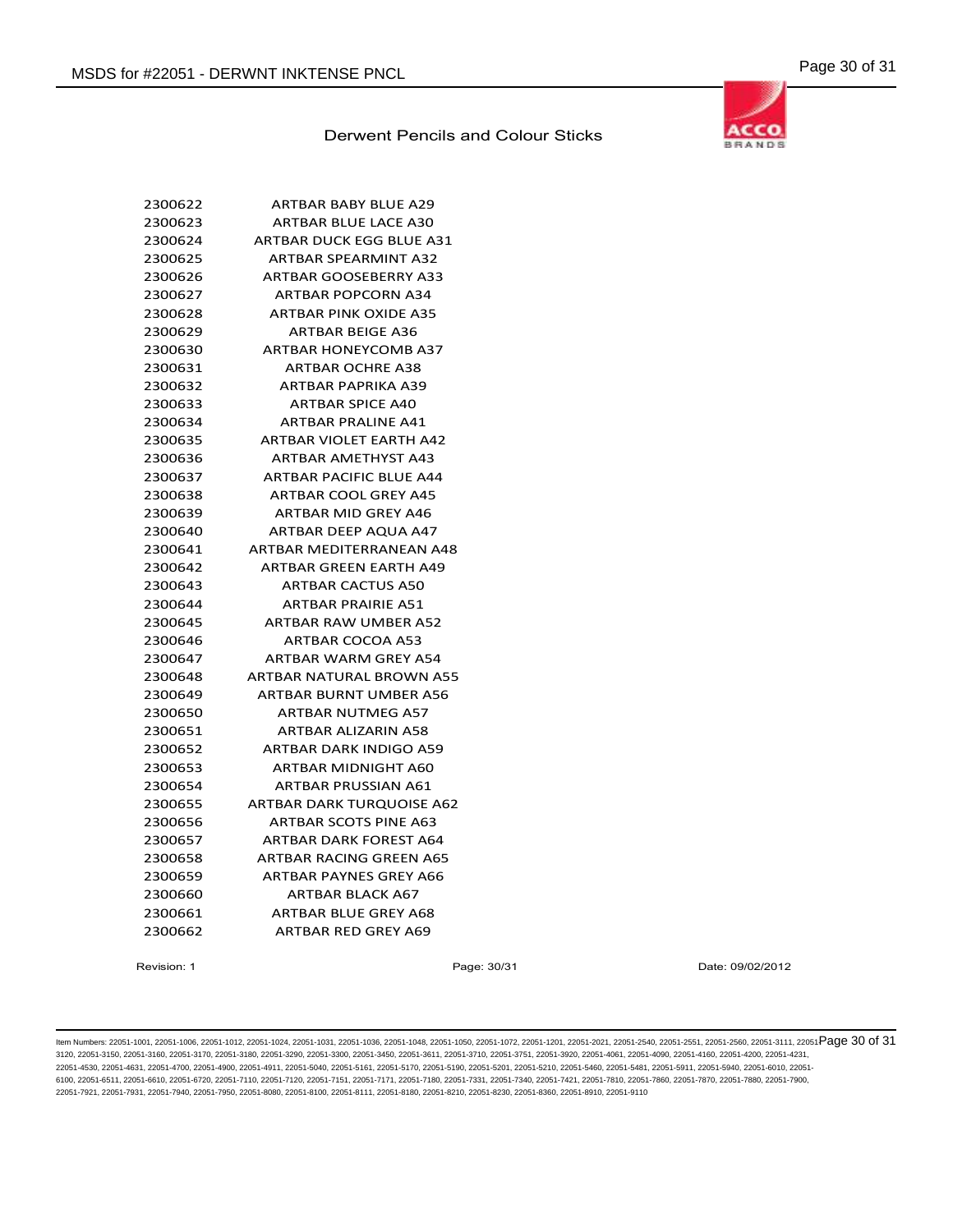

| <b>ARTBAR BABY BLUE A29</b>      |
|----------------------------------|
| <b>ARTBAR BLUE LACE A30</b>      |
| ARTBAR DUCK EGG BLUE A31         |
| <b>ARTBAR SPEARMINT A32</b>      |
| <b>ARTBAR GOOSEBERRY A33</b>     |
| <b>ARTBAR POPCORN A34</b>        |
| <b>ARTBAR PINK OXIDE A35</b>     |
| <b>ARTBAR BEIGE A36</b>          |
| <b>ARTBAR HONEYCOMB A37</b>      |
| <b>ARTBAR OCHRE A38</b>          |
| ARTBAR PAPRIKA A39               |
| <b>ARTBAR SPICE A40</b>          |
| <b>ARTBAR PRALINE A41</b>        |
| <b>ARTBAR VIOLET EARTH A42</b>   |
| <b>ARTBAR AMETHYST A43</b>       |
| <b>ARTBAR PACIFIC BLUE A44</b>   |
| <b>ARTBAR COOL GREY A45</b>      |
| <b>ARTBAR MID GREY A46</b>       |
| <b>ARTBAR DEEP AQUA A47</b>      |
| ARTBAR MEDITERRANEAN A48         |
| ARTBAR GREEN EARTH A49           |
| <b>ARTBAR CACTUS A50</b>         |
| <b>ARTBAR PRAIRIE A51</b>        |
| <b>ARTBAR RAW UMBER A52</b>      |
| <b>ARTBAR COCOA A53</b>          |
| <b>ARTBAR WARM GREY A54</b>      |
| <b>ARTBAR NATURAL BROWN A55</b>  |
| <b>ARTBAR BURNT UMBER A56</b>    |
| <b>ARTBAR NUTMEG A57</b>         |
| ARTBAR ALIZARIN A58              |
| <b>ARTBAR DARK INDIGO A59</b>    |
| ARTBAR MIDNIGHT A60              |
| <b>ARTBAR PRUSSIAN A61</b>       |
| <b>ARTBAR DARK TURQUOISE A62</b> |
| <b>ARTBAR SCOTS PINE A63</b>     |
| <b>ARTBAR DARK FOREST A64</b>    |
| <b>ARTBAR RACING GREEN A65</b>   |
| ARTBAR PAYNES GREY A66           |
| <b>ARTBAR BLACK A67</b>          |
| <b>ARTBAR BLUE GREY A68</b>      |
| <b>ARTBAR RED GREY A69</b>       |
|                                  |

Revision: 1 Page: 30/31 Date: 09/02/2012

ltem Numbers: 22051-1001, 22051-1006, 22051-1012, 22051-1024, 22051-1031, 22051-1036, 22051-1048, 22051-1050, 22051-1050, 22051-1201, 22051-2001, 22051-2051, 22051-2551, 22051-2560, 22051-3111, 22051-810 06 31 3120, 22051-3150, 22051-3160, 22051-3170, 22051-3180, 22051-3290, 22051-3300, 22051-3450, 22051-3611, 22051-3710, 22051-3751, 22051-3920, 22051-4061, 22051-4090, 22051-4160, 22051-4200, 22051-4231, 22051-4530, 22051-4631, 22051-4700, 22051-4900, 22051-4911, 22051-5040, 22051-5161, 22051-5170, 22051-5190, 22051-5201, 22051-5210, 22051-5460, 22051-5481, 22051-5911, 22051-5940, 22051-6010, 22051- 6100, 22051-6511, 22051-6610, 22051-6720, 22051-7110, 22051-7120, 22051-7151, 22051-7171, 22051-7180, 22051-7331, 22051-7340, 22051-7421, 22051-7810, 22051-7860, 22051-7870, 22051-7880, 22051-7900, 22051-7921, 22051-7931, 22051-7940, 22051-7950, 22051-8080, 22051-8100, 22051-8111, 22051-8180, 22051-8210, 22051-8230, 22051-8360, 22051-8910, 22051-9110